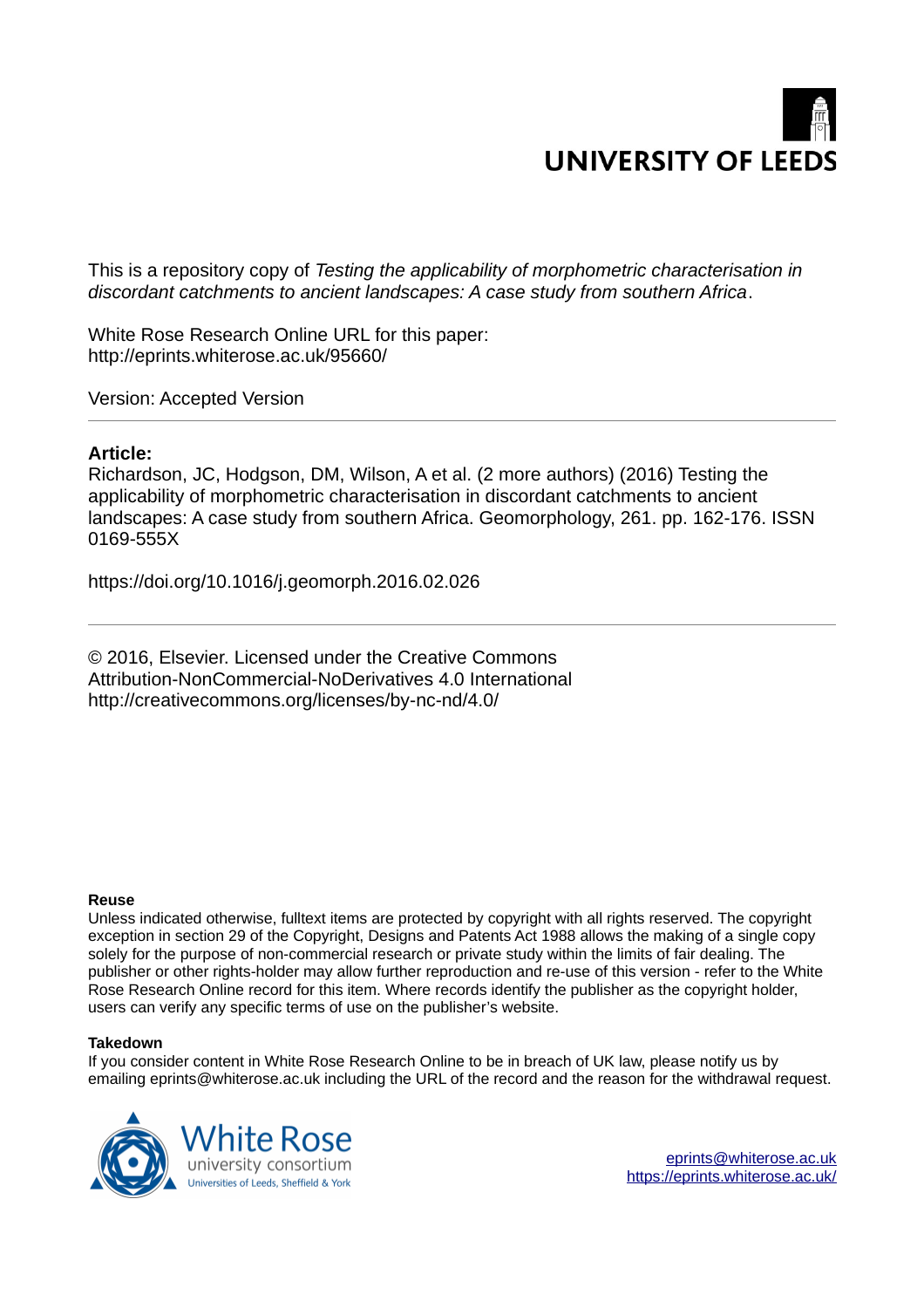

This is a repository copy of *Testing the applicability of morphometric characterisation in discordant catchments to ancient landscapes: A case study from southern Africa*.

White Rose Research Online URL for this paper: http://eprints.whiterose.ac.uk/95660/

Version: Accepted Version

## **Article:**

Richardson, JC, Hodgson, DM, Wilson, A et al. (2 more authors) (2016) Testing the applicability of morphometric characterisation in discordant catchments to ancient landscapes: A case study from southern Africa. Geomorphology, 261. pp. 162-176. ISSN 0169-555X

https://doi.org/10.1016/j.geomorph.2016.02.026

© 2016, Elsevier. Licensed under the Creative Commons Attribution-NonCommercial-NoDerivatives 4.0 International http://creativecommons.org/licenses/by-nc-nd/4.0/

#### **Reuse**

Unless indicated otherwise, fulltext items are protected by copyright with all rights reserved. The copyright exception in section 29 of the Copyright, Designs and Patents Act 1988 allows the making of a single copy solely for the purpose of non-commercial research or private study within the limits of fair dealing. The publisher or other rights-holder may allow further reproduction and re-use of this version - refer to the White Rose Research Online record for this item. Where records identify the publisher as the copyright holder, users can verify any specific terms of use on the publisher's website.

#### **Takedown**

If you consider content in White Rose Research Online to be in breach of UK law, please notify us by emailing eprints@whiterose.ac.uk including the URL of the record and the reason for the withdrawal request.

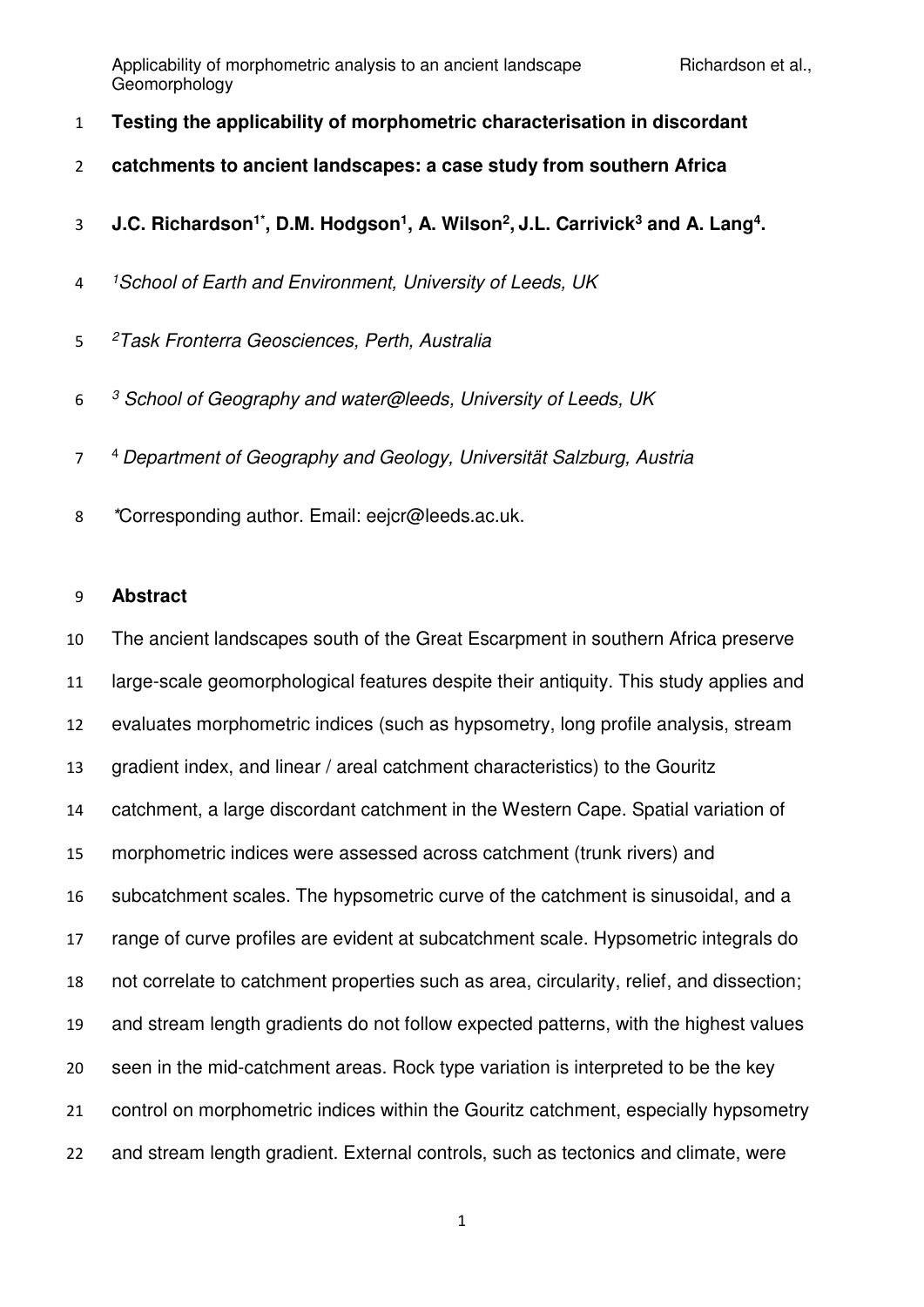- **Testing the applicability of morphometric characterisation in discordant**
- **catchments to ancient landscapes: a case study from southern Africa**
- **1.C. Richardson<sup>1\*</sup>, D.M. Hodgson<sup>1</sup>, A. Wilson<sup>2</sup>, J.L. Carrivick<sup>3</sup> and A. Lang<sup>4</sup>.**
- *<sup>1</sup>School of Earth and Environment, University of Leeds, UK*
- *<sup>2</sup>Task Fronterra Geosciences, Perth, Australia*
- *<sup>3</sup> School of Geography and water@leeds, University of Leeds, UK*
- <sup>4</sup>*Department of Geography and Geology, Universität Salzburg, Austria*
- *\**Corresponding author. Email: eejcr@leeds.ac.uk.

## **Abstract**

 The ancient landscapes south of the Great Escarpment in southern Africa preserve large-scale geomorphological features despite their antiquity. This study applies and evaluates morphometric indices (such as hypsometry, long profile analysis, stream gradient index, and linear / areal catchment characteristics) to the Gouritz catchment, a large discordant catchment in the Western Cape. Spatial variation of morphometric indices were assessed across catchment (trunk rivers) and subcatchment scales. The hypsometric curve of the catchment is sinusoidal, and a range of curve profiles are evident at subcatchment scale. Hypsometric integrals do not correlate to catchment properties such as area, circularity, relief, and dissection; and stream length gradients do not follow expected patterns, with the highest values seen in the mid-catchment areas. Rock type variation is interpreted to be the key control on morphometric indices within the Gouritz catchment, especially hypsometry and stream length gradient. External controls, such as tectonics and climate, were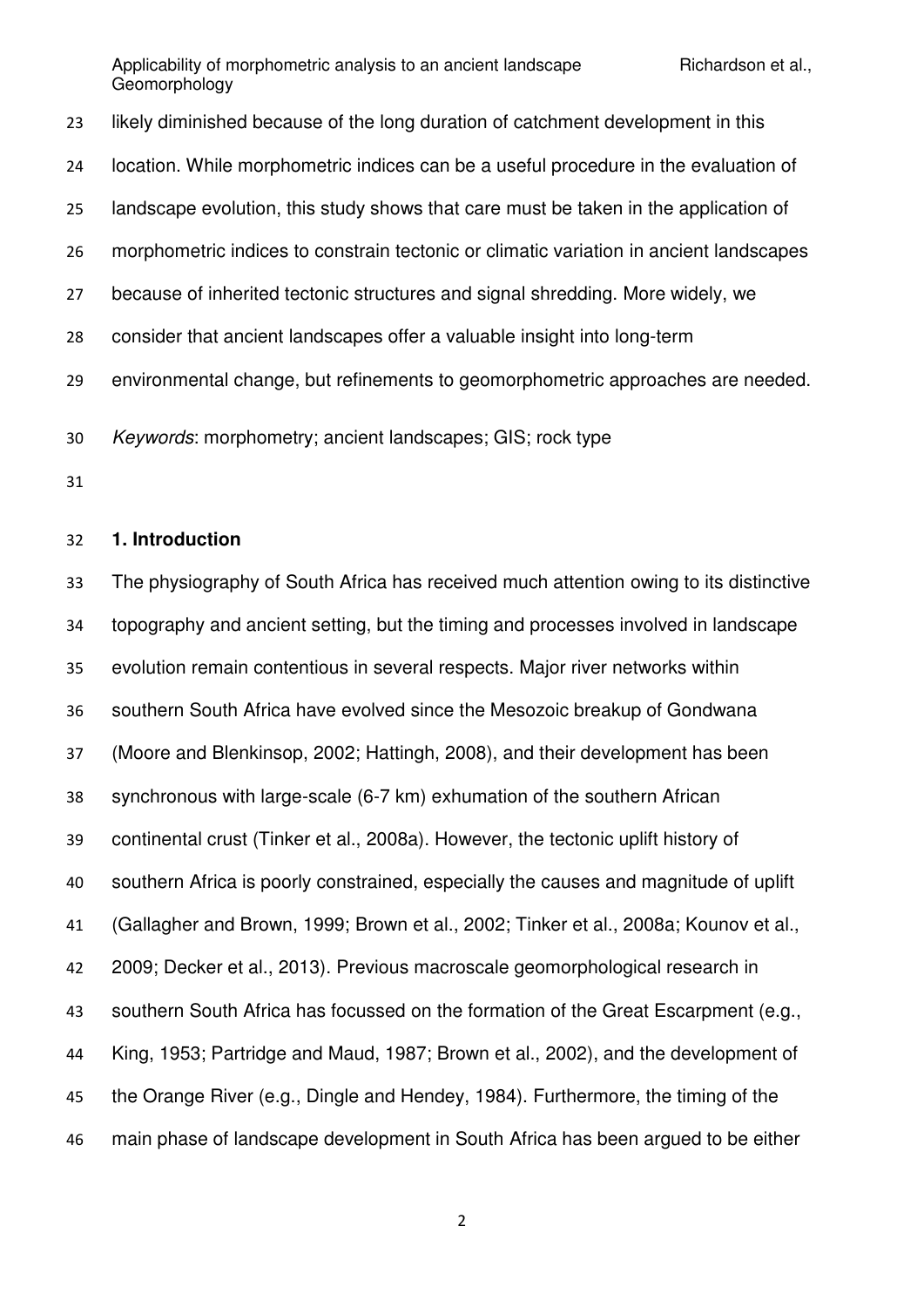likely diminished because of the long duration of catchment development in this location. While morphometric indices can be a useful procedure in the evaluation of landscape evolution, this study shows that care must be taken in the application of morphometric indices to constrain tectonic or climatic variation in ancient landscapes because of inherited tectonic structures and signal shredding. More widely, we consider that ancient landscapes offer a valuable insight into long-term environmental change, but refinements to geomorphometric approaches are needed. *Keywords*: morphometry; ancient landscapes; GIS; rock type

### **1. Introduction**

 The physiography of South Africa has received much attention owing to its distinctive topography and ancient setting, but the timing and processes involved in landscape evolution remain contentious in several respects. Major river networks within southern South Africa have evolved since the Mesozoic breakup of Gondwana (Moore and Blenkinsop, 2002; Hattingh, 2008), and their development has been synchronous with large-scale (6-7 km) exhumation of the southern African continental crust (Tinker et al., 2008a). However, the tectonic uplift history of southern Africa is poorly constrained, especially the causes and magnitude of uplift (Gallagher and Brown, 1999; Brown et al., 2002; Tinker et al., 2008a; Kounov et al., 2009; Decker et al., 2013). Previous macroscale geomorphological research in southern South Africa has focussed on the formation of the Great Escarpment (e.g., King, 1953; Partridge and Maud, 1987; Brown et al., 2002), and the development of the Orange River (e.g., Dingle and Hendey, 1984). Furthermore, the timing of the main phase of landscape development in South Africa has been argued to be either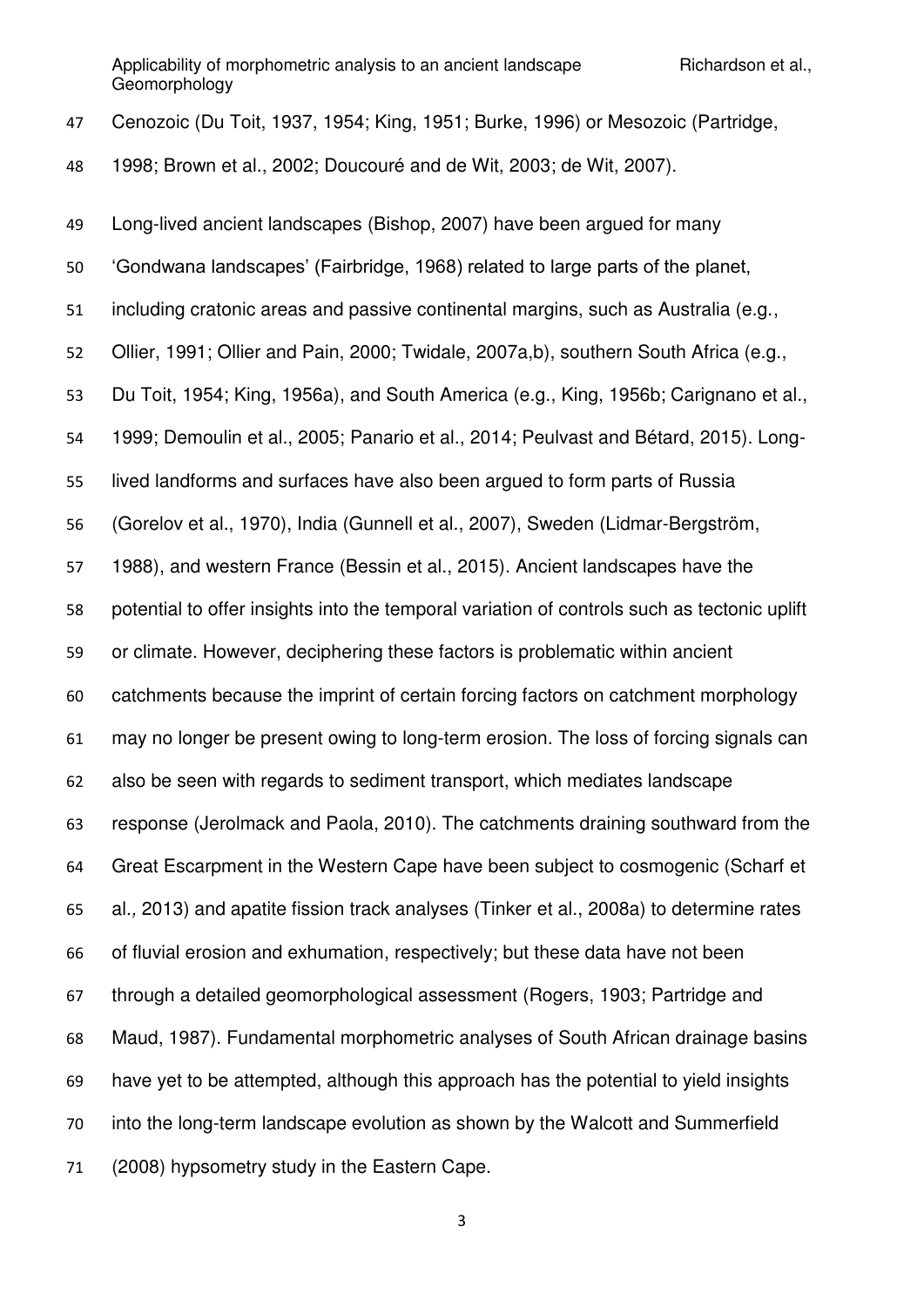| 47 | Cenozoic (Du Toit, 1937, 1954; King, 1951; Burke, 1996) or Mesozoic (Partridge,             |
|----|---------------------------------------------------------------------------------------------|
| 48 | 1998; Brown et al., 2002; Doucouré and de Wit, 2003; de Wit, 2007).                         |
| 49 | Long-lived ancient landscapes (Bishop, 2007) have been argued for many                      |
| 50 | 'Gondwana landscapes' (Fairbridge, 1968) related to large parts of the planet,              |
| 51 | including cratonic areas and passive continental margins, such as Australia (e.g.,          |
| 52 | Ollier, 1991; Ollier and Pain, 2000; Twidale, 2007a,b), southern South Africa (e.g.,        |
| 53 | Du Toit, 1954; King, 1956a), and South America (e.g., King, 1956b; Carignano et al.,        |
| 54 | 1999; Demoulin et al., 2005; Panario et al., 2014; Peulvast and Bétard, 2015). Long-        |
| 55 | lived landforms and surfaces have also been argued to form parts of Russia                  |
| 56 | (Gorelov et al., 1970), India (Gunnell et al., 2007), Sweden (Lidmar-Bergström,             |
| 57 | 1988), and western France (Bessin et al., 2015). Ancient landscapes have the                |
| 58 | potential to offer insights into the temporal variation of controls such as tectonic uplift |
| 59 | or climate. However, deciphering these factors is problematic within ancient                |
| 60 | catchments because the imprint of certain forcing factors on catchment morphology           |
| 61 | may no longer be present owing to long-term erosion. The loss of forcing signals can        |
| 62 | also be seen with regards to sediment transport, which mediates landscape                   |
| 63 | response (Jerolmack and Paola, 2010). The catchments draining southward from the            |
| 64 | Great Escarpment in the Western Cape have been subject to cosmogenic (Scharf et             |
| 65 | al., 2013) and apatite fission track analyses (Tinker et al., 2008a) to determine rates     |
| 66 | of fluvial erosion and exhumation, respectively; but these data have not been               |
| 67 | through a detailed geomorphological assessment (Rogers, 1903; Partridge and                 |
| 68 | Maud, 1987). Fundamental morphometric analyses of South African drainage basins             |
| 69 | have yet to be attempted, although this approach has the potential to yield insights        |
| 70 | into the long-term landscape evolution as shown by the Walcott and Summerfield              |
| 71 | (2008) hypsometry study in the Eastern Cape.                                                |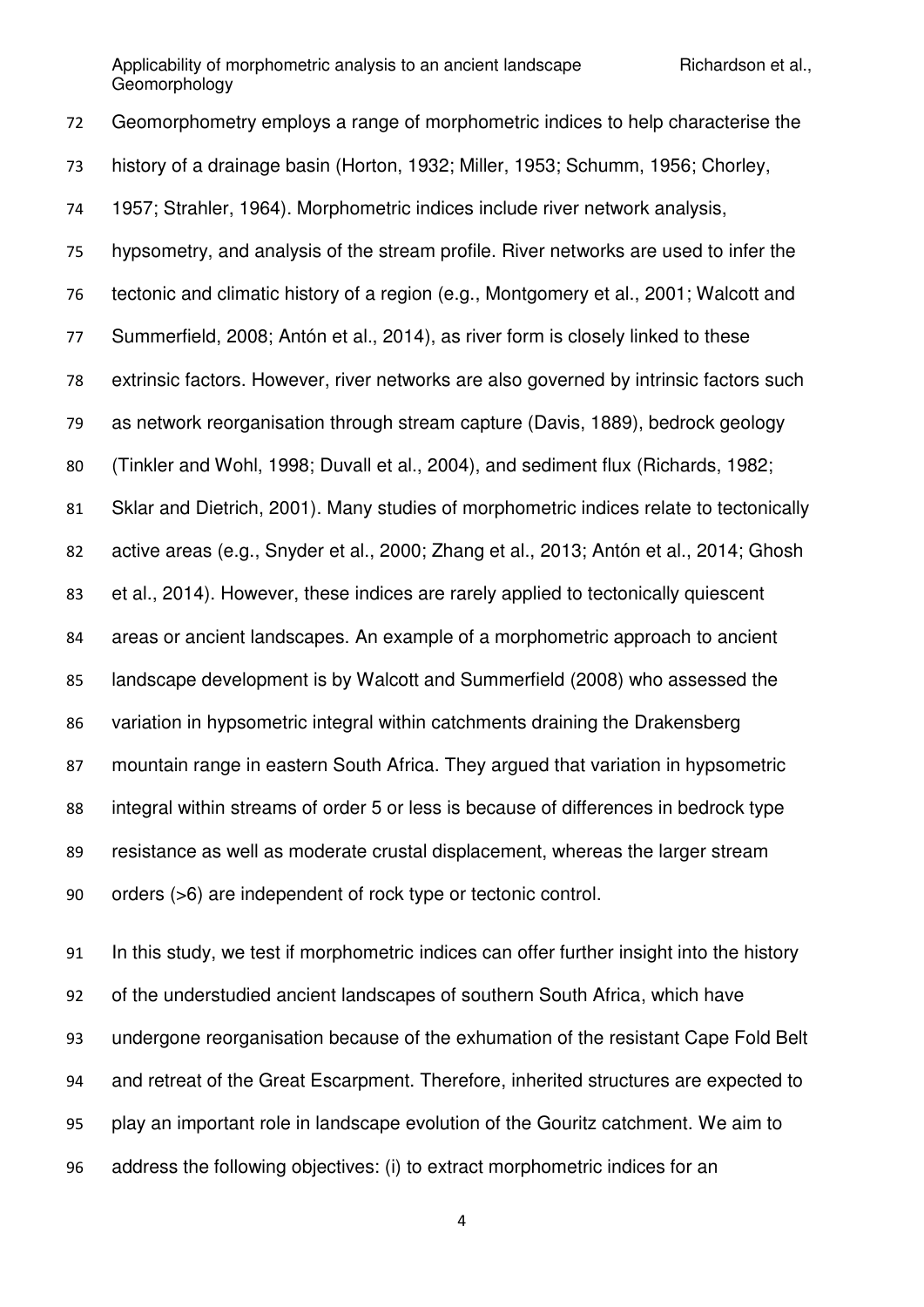Geomorphometry employs a range of morphometric indices to help characterise the history of a drainage basin (Horton, 1932; Miller, 1953; Schumm, 1956; Chorley, 1957; Strahler, 1964). Morphometric indices include river network analysis, hypsometry, and analysis of the stream profile. River networks are used to infer the tectonic and climatic history of a region (e.g., Montgomery et al., 2001; Walcott and Summerfield, 2008; Antón et al., 2014), as river form is closely linked to these extrinsic factors. However, river networks are also governed by intrinsic factors such as network reorganisation through stream capture (Davis, 1889), bedrock geology (Tinkler and Wohl, 1998; Duvall et al., 2004), and sediment flux (Richards, 1982; Sklar and Dietrich, 2001). Many studies of morphometric indices relate to tectonically active areas (e.g., Snyder et al., 2000; Zhang et al., 2013; Antón et al., 2014; Ghosh et al., 2014). However, these indices are rarely applied to tectonically quiescent areas or ancient landscapes. An example of a morphometric approach to ancient landscape development is by Walcott and Summerfield (2008) who assessed the variation in hypsometric integral within catchments draining the Drakensberg mountain range in eastern South Africa. They argued that variation in hypsometric integral within streams of order 5 or less is because of differences in bedrock type resistance as well as moderate crustal displacement, whereas the larger stream orders (>6) are independent of rock type or tectonic control.

 In this study, we test if morphometric indices can offer further insight into the history of the understudied ancient landscapes of southern South Africa, which have undergone reorganisation because of the exhumation of the resistant Cape Fold Belt and retreat of the Great Escarpment. Therefore, inherited structures are expected to play an important role in landscape evolution of the Gouritz catchment. We aim to address the following objectives: (i) to extract morphometric indices for an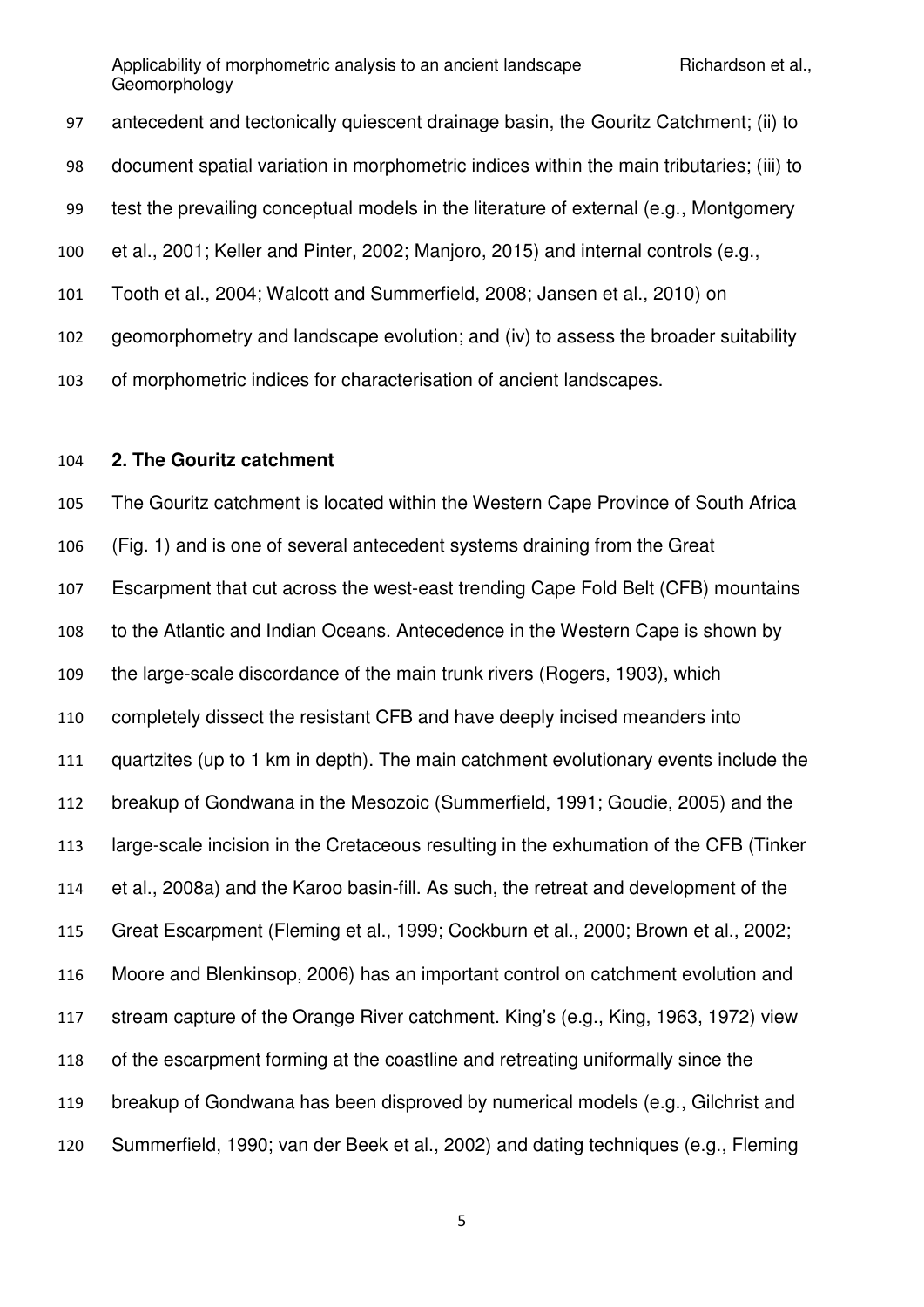antecedent and tectonically quiescent drainage basin, the Gouritz Catchment; (ii) to document spatial variation in morphometric indices within the main tributaries; (iii) to test the prevailing conceptual models in the literature of external (e.g., Montgomery et al., 2001; Keller and Pinter, 2002; Manjoro, 2015) and internal controls (e.g., Tooth et al., 2004; Walcott and Summerfield, 2008; Jansen et al., 2010) on geomorphometry and landscape evolution; and (iv) to assess the broader suitability of morphometric indices for characterisation of ancient landscapes.

## **2. The Gouritz catchment**

 The Gouritz catchment is located within the Western Cape Province of South Africa (Fig. 1) and is one of several antecedent systems draining from the Great Escarpment that cut across the west-east trending Cape Fold Belt (CFB) mountains to the Atlantic and Indian Oceans. Antecedence in the Western Cape is shown by the large-scale discordance of the main trunk rivers (Rogers, 1903), which completely dissect the resistant CFB and have deeply incised meanders into quartzites (up to 1 km in depth). The main catchment evolutionary events include the breakup of Gondwana in the Mesozoic (Summerfield, 1991; Goudie, 2005) and the large-scale incision in the Cretaceous resulting in the exhumation of the CFB (Tinker et al., 2008a) and the Karoo basin-fill. As such, the retreat and development of the Great Escarpment (Fleming et al., 1999; Cockburn et al., 2000; Brown et al., 2002; Moore and Blenkinsop, 2006) has an important control on catchment evolution and stream capture of the Orange River catchment. King's (e.g., King, 1963, 1972) view of the escarpment forming at the coastline and retreating uniformally since the breakup of Gondwana has been disproved by numerical models (e.g., Gilchrist and Summerfield, 1990; van der Beek et al., 2002) and dating techniques (e.g., Fleming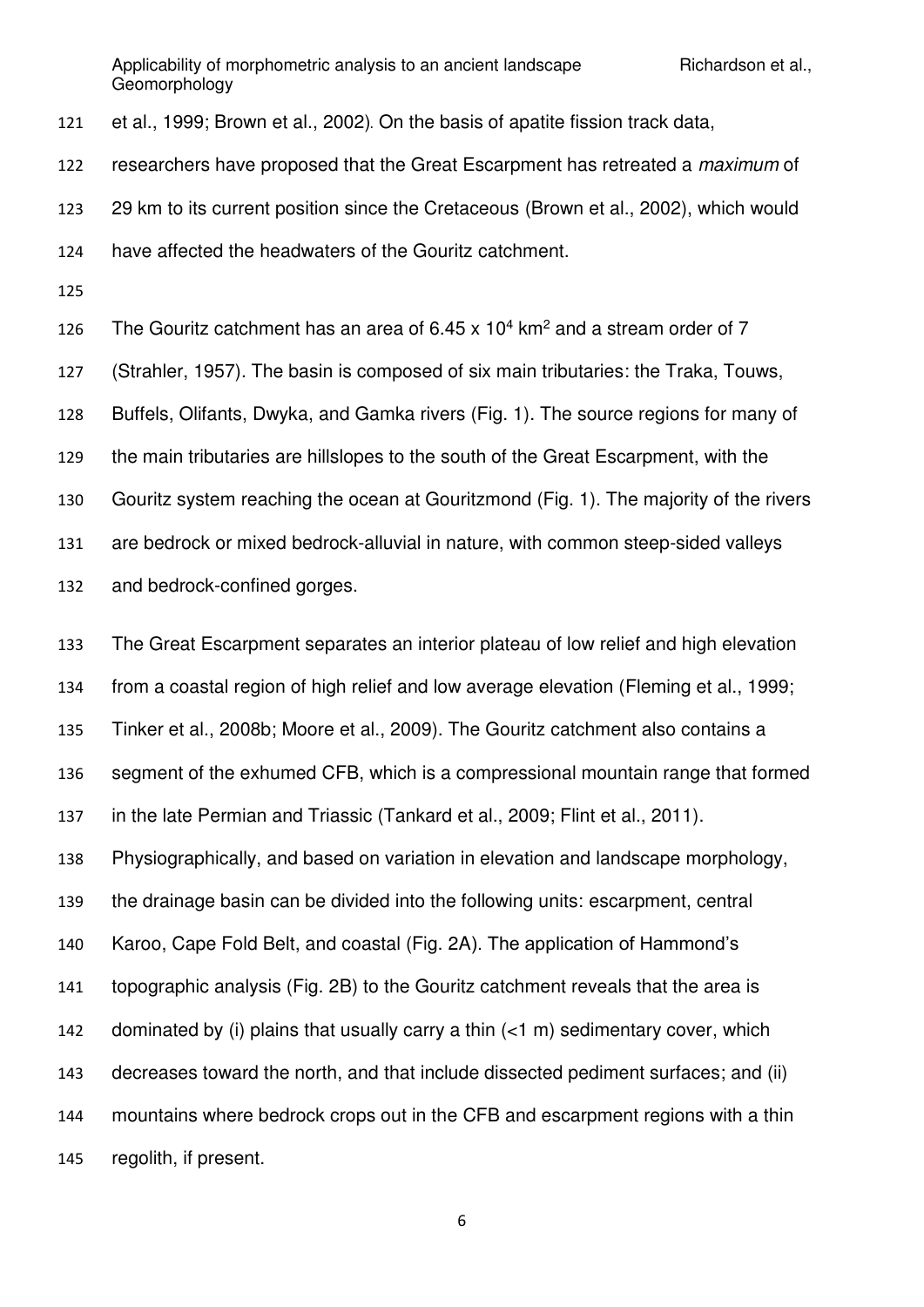et al., 1999; Brown et al., 2002). On the basis of apatite fission track data,

researchers have proposed that the Great Escarpment has retreated a *maximum* of

29 km to its current position since the Cretaceous (Brown et al., 2002), which would

- have affected the headwaters of the Gouritz catchment.
- 

126 The Gouritz catchment has an area of  $6.45 \times 10^4$  km<sup>2</sup> and a stream order of 7 (Strahler, 1957). The basin is composed of six main tributaries: the Traka, Touws, Buffels, Olifants, Dwyka, and Gamka rivers (Fig. 1). The source regions for many of the main tributaries are hillslopes to the south of the Great Escarpment, with the Gouritz system reaching the ocean at Gouritzmond (Fig. 1). The majority of the rivers are bedrock or mixed bedrock-alluvial in nature, with common steep-sided valleys and bedrock-confined gorges.

 The Great Escarpment separates an interior plateau of low relief and high elevation from a coastal region of high relief and low average elevation (Fleming et al., 1999; Tinker et al., 2008b; Moore et al., 2009). The Gouritz catchment also contains a segment of the exhumed CFB, which is a compressional mountain range that formed in the late Permian and Triassic (Tankard et al., 2009; Flint et al., 2011). Physiographically, and based on variation in elevation and landscape morphology, the drainage basin can be divided into the following units: escarpment, central Karoo, Cape Fold Belt, and coastal (Fig. 2A). The application of Hammond's topographic analysis (Fig. 2B) to the Gouritz catchment reveals that the area is 142 dominated by (i) plains that usually carry a thin  $(<1$  m) sedimentary cover, which decreases toward the north, and that include dissected pediment surfaces; and (ii) mountains where bedrock crops out in the CFB and escarpment regions with a thin regolith, if present.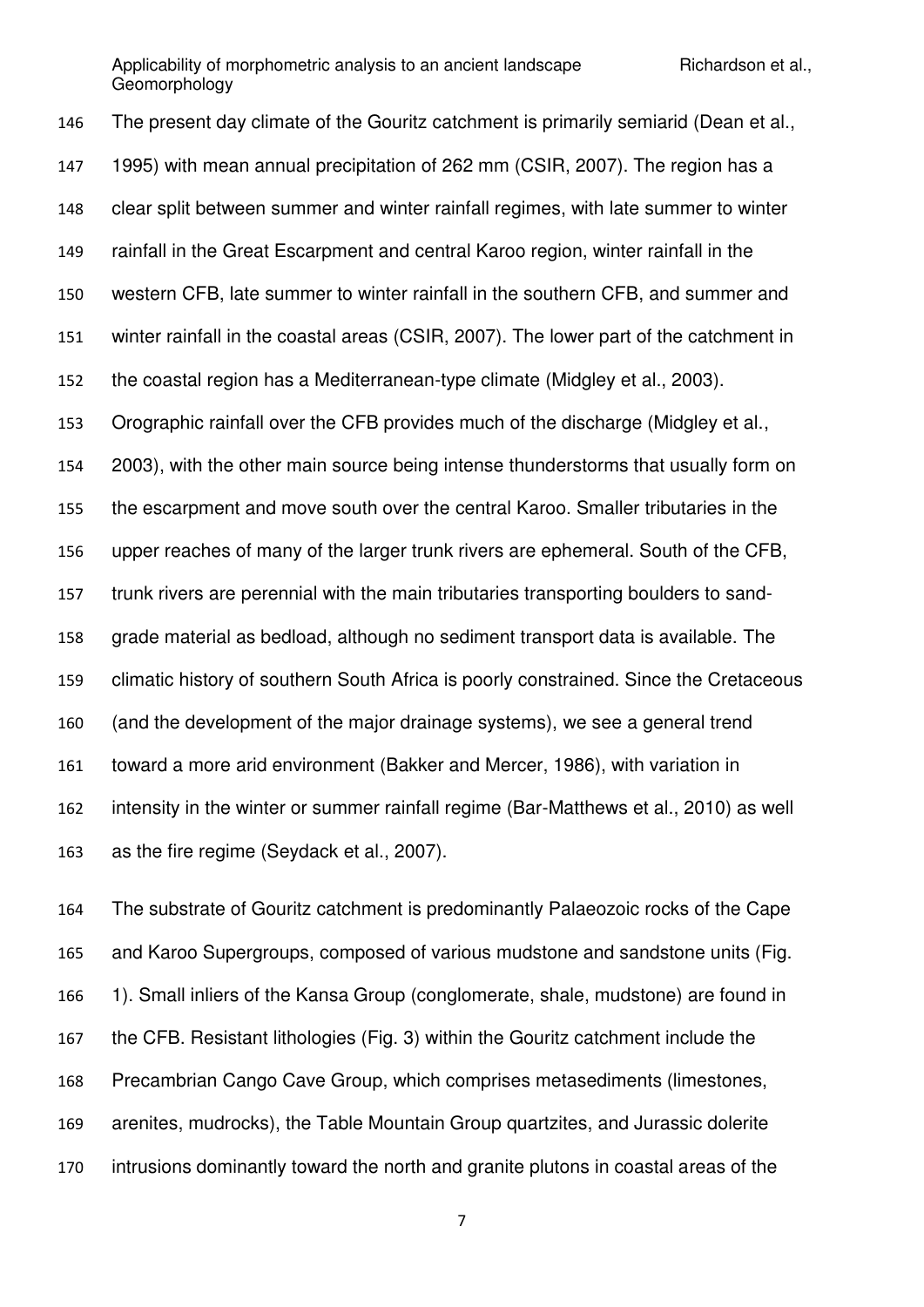The present day climate of the Gouritz catchment is primarily semiarid (Dean et al., 1995) with mean annual precipitation of 262 mm (CSIR, 2007). The region has a clear split between summer and winter rainfall regimes, with late summer to winter rainfall in the Great Escarpment and central Karoo region, winter rainfall in the western CFB, late summer to winter rainfall in the southern CFB, and summer and winter rainfall in the coastal areas (CSIR, 2007). The lower part of the catchment in the coastal region has a Mediterranean-type climate (Midgley et al., 2003). Orographic rainfall over the CFB provides much of the discharge (Midgley et al., 2003), with the other main source being intense thunderstorms that usually form on the escarpment and move south over the central Karoo. Smaller tributaries in the upper reaches of many of the larger trunk rivers are ephemeral. South of the CFB, trunk rivers are perennial with the main tributaries transporting boulders to sand- grade material as bedload, although no sediment transport data is available. The climatic history of southern South Africa is poorly constrained. Since the Cretaceous (and the development of the major drainage systems), we see a general trend toward a more arid environment (Bakker and Mercer, 1986), with variation in intensity in the winter or summer rainfall regime (Bar-Matthews et al., 2010) as well as the fire regime (Seydack et al., 2007).

 The substrate of Gouritz catchment is predominantly Palaeozoic rocks of the Cape and Karoo Supergroups, composed of various mudstone and sandstone units (Fig. 1). Small inliers of the Kansa Group (conglomerate, shale, mudstone) are found in the CFB. Resistant lithologies (Fig. 3) within the Gouritz catchment include the Precambrian Cango Cave Group, which comprises metasediments (limestones, arenites, mudrocks), the Table Mountain Group quartzites, and Jurassic dolerite intrusions dominantly toward the north and granite plutons in coastal areas of the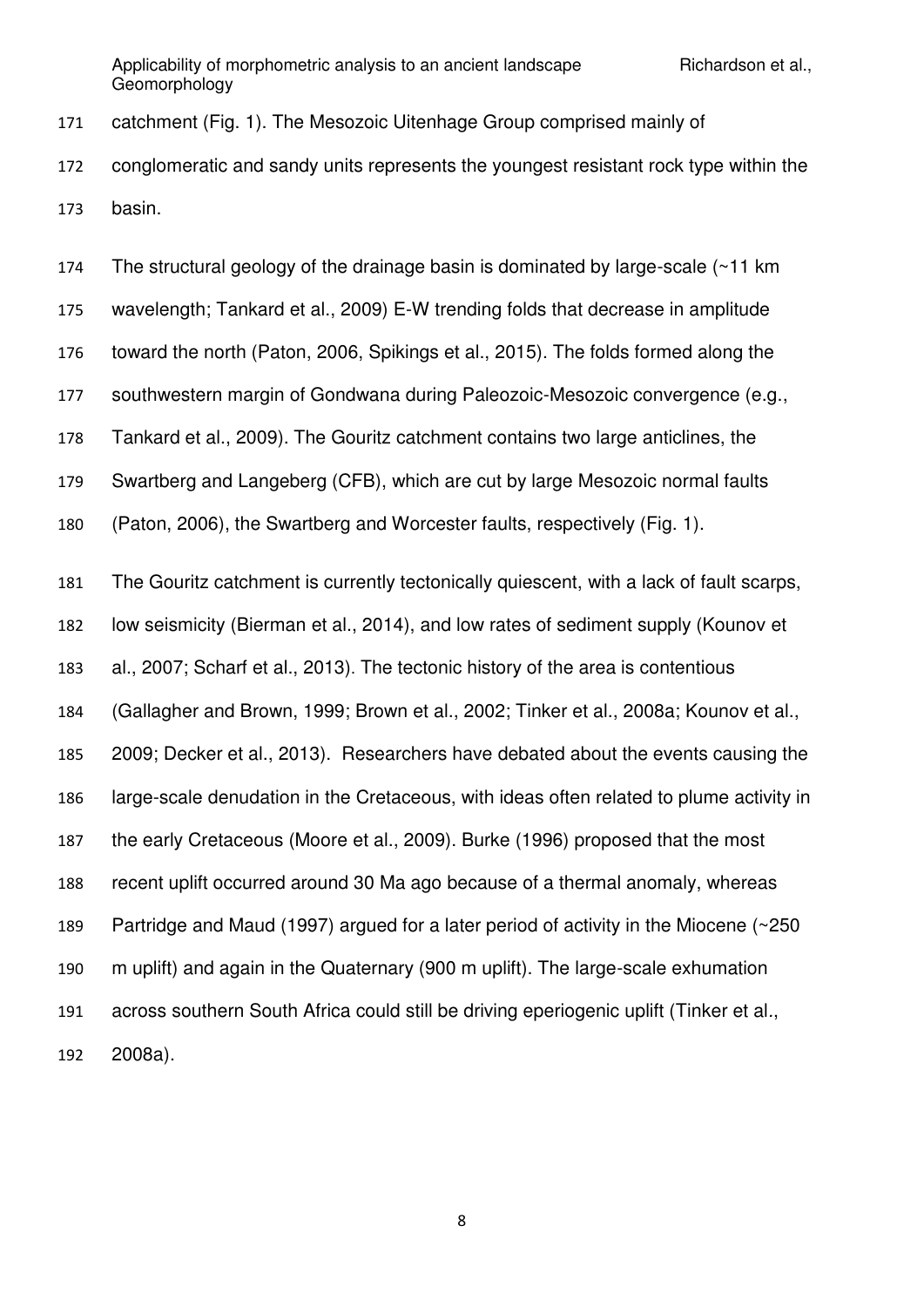catchment (Fig. 1). The Mesozoic Uitenhage Group comprised mainly of conglomeratic and sandy units represents the youngest resistant rock type within the basin.

 The structural geology of the drainage basin is dominated by large-scale (~11 km wavelength; Tankard et al., 2009) E-W trending folds that decrease in amplitude toward the north (Paton, 2006, Spikings et al., 2015). The folds formed along the southwestern margin of Gondwana during Paleozoic-Mesozoic convergence (e.g., Tankard et al., 2009). The Gouritz catchment contains two large anticlines, the Swartberg and Langeberg (CFB), which are cut by large Mesozoic normal faults

(Paton, 2006), the Swartberg and Worcester faults, respectively (Fig. 1).

 The Gouritz catchment is currently tectonically quiescent, with a lack of fault scarps, low seismicity (Bierman et al., 2014), and low rates of sediment supply (Kounov et al., 2007; Scharf et al., 2013). The tectonic history of the area is contentious (Gallagher and Brown, 1999; Brown et al., 2002; Tinker et al., 2008a; Kounov et al., 2009; Decker et al., 2013). Researchers have debated about the events causing the large-scale denudation in the Cretaceous, with ideas often related to plume activity in the early Cretaceous (Moore et al., 2009). Burke (1996) proposed that the most recent uplift occurred around 30 Ma ago because of a thermal anomaly, whereas Partridge and Maud (1997) argued for a later period of activity in the Miocene (~250 m uplift) and again in the Quaternary (900 m uplift). The large-scale exhumation across southern South Africa could still be driving eperiogenic uplift (Tinker et al*.*, 2008a).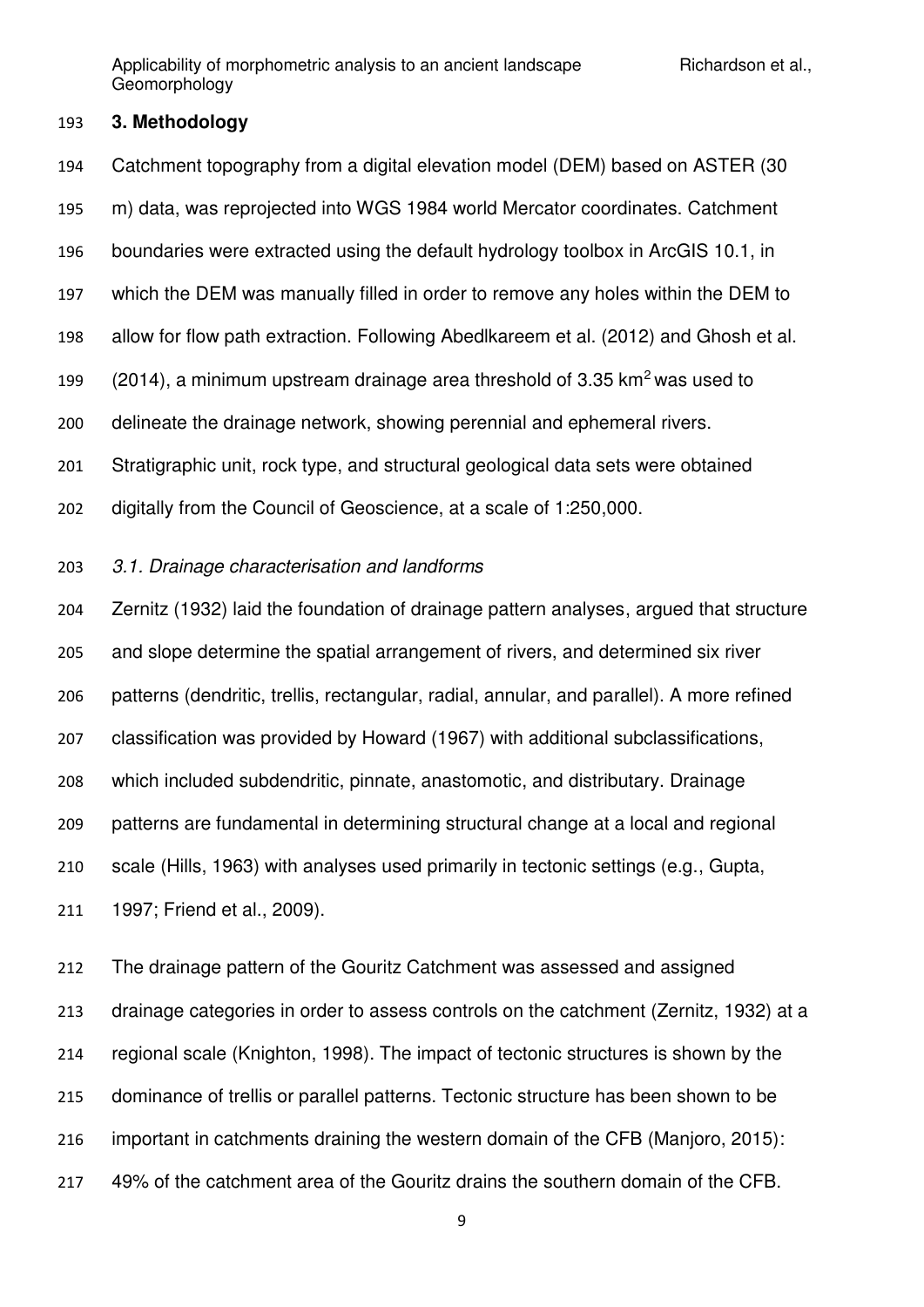### **3. Methodology**

 Catchment topography from a digital elevation model (DEM) based on ASTER (30 m) data, was reprojected into WGS 1984 world Mercator coordinates. Catchment boundaries were extracted using the default hydrology toolbox in ArcGIS 10.1, in which the DEM was manually filled in order to remove any holes within the DEM to allow for flow path extraction. Following Abedlkareem et al. (2012) and Ghosh et al. (2014), a minimum upstream drainage area threshold of 3.35 km<sup>2</sup>was used to delineate the drainage network, showing perennial and ephemeral rivers. Stratigraphic unit, rock type, and structural geological data sets were obtained digitally from the Council of Geoscience, at a scale of 1:250,000.

## *3.1. Drainage characterisation and landforms*

 Zernitz (1932) laid the foundation of drainage pattern analyses, argued that structure and slope determine the spatial arrangement of rivers, and determined six river patterns (dendritic, trellis, rectangular, radial, annular, and parallel). A more refined classification was provided by Howard (1967) with additional subclassifications, which included subdendritic, pinnate, anastomotic, and distributary. Drainage patterns are fundamental in determining structural change at a local and regional scale (Hills, 1963) with analyses used primarily in tectonic settings (e.g., Gupta, 1997; Friend et al., 2009).

 The drainage pattern of the Gouritz Catchment was assessed and assigned drainage categories in order to assess controls on the catchment (Zernitz, 1932) at a regional scale (Knighton, 1998). The impact of tectonic structures is shown by the dominance of trellis or parallel patterns. Tectonic structure has been shown to be important in catchments draining the western domain of the CFB (Manjoro, 2015): 49% of the catchment area of the Gouritz drains the southern domain of the CFB.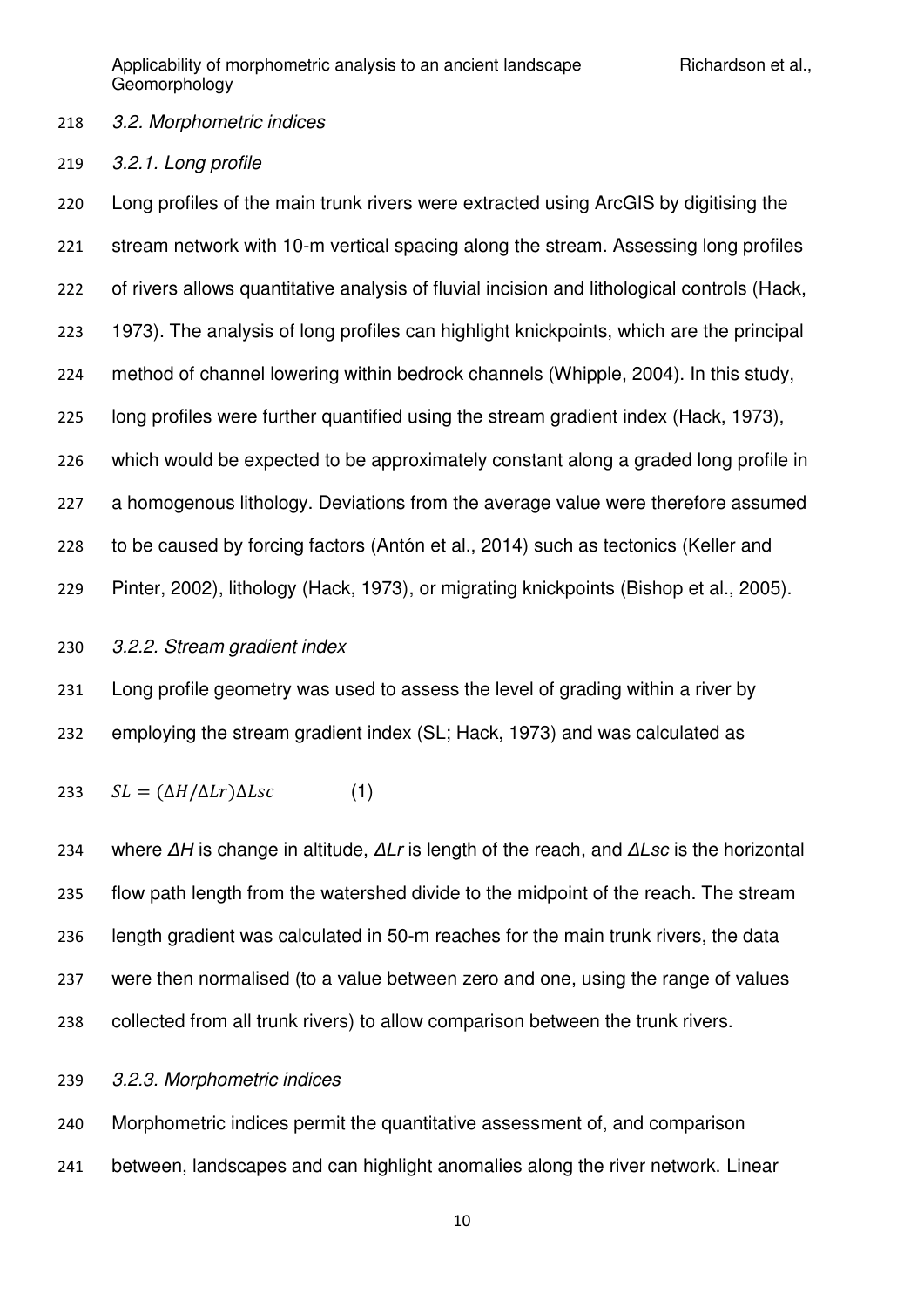### *3.2. Morphometric indices*

*3.2.1. Long profile*

 Long profiles of the main trunk rivers were extracted using ArcGIS by digitising the stream network with 10-m vertical spacing along the stream. Assessing long profiles of rivers allows quantitative analysis of fluvial incision and lithological controls (Hack, 1973). The analysis of long profiles can highlight knickpoints, which are the principal method of channel lowering within bedrock channels (Whipple, 2004). In this study, long profiles were further quantified using the stream gradient index (Hack, 1973), which would be expected to be approximately constant along a graded long profile in a homogenous lithology. Deviations from the average value were therefore assumed to be caused by forcing factors (Antón et al., 2014) such as tectonics (Keller and Pinter, 2002), lithology (Hack, 1973), or migrating knickpoints (Bishop et al., 2005).

### *3.2.2. Stream gradient index*

 Long profile geometry was used to assess the level of grading within a river by employing the stream gradient index (SL; Hack, 1973) and was calculated as

$$
SL = (\Delta H / \Delta L r) \Delta L s c \tag{1}
$$

234 where ΔH is change in altitude, ΔLr is length of the reach, and ΔLsc is the horizontal flow path length from the watershed divide to the midpoint of the reach. The stream length gradient was calculated in 50-m reaches for the main trunk rivers, the data were then normalised (to a value between zero and one, using the range of values collected from all trunk rivers) to allow comparison between the trunk rivers.

### *3.2.3. Morphometric indices*

 Morphometric indices permit the quantitative assessment of, and comparison between, landscapes and can highlight anomalies along the river network. Linear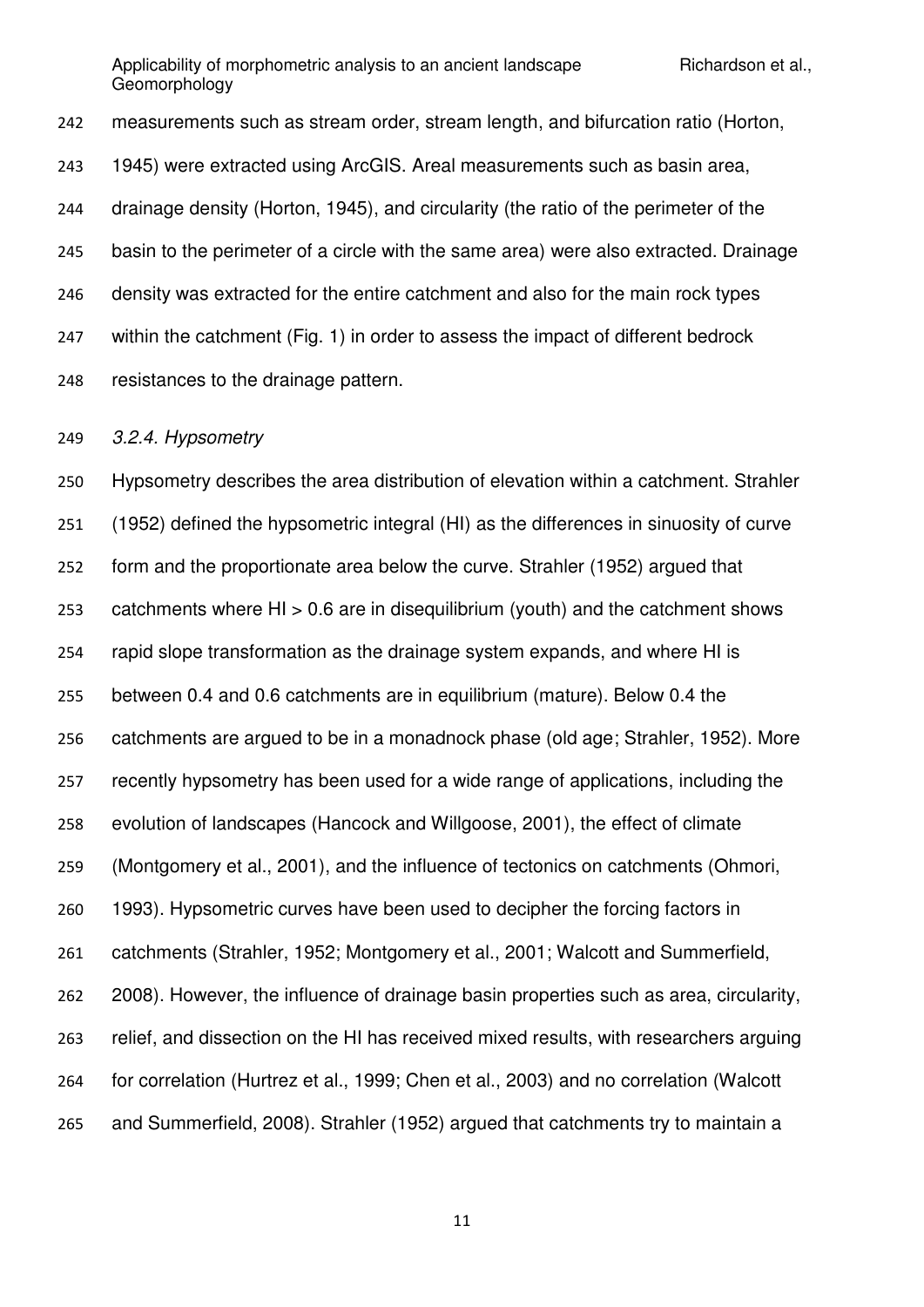measurements such as stream order, stream length, and bifurcation ratio (Horton, 1945) were extracted using ArcGIS. Areal measurements such as basin area, drainage density (Horton, 1945), and circularity (the ratio of the perimeter of the basin to the perimeter of a circle with the same area) were also extracted. Drainage density was extracted for the entire catchment and also for the main rock types within the catchment (Fig. 1) in order to assess the impact of different bedrock resistances to the drainage pattern.

*3.2.4. Hypsometry* 

 Hypsometry describes the area distribution of elevation within a catchment. Strahler (1952) defined the hypsometric integral (HI) as the differences in sinuosity of curve form and the proportionate area below the curve. Strahler (1952) argued that catchments where HI > 0.6 are in disequilibrium (youth) and the catchment shows rapid slope transformation as the drainage system expands, and where HI is between 0.4 and 0.6 catchments are in equilibrium (mature). Below 0.4 the catchments are argued to be in a monadnock phase (old age; Strahler, 1952). More recently hypsometry has been used for a wide range of applications, including the evolution of landscapes (Hancock and Willgoose, 2001), the effect of climate (Montgomery et al., 2001), and the influence of tectonics on catchments (Ohmori, 1993). Hypsometric curves have been used to decipher the forcing factors in catchments (Strahler, 1952; Montgomery et al., 2001; Walcott and Summerfield, 2008). However, the influence of drainage basin properties such as area, circularity, relief, and dissection on the HI has received mixed results, with researchers arguing for correlation (Hurtrez et al., 1999; Chen et al., 2003) and no correlation (Walcott and Summerfield, 2008). Strahler (1952) argued that catchments try to maintain a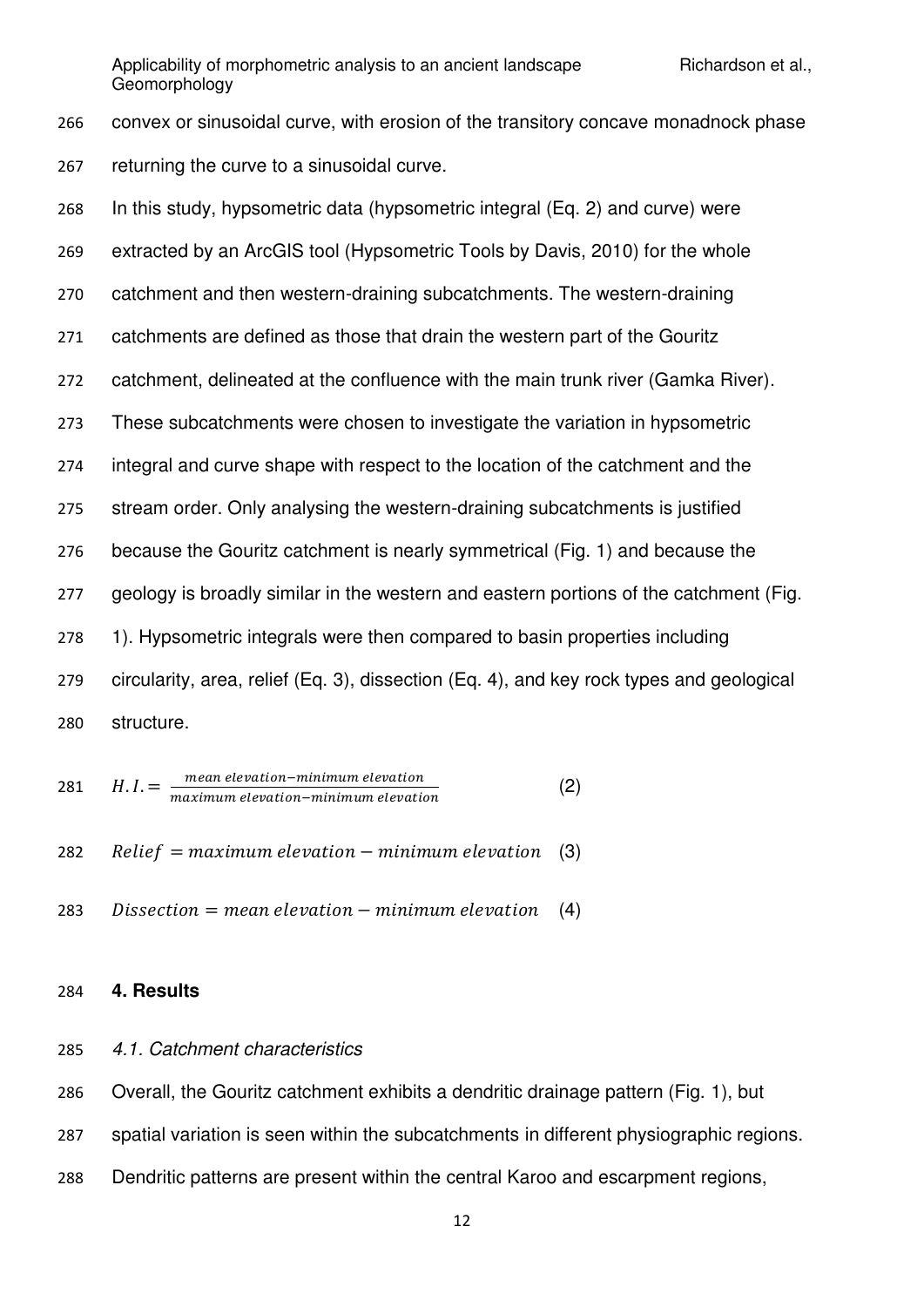convex or sinusoidal curve, with erosion of the transitory concave monadnock phase returning the curve to a sinusoidal curve.

| 268 | In this study, hypsometric data (hypsometric integral (Eq. 2) and curve) were            |
|-----|------------------------------------------------------------------------------------------|
| 269 | extracted by an ArcGIS tool (Hypsometric Tools by Davis, 2010) for the whole             |
| 270 | catchment and then western-draining subcatchments. The western-draining                  |
| 271 | catchments are defined as those that drain the western part of the Gouritz               |
| 272 | catchment, delineated at the confluence with the main trunk river (Gamka River).         |
| 273 | These subcatchments were chosen to investigate the variation in hypsometric              |
| 274 | integral and curve shape with respect to the location of the catchment and the           |
| 275 | stream order. Only analysing the western-draining subcatchments is justified             |
| 276 | because the Gouritz catchment is nearly symmetrical (Fig. 1) and because the             |
| 277 | geology is broadly similar in the western and eastern portions of the catchment (Fig.    |
| 278 | 1). Hypsometric integrals were then compared to basin properties including               |
| 279 | circularity, area, relief (Eq. 3), dissection (Eq. 4), and key rock types and geological |
| 280 | structure.                                                                               |

281 
$$
H.I. = \frac{mean\; elevation-minimum\; elevation}{maximum\; elevation-minimum\; elevation}
$$
 (2)

282 Relief = maximum elevation – minimum elevation  $(3)$ 

283 Dissection = mean elevation  $-$  minimum elevation (4)

### **4. Results**

## *4.1. Catchment characteristics*

Overall, the Gouritz catchment exhibits a dendritic drainage pattern (Fig. 1), but

spatial variation is seen within the subcatchments in different physiographic regions.

Dendritic patterns are present within the central Karoo and escarpment regions,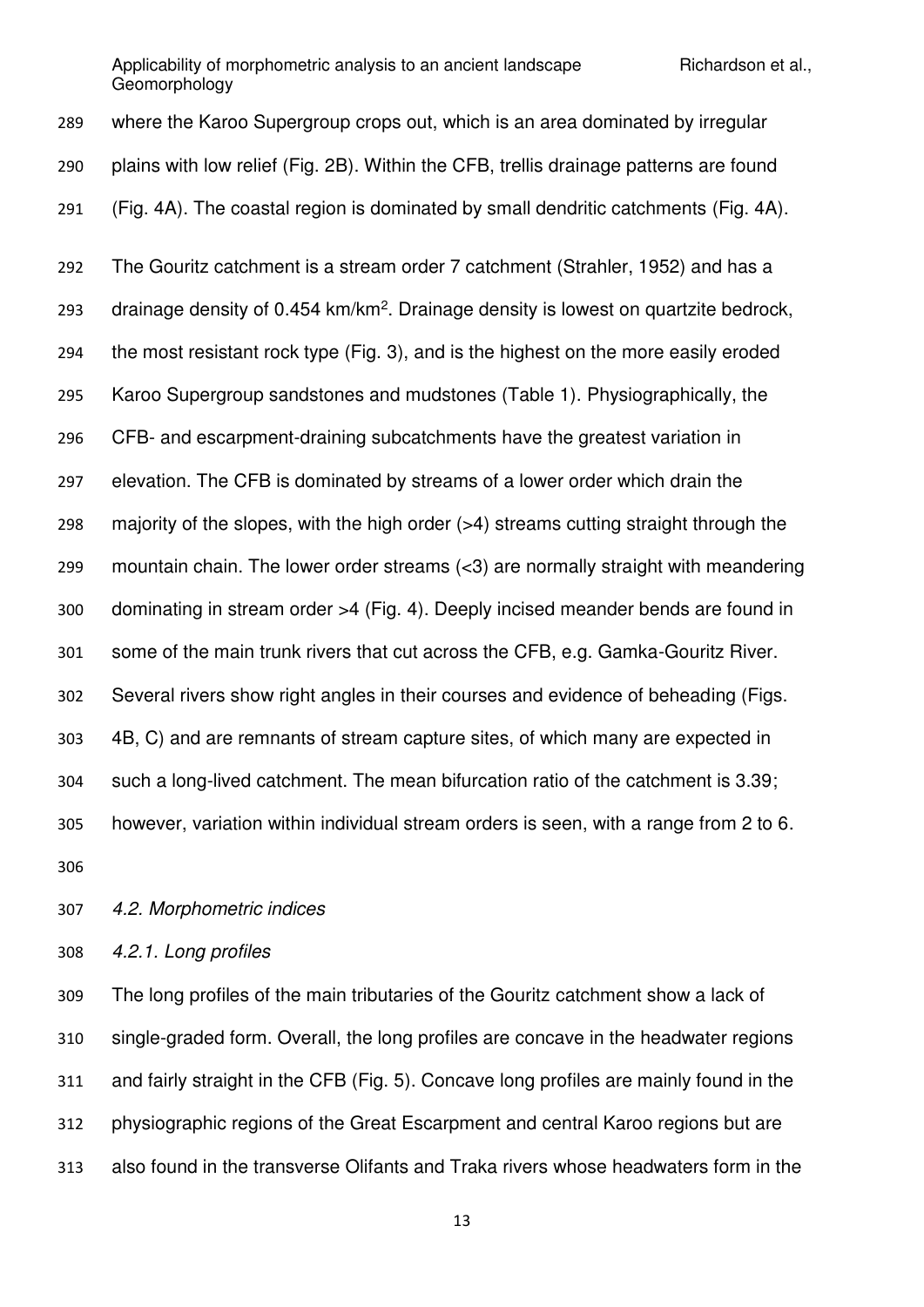where the Karoo Supergroup crops out, which is an area dominated by irregular plains with low relief (Fig. 2B). Within the CFB, trellis drainage patterns are found (Fig. 4A). The coastal region is dominated by small dendritic catchments (Fig. 4A). The Gouritz catchment is a stream order 7 catchment (Strahler, 1952) and has a 293 drainage density of  $0.454 \text{ km/km}^2$ . Drainage density is lowest on quartzite bedrock, the most resistant rock type (Fig. 3), and is the highest on the more easily eroded Karoo Supergroup sandstones and mudstones (Table 1). Physiographically, the CFB- and escarpment-draining subcatchments have the greatest variation in elevation. The CFB is dominated by streams of a lower order which drain the majority of the slopes, with the high order (>4) streams cutting straight through the mountain chain. The lower order streams (<3) are normally straight with meandering dominating in stream order >4 (Fig. 4). Deeply incised meander bends are found in some of the main trunk rivers that cut across the CFB, e.g. Gamka-Gouritz River. Several rivers show right angles in their courses and evidence of beheading (Figs. 4B, C) and are remnants of stream capture sites, of which many are expected in such a long-lived catchment. The mean bifurcation ratio of the catchment is 3.39; however, variation within individual stream orders is seen, with a range from 2 to 6. 

*4.2. Morphometric indices* 

*4.2.1. Long profiles* 

 The long profiles of the main tributaries of the Gouritz catchment show a lack of single-graded form. Overall, the long profiles are concave in the headwater regions and fairly straight in the CFB (Fig. 5). Concave long profiles are mainly found in the physiographic regions of the Great Escarpment and central Karoo regions but are also found in the transverse Olifants and Traka rivers whose headwaters form in the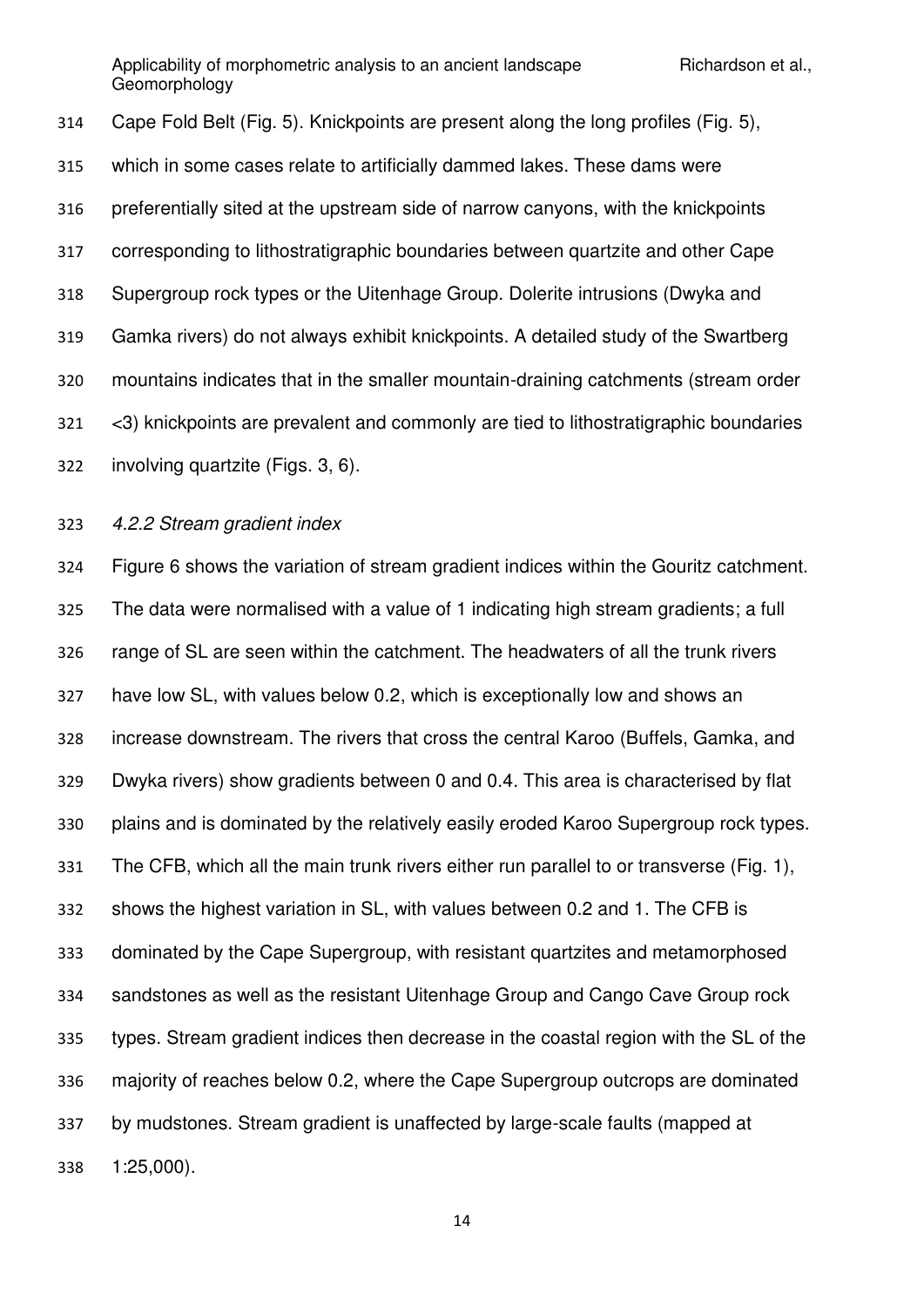Cape Fold Belt (Fig. 5). Knickpoints are present along the long profiles (Fig. 5), which in some cases relate to artificially dammed lakes. These dams were preferentially sited at the upstream side of narrow canyons, with the knickpoints corresponding to lithostratigraphic boundaries between quartzite and other Cape Supergroup rock types or the Uitenhage Group. Dolerite intrusions (Dwyka and Gamka rivers) do not always exhibit knickpoints. A detailed study of the Swartberg mountains indicates that in the smaller mountain-draining catchments (stream order <3) knickpoints are prevalent and commonly are tied to lithostratigraphic boundaries involving quartzite (Figs. 3, 6).

*4.2.2 Stream gradient index* 

 Figure 6 shows the variation of stream gradient indices within the Gouritz catchment. The data were normalised with a value of 1 indicating high stream gradients; a full range of SL are seen within the catchment. The headwaters of all the trunk rivers have low SL, with values below 0.2, which is exceptionally low and shows an increase downstream. The rivers that cross the central Karoo (Buffels, Gamka, and Dwyka rivers) show gradients between 0 and 0.4. This area is characterised by flat plains and is dominated by the relatively easily eroded Karoo Supergroup rock types. The CFB, which all the main trunk rivers either run parallel to or transverse (Fig. 1), shows the highest variation in SL, with values between 0.2 and 1. The CFB is dominated by the Cape Supergroup, with resistant quartzites and metamorphosed sandstones as well as the resistant Uitenhage Group and Cango Cave Group rock types. Stream gradient indices then decrease in the coastal region with the SL of the majority of reaches below 0.2, where the Cape Supergroup outcrops are dominated by mudstones. Stream gradient is unaffected by large-scale faults (mapped at 1:25,000).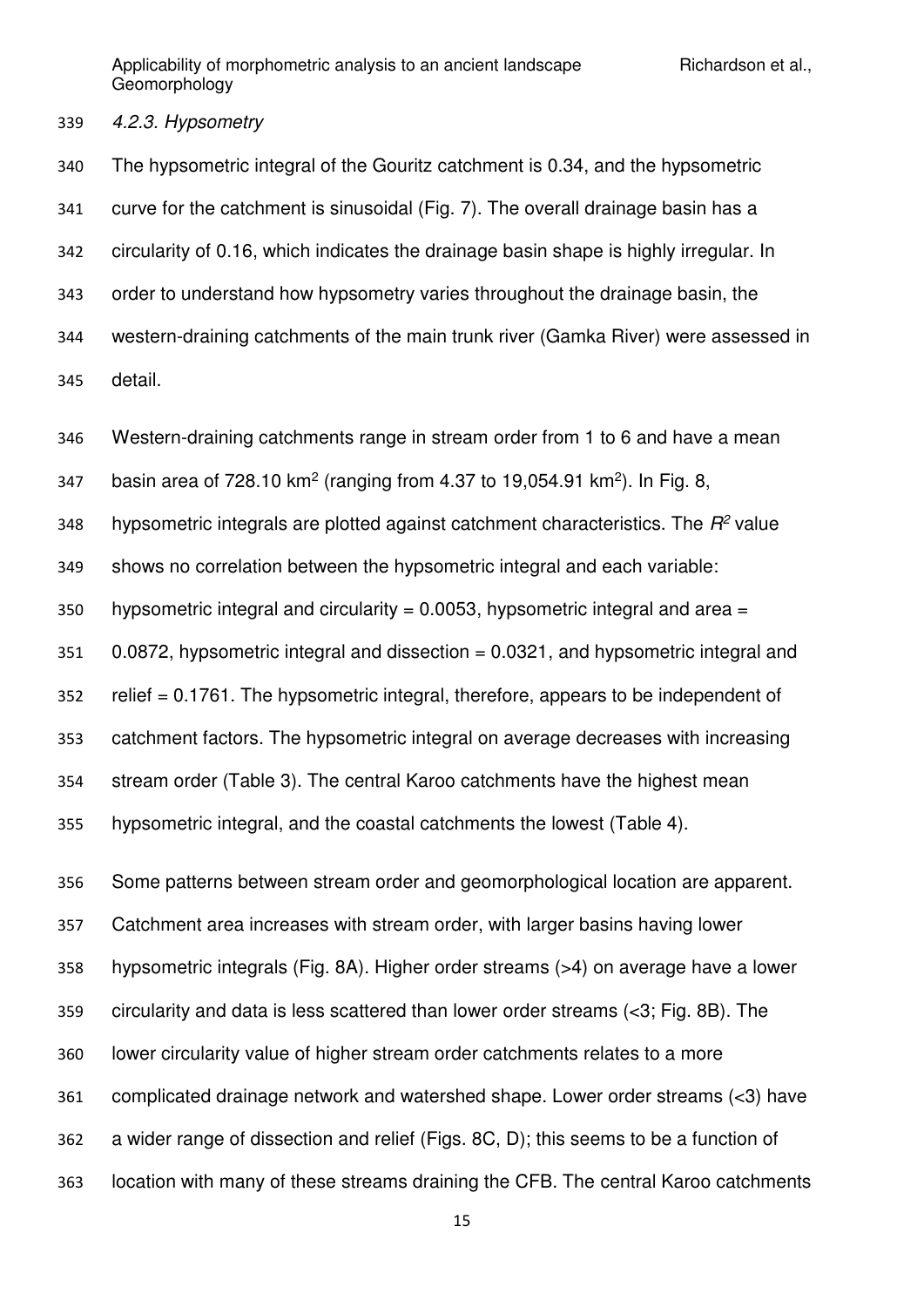### *4.2.3. Hypsometry*

 The hypsometric integral of the Gouritz catchment is 0.34, and the hypsometric curve for the catchment is sinusoidal (Fig. 7). The overall drainage basin has a circularity of 0.16, which indicates the drainage basin shape is highly irregular. In order to understand how hypsometry varies throughout the drainage basin, the western-draining catchments of the main trunk river (Gamka River) were assessed in detail.

Western-draining catchments range in stream order from 1 to 6 and have a mean

347 basin area of 728.10 km<sup>2</sup> (ranging from 4.37 to 19,054.91 km<sup>2</sup>). In Fig. 8,

hypsometric integrals are plotted against catchment characteristics. The  $R^2$  value

shows no correlation between the hypsometric integral and each variable:

350 hypsometric integral and circularity =  $0.0053$ , hypsometric integral and area =

0.0872, hypsometric integral and dissection = 0.0321, and hypsometric integral and

relief = 0.1761. The hypsometric integral, therefore, appears to be independent of

catchment factors. The hypsometric integral on average decreases with increasing

stream order (Table 3). The central Karoo catchments have the highest mean

hypsometric integral, and the coastal catchments the lowest (Table 4).

 Some patterns between stream order and geomorphological location are apparent. Catchment area increases with stream order, with larger basins having lower hypsometric integrals (Fig. 8A). Higher order streams (>4) on average have a lower circularity and data is less scattered than lower order streams (<3; Fig. 8B). The lower circularity value of higher stream order catchments relates to a more complicated drainage network and watershed shape. Lower order streams (<3) have a wider range of dissection and relief (Figs. 8C, D); this seems to be a function of location with many of these streams draining the CFB. The central Karoo catchments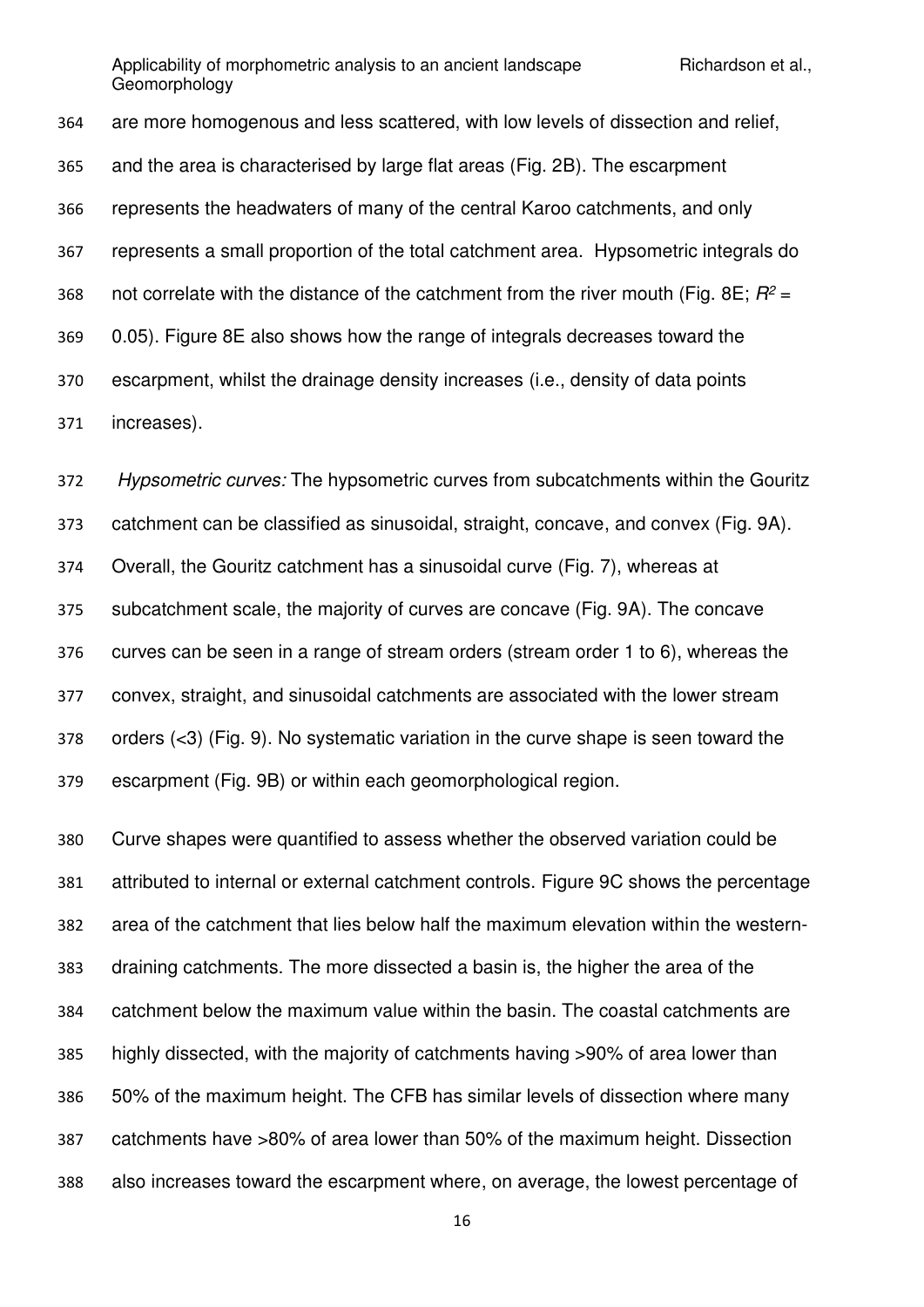are more homogenous and less scattered, with low levels of dissection and relief, and the area is characterised by large flat areas (Fig. 2B). The escarpment represents the headwaters of many of the central Karoo catchments, and only represents a small proportion of the total catchment area. Hypsometric integrals do 368 not correlate with the distance of the catchment from the river mouth (Fig. 8E;  $R^2$  = 0.05). Figure 8E also shows how the range of integrals decreases toward the escarpment, whilst the drainage density increases (i.e., density of data points increases).

 *Hypsometric curves:* The hypsometric curves from subcatchments within the Gouritz catchment can be classified as sinusoidal, straight, concave, and convex (Fig. 9A). Overall, the Gouritz catchment has a sinusoidal curve (Fig. 7), whereas at subcatchment scale, the majority of curves are concave (Fig. 9A). The concave curves can be seen in a range of stream orders (stream order 1 to 6), whereas the convex, straight, and sinusoidal catchments are associated with the lower stream orders (<3) (Fig. 9). No systematic variation in the curve shape is seen toward the escarpment (Fig. 9B) or within each geomorphological region.

 Curve shapes were quantified to assess whether the observed variation could be attributed to internal or external catchment controls. Figure 9C shows the percentage area of the catchment that lies below half the maximum elevation within the western- draining catchments. The more dissected a basin is, the higher the area of the catchment below the maximum value within the basin. The coastal catchments are highly dissected, with the majority of catchments having >90% of area lower than 50% of the maximum height. The CFB has similar levels of dissection where many catchments have >80% of area lower than 50% of the maximum height. Dissection also increases toward the escarpment where, on average, the lowest percentage of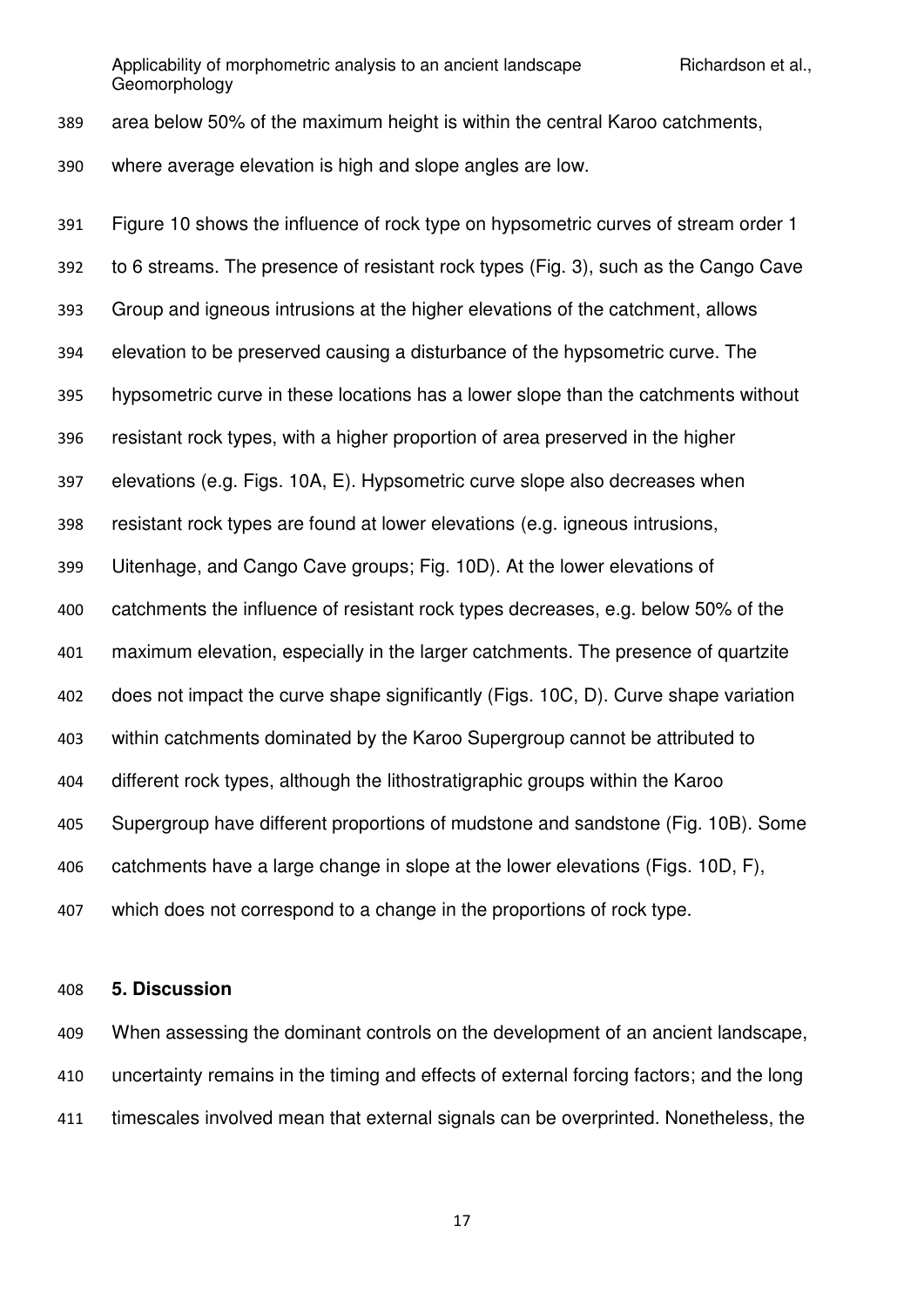area below 50% of the maximum height is within the central Karoo catchments,

where average elevation is high and slope angles are low.

 Figure 10 shows the influence of rock type on hypsometric curves of stream order 1 to 6 streams. The presence of resistant rock types (Fig. 3), such as the Cango Cave Group and igneous intrusions at the higher elevations of the catchment, allows elevation to be preserved causing a disturbance of the hypsometric curve. The hypsometric curve in these locations has a lower slope than the catchments without resistant rock types, with a higher proportion of area preserved in the higher elevations (e.g. Figs. 10A, E). Hypsometric curve slope also decreases when resistant rock types are found at lower elevations (e.g. igneous intrusions, Uitenhage, and Cango Cave groups; Fig. 10D). At the lower elevations of catchments the influence of resistant rock types decreases, e.g. below 50% of the maximum elevation, especially in the larger catchments. The presence of quartzite does not impact the curve shape significantly (Figs. 10C, D). Curve shape variation within catchments dominated by the Karoo Supergroup cannot be attributed to different rock types, although the lithostratigraphic groups within the Karoo Supergroup have different proportions of mudstone and sandstone (Fig. 10B). Some catchments have a large change in slope at the lower elevations (Figs. 10D, F), which does not correspond to a change in the proportions of rock type.

### **5. Discussion**

 When assessing the dominant controls on the development of an ancient landscape, uncertainty remains in the timing and effects of external forcing factors; and the long timescales involved mean that external signals can be overprinted. Nonetheless, the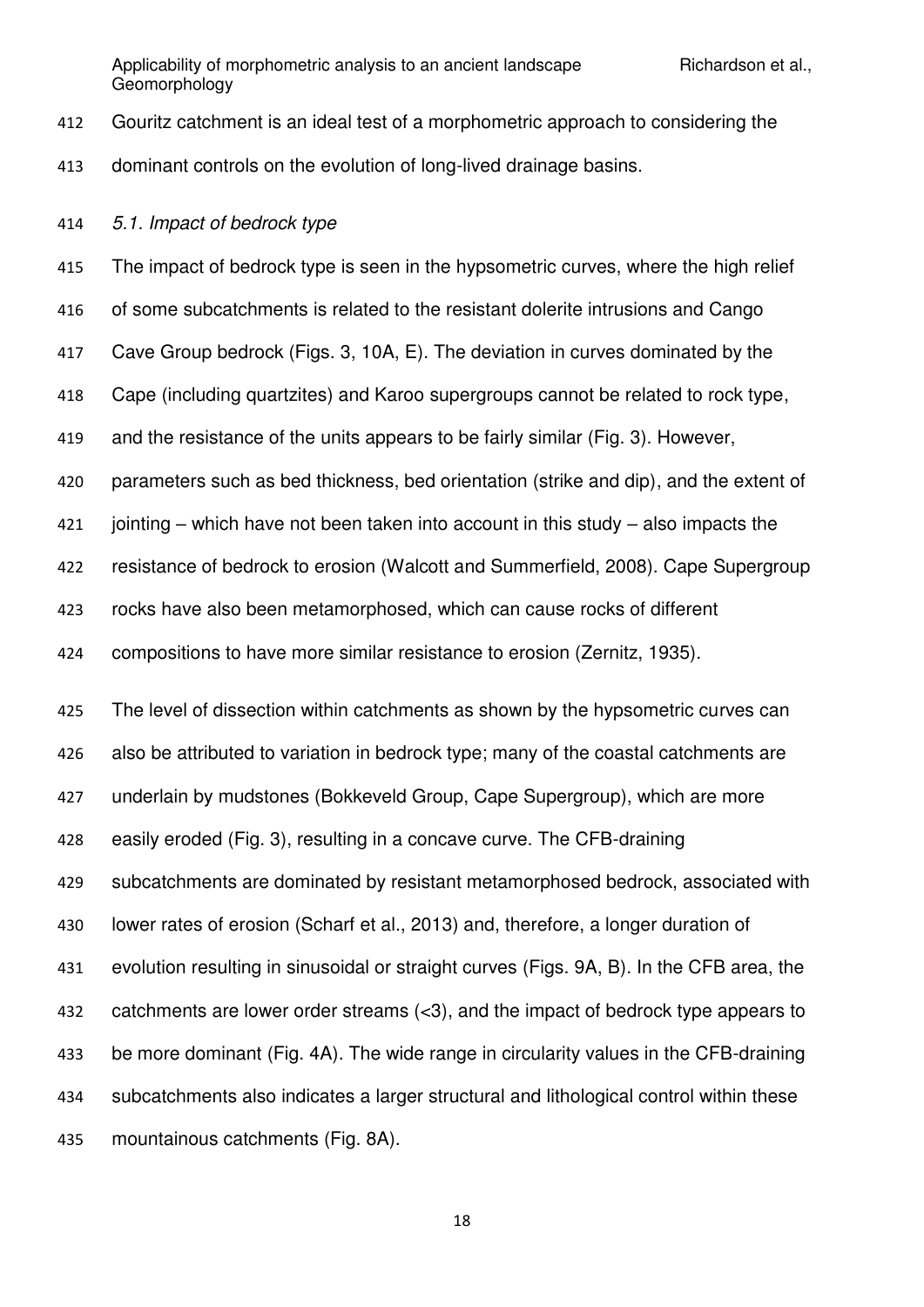Gouritz catchment is an ideal test of a morphometric approach to considering the dominant controls on the evolution of long-lived drainage basins.

*5.1. Impact of bedrock type* 

 The impact of bedrock type is seen in the hypsometric curves, where the high relief of some subcatchments is related to the resistant dolerite intrusions and Cango Cave Group bedrock (Figs. 3, 10A, E). The deviation in curves dominated by the Cape (including quartzites) and Karoo supergroups cannot be related to rock type, and the resistance of the units appears to be fairly similar (Fig. 3). However, parameters such as bed thickness, bed orientation (strike and dip), and the extent of jointing – which have not been taken into account in this study – also impacts the resistance of bedrock to erosion (Walcott and Summerfield, 2008). Cape Supergroup rocks have also been metamorphosed, which can cause rocks of different compositions to have more similar resistance to erosion (Zernitz, 1935).

 The level of dissection within catchments as shown by the hypsometric curves can also be attributed to variation in bedrock type; many of the coastal catchments are underlain by mudstones (Bokkeveld Group, Cape Supergroup), which are more easily eroded (Fig. 3), resulting in a concave curve. The CFB-draining subcatchments are dominated by resistant metamorphosed bedrock, associated with lower rates of erosion (Scharf et al., 2013) and, therefore, a longer duration of evolution resulting in sinusoidal or straight curves (Figs. 9A, B). In the CFB area, the catchments are lower order streams (<3), and the impact of bedrock type appears to be more dominant (Fig. 4A). The wide range in circularity values in the CFB-draining subcatchments also indicates a larger structural and lithological control within these mountainous catchments (Fig. 8A).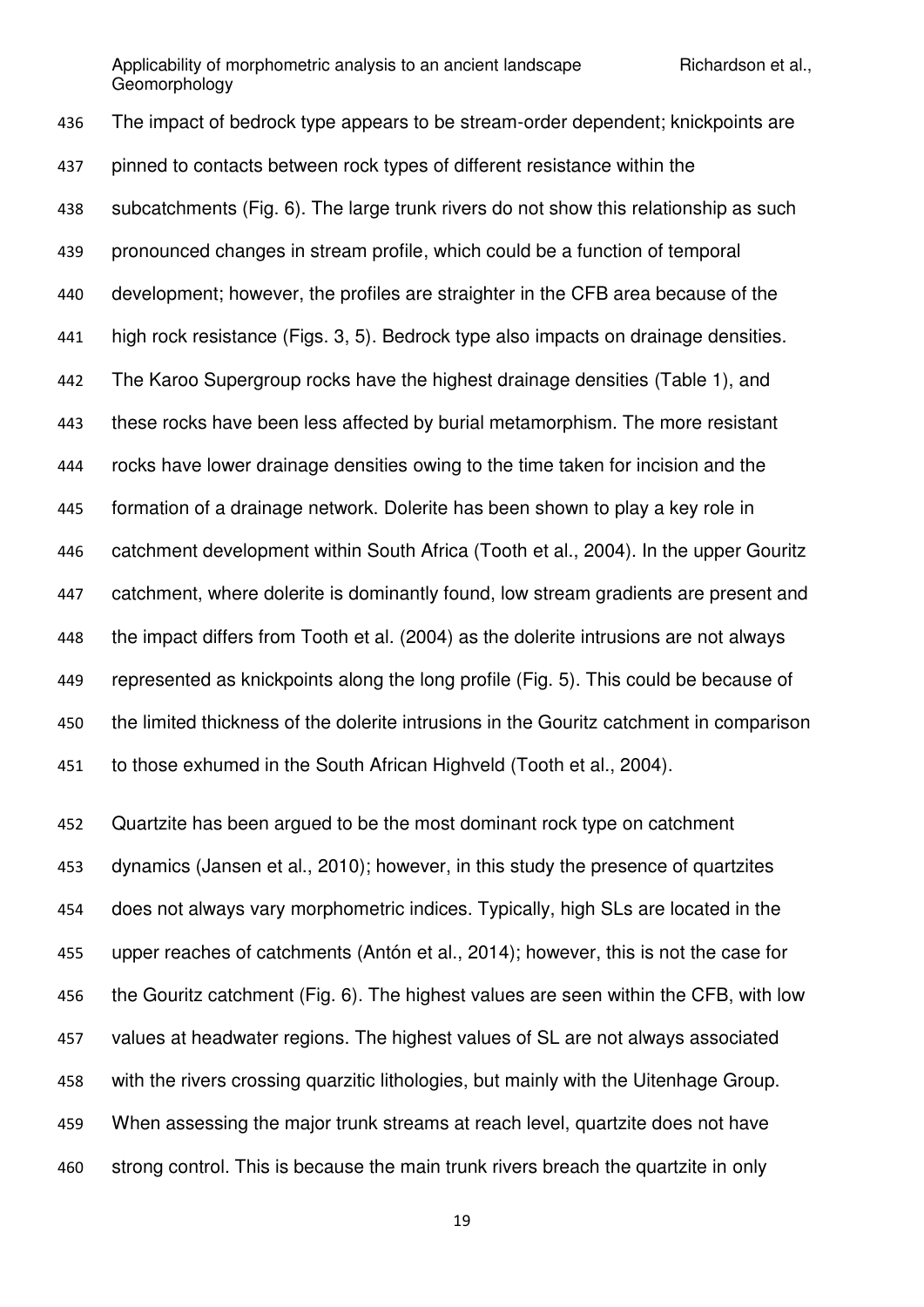The impact of bedrock type appears to be stream-order dependent; knickpoints are pinned to contacts between rock types of different resistance within the subcatchments (Fig. 6). The large trunk rivers do not show this relationship as such pronounced changes in stream profile, which could be a function of temporal development; however, the profiles are straighter in the CFB area because of the high rock resistance (Figs. 3, 5). Bedrock type also impacts on drainage densities. The Karoo Supergroup rocks have the highest drainage densities (Table 1), and these rocks have been less affected by burial metamorphism. The more resistant rocks have lower drainage densities owing to the time taken for incision and the formation of a drainage network. Dolerite has been shown to play a key role in catchment development within South Africa (Tooth et al., 2004). In the upper Gouritz 447 catchment, where dolerite is dominantly found, low stream gradients are present and the impact differs from Tooth et al. (2004) as the dolerite intrusions are not always represented as knickpoints along the long profile (Fig. 5). This could be because of the limited thickness of the dolerite intrusions in the Gouritz catchment in comparison to those exhumed in the South African Highveld (Tooth et al., 2004).

 Quartzite has been argued to be the most dominant rock type on catchment dynamics (Jansen et al., 2010); however, in this study the presence of quartzites does not always vary morphometric indices. Typically, high SLs are located in the upper reaches of catchments (Antón et al., 2014); however, this is not the case for the Gouritz catchment (Fig. 6). The highest values are seen within the CFB, with low values at headwater regions. The highest values of SL are not always associated with the rivers crossing quarzitic lithologies, but mainly with the Uitenhage Group. When assessing the major trunk streams at reach level, quartzite does not have strong control. This is because the main trunk rivers breach the quartzite in only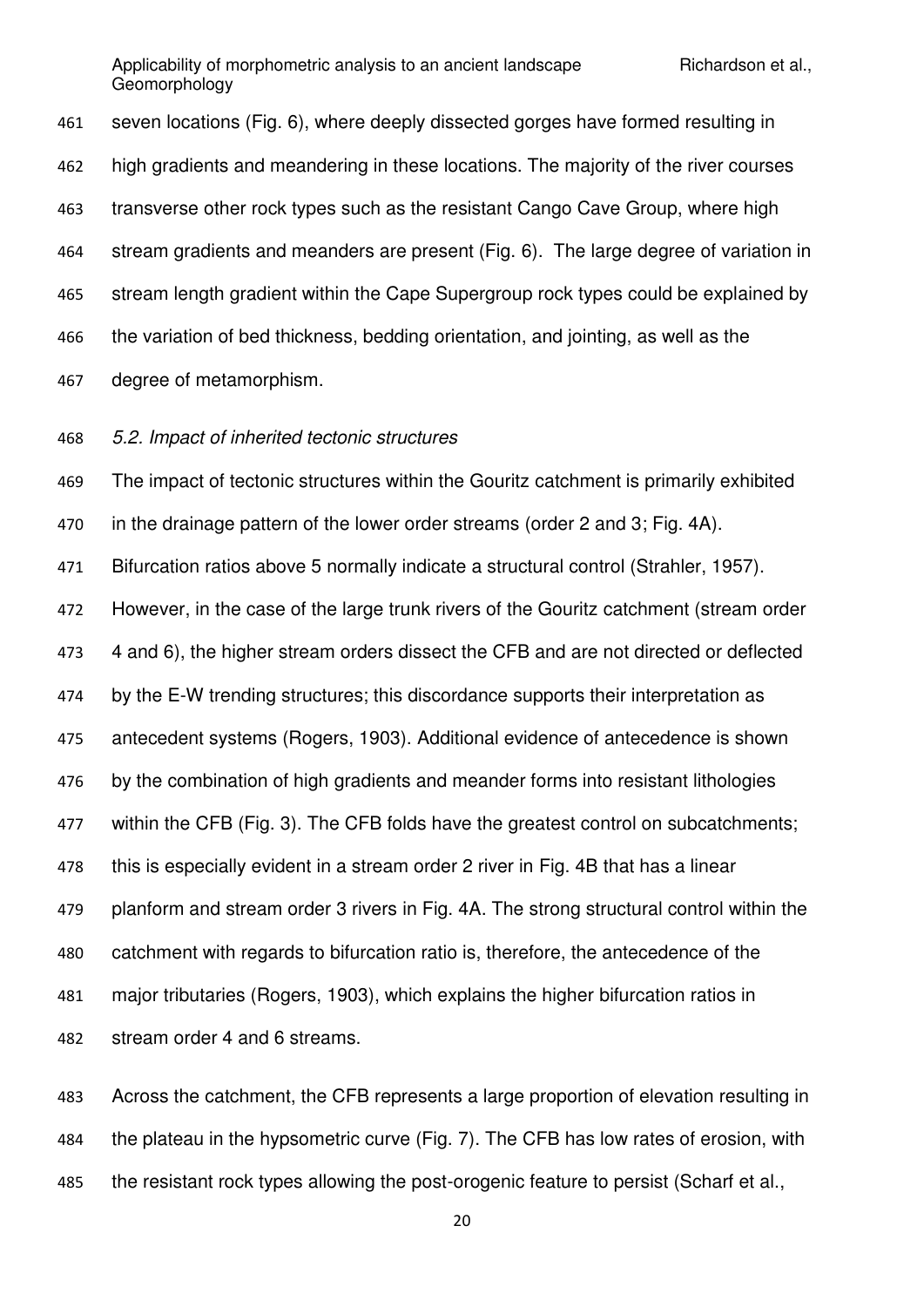seven locations (Fig. 6), where deeply dissected gorges have formed resulting in high gradients and meandering in these locations. The majority of the river courses transverse other rock types such as the resistant Cango Cave Group, where high stream gradients and meanders are present (Fig. 6). The large degree of variation in stream length gradient within the Cape Supergroup rock types could be explained by the variation of bed thickness, bedding orientation, and jointing, as well as the degree of metamorphism.

*5.2. Impact of inherited tectonic structures* 

The impact of tectonic structures within the Gouritz catchment is primarily exhibited

in the drainage pattern of the lower order streams (order 2 and 3; Fig. 4A).

Bifurcation ratios above 5 normally indicate a structural control (Strahler, 1957).

However, in the case of the large trunk rivers of the Gouritz catchment (stream order

4 and 6), the higher stream orders dissect the CFB and are not directed or deflected

by the E-W trending structures; this discordance supports their interpretation as

antecedent systems (Rogers, 1903). Additional evidence of antecedence is shown

by the combination of high gradients and meander forms into resistant lithologies

477 within the CFB (Fig. 3). The CFB folds have the greatest control on subcatchments;

this is especially evident in a stream order 2 river in Fig. 4B that has a linear

planform and stream order 3 rivers in Fig. 4A. The strong structural control within the

catchment with regards to bifurcation ratio is, therefore, the antecedence of the

major tributaries (Rogers, 1903), which explains the higher bifurcation ratios in

stream order 4 and 6 streams.

 Across the catchment, the CFB represents a large proportion of elevation resulting in the plateau in the hypsometric curve (Fig. 7). The CFB has low rates of erosion, with the resistant rock types allowing the post-orogenic feature to persist (Scharf et al.,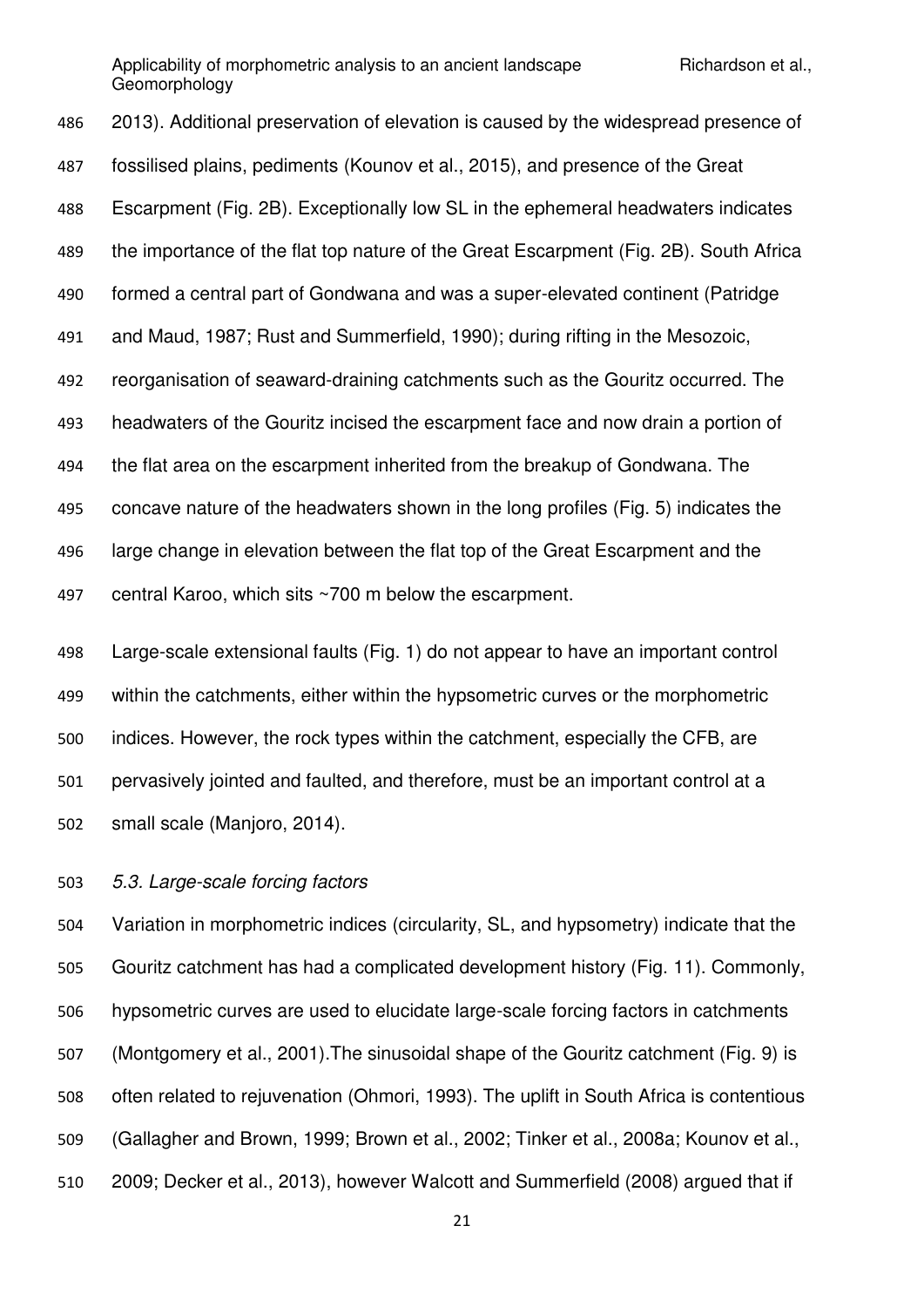2013). Additional preservation of elevation is caused by the widespread presence of fossilised plains, pediments (Kounov et al., 2015), and presence of the Great Escarpment (Fig. 2B). Exceptionally low SL in the ephemeral headwaters indicates the importance of the flat top nature of the Great Escarpment (Fig. 2B). South Africa formed a central part of Gondwana and was a super-elevated continent (Patridge and Maud, 1987; Rust and Summerfield, 1990); during rifting in the Mesozoic, reorganisation of seaward-draining catchments such as the Gouritz occurred. The headwaters of the Gouritz incised the escarpment face and now drain a portion of the flat area on the escarpment inherited from the breakup of Gondwana. The concave nature of the headwaters shown in the long profiles (Fig. 5) indicates the large change in elevation between the flat top of the Great Escarpment and the central Karoo, which sits ~700 m below the escarpment.

 Large-scale extensional faults (Fig. 1) do not appear to have an important control within the catchments, either within the hypsometric curves or the morphometric indices. However, the rock types within the catchment, especially the CFB, are pervasively jointed and faulted, and therefore, must be an important control at a small scale (Manjoro, 2014).

*5.3. Large-scale forcing factors* 

 Variation in morphometric indices (circularity, SL, and hypsometry) indicate that the Gouritz catchment has had a complicated development history (Fig. 11). Commonly, hypsometric curves are used to elucidate large-scale forcing factors in catchments (Montgomery et al., 2001).The sinusoidal shape of the Gouritz catchment (Fig. 9) is often related to rejuvenation (Ohmori, 1993). The uplift in South Africa is contentious (Gallagher and Brown, 1999; Brown et al., 2002; Tinker et al., 2008a; Kounov et al., 2009; Decker et al., 2013), however Walcott and Summerfield (2008) argued that if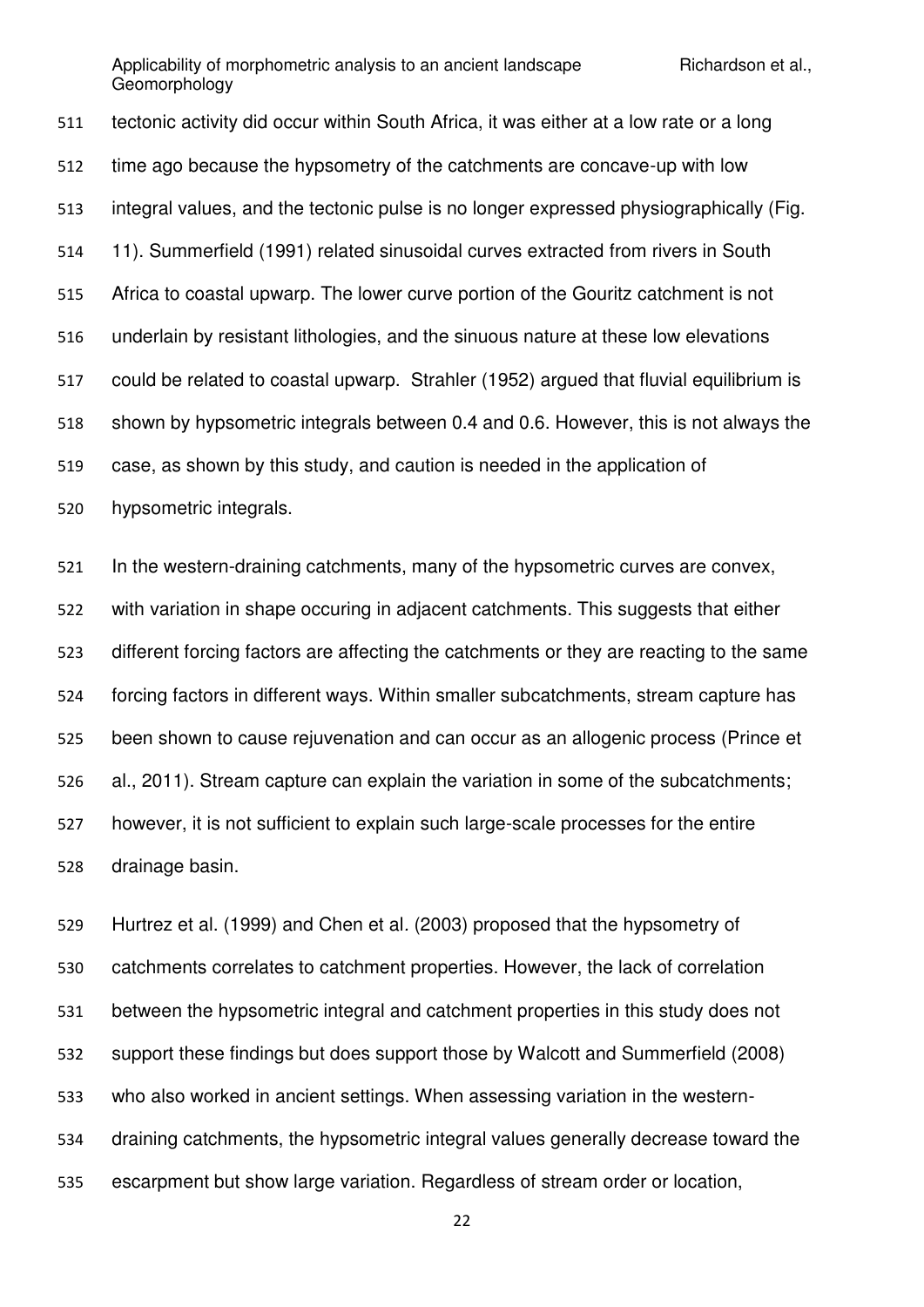tectonic activity did occur within South Africa, it was either at a low rate or a long time ago because the hypsometry of the catchments are concave-up with low integral values, and the tectonic pulse is no longer expressed physiographically (Fig. 11). Summerfield (1991) related sinusoidal curves extracted from rivers in South Africa to coastal upwarp. The lower curve portion of the Gouritz catchment is not underlain by resistant lithologies, and the sinuous nature at these low elevations could be related to coastal upwarp. Strahler (1952) argued that fluvial equilibrium is shown by hypsometric integrals between 0.4 and 0.6. However, this is not always the case, as shown by this study, and caution is needed in the application of hypsometric integrals.

 In the western-draining catchments, many of the hypsometric curves are convex, with variation in shape occuring in adjacent catchments. This suggests that either different forcing factors are affecting the catchments or they are reacting to the same forcing factors in different ways. Within smaller subcatchments, stream capture has been shown to cause rejuvenation and can occur as an allogenic process (Prince et al., 2011). Stream capture can explain the variation in some of the subcatchments; however, it is not sufficient to explain such large-scale processes for the entire drainage basin.

 Hurtrez et al. (1999) and Chen et al*.* (2003) proposed that the hypsometry of catchments correlates to catchment properties. However, the lack of correlation between the hypsometric integral and catchment properties in this study does not support these findings but does support those by Walcott and Summerfield (2008) who also worked in ancient settings. When assessing variation in the western- draining catchments, the hypsometric integral values generally decrease toward the escarpment but show large variation. Regardless of stream order or location,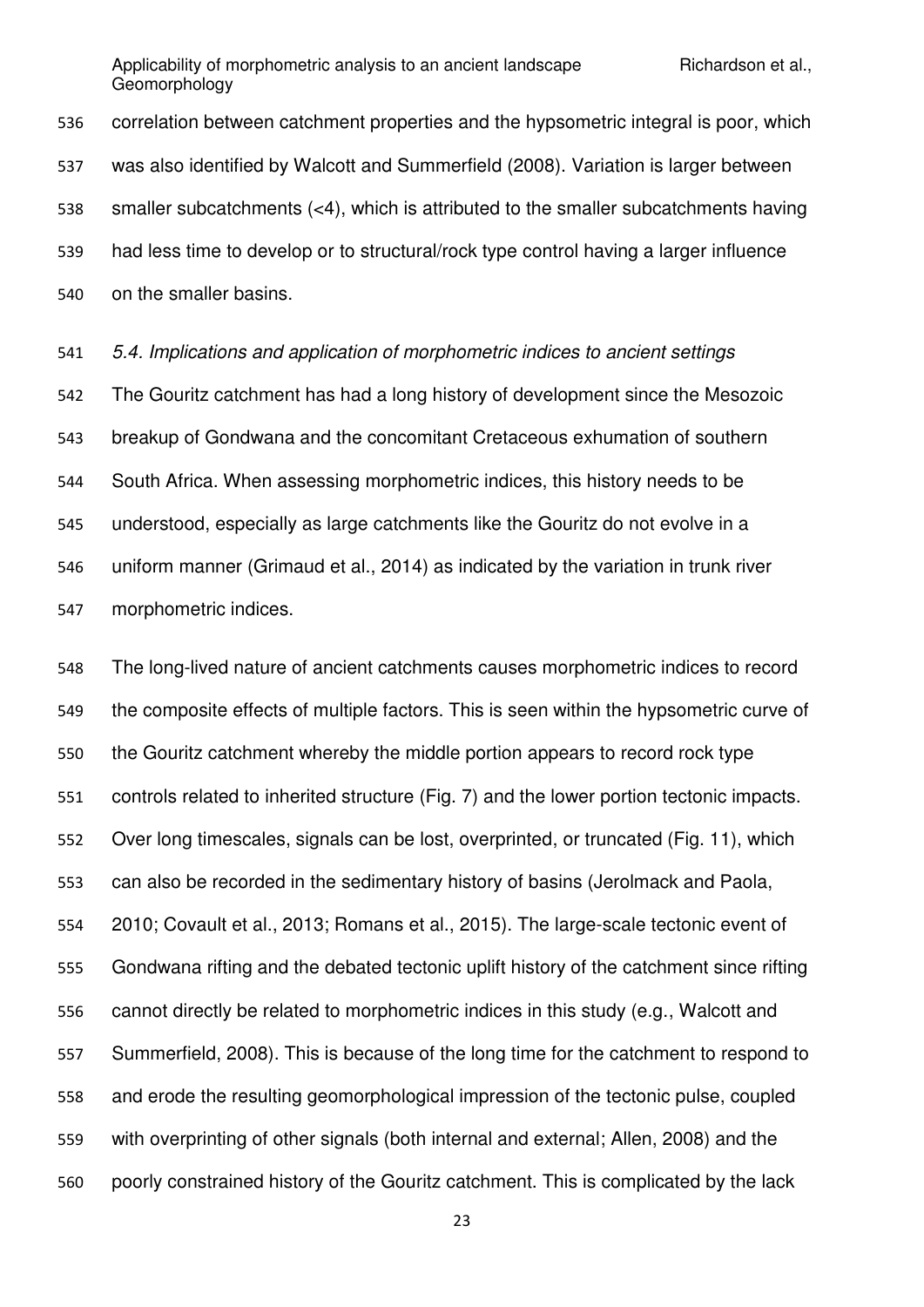correlation between catchment properties and the hypsometric integral is poor, which was also identified by Walcott and Summerfield (2008). Variation is larger between smaller subcatchments (<4), which is attributed to the smaller subcatchments having had less time to develop or to structural/rock type control having a larger influence on the smaller basins.

*5.4. Implications and application of morphometric indices to ancient settings* 

 The Gouritz catchment has had a long history of development since the Mesozoic breakup of Gondwana and the concomitant Cretaceous exhumation of southern South Africa. When assessing morphometric indices, this history needs to be understood, especially as large catchments like the Gouritz do not evolve in a uniform manner (Grimaud et al., 2014) as indicated by the variation in trunk river morphometric indices.

 The long-lived nature of ancient catchments causes morphometric indices to record the composite effects of multiple factors. This is seen within the hypsometric curve of the Gouritz catchment whereby the middle portion appears to record rock type controls related to inherited structure (Fig. 7) and the lower portion tectonic impacts. Over long timescales, signals can be lost, overprinted, or truncated (Fig. 11), which can also be recorded in the sedimentary history of basins (Jerolmack and Paola, 2010; Covault et al., 2013; Romans et al., 2015). The large-scale tectonic event of Gondwana rifting and the debated tectonic uplift history of the catchment since rifting cannot directly be related to morphometric indices in this study (e.g., Walcott and Summerfield, 2008). This is because of the long time for the catchment to respond to and erode the resulting geomorphological impression of the tectonic pulse, coupled with overprinting of other signals (both internal and external; Allen, 2008) and the poorly constrained history of the Gouritz catchment. This is complicated by the lack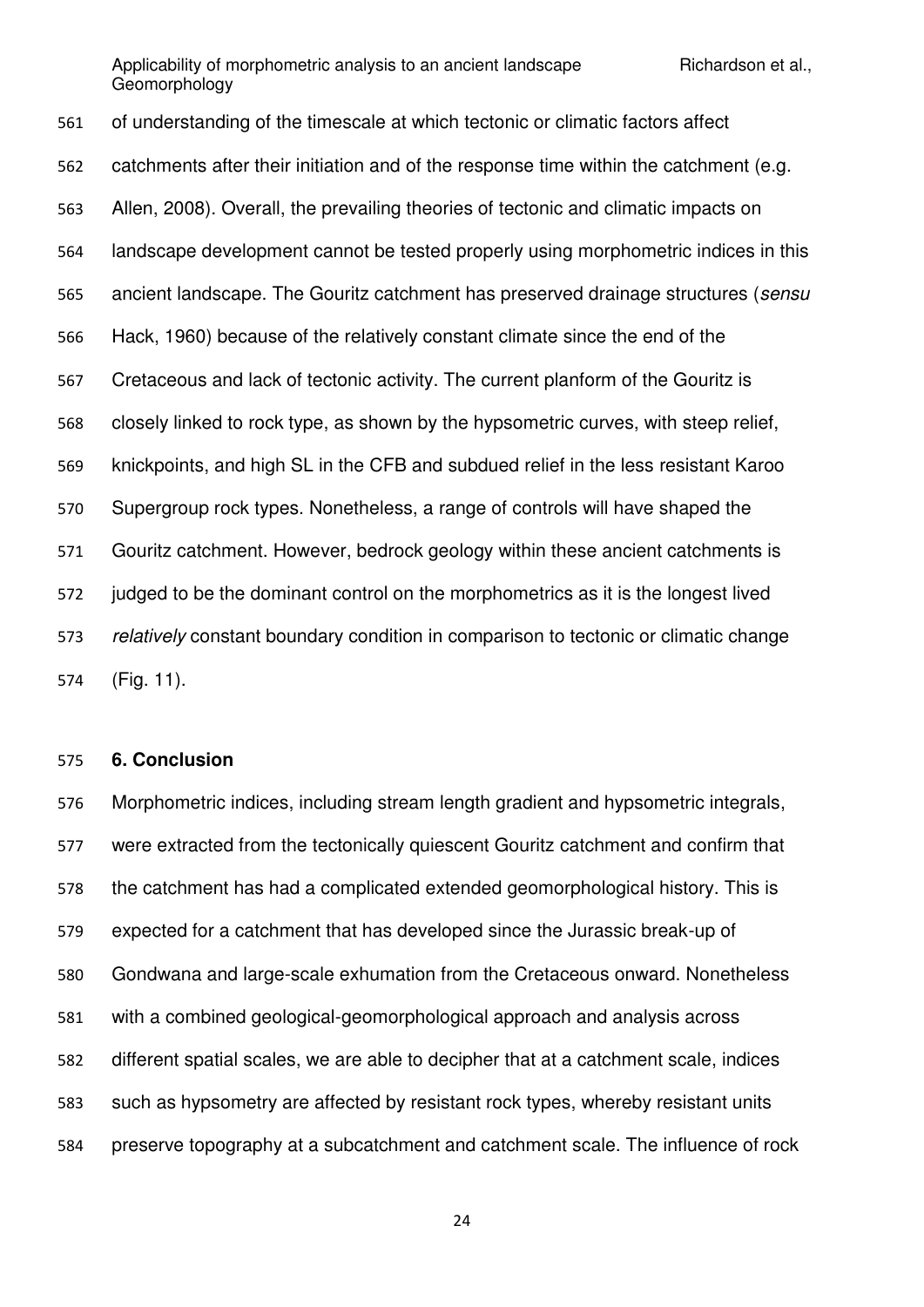of understanding of the timescale at which tectonic or climatic factors affect catchments after their initiation and of the response time within the catchment (e.g. Allen, 2008). Overall, the prevailing theories of tectonic and climatic impacts on landscape development cannot be tested properly using morphometric indices in this ancient landscape. The Gouritz catchment has preserved drainage structures (*sensu* Hack, 1960) because of the relatively constant climate since the end of the Cretaceous and lack of tectonic activity. The current planform of the Gouritz is closely linked to rock type, as shown by the hypsometric curves, with steep relief, knickpoints, and high SL in the CFB and subdued relief in the less resistant Karoo Supergroup rock types. Nonetheless, a range of controls will have shaped the Gouritz catchment. However, bedrock geology within these ancient catchments is judged to be the dominant control on the morphometrics as it is the longest lived *relatively* constant boundary condition in comparison to tectonic or climatic change (Fig. 11).

### **6. Conclusion**

 Morphometric indices, including stream length gradient and hypsometric integrals, were extracted from the tectonically quiescent Gouritz catchment and confirm that the catchment has had a complicated extended geomorphological history. This is expected for a catchment that has developed since the Jurassic break-up of Gondwana and large-scale exhumation from the Cretaceous onward. Nonetheless with a combined geological-geomorphological approach and analysis across different spatial scales, we are able to decipher that at a catchment scale, indices such as hypsometry are affected by resistant rock types, whereby resistant units preserve topography at a subcatchment and catchment scale. The influence of rock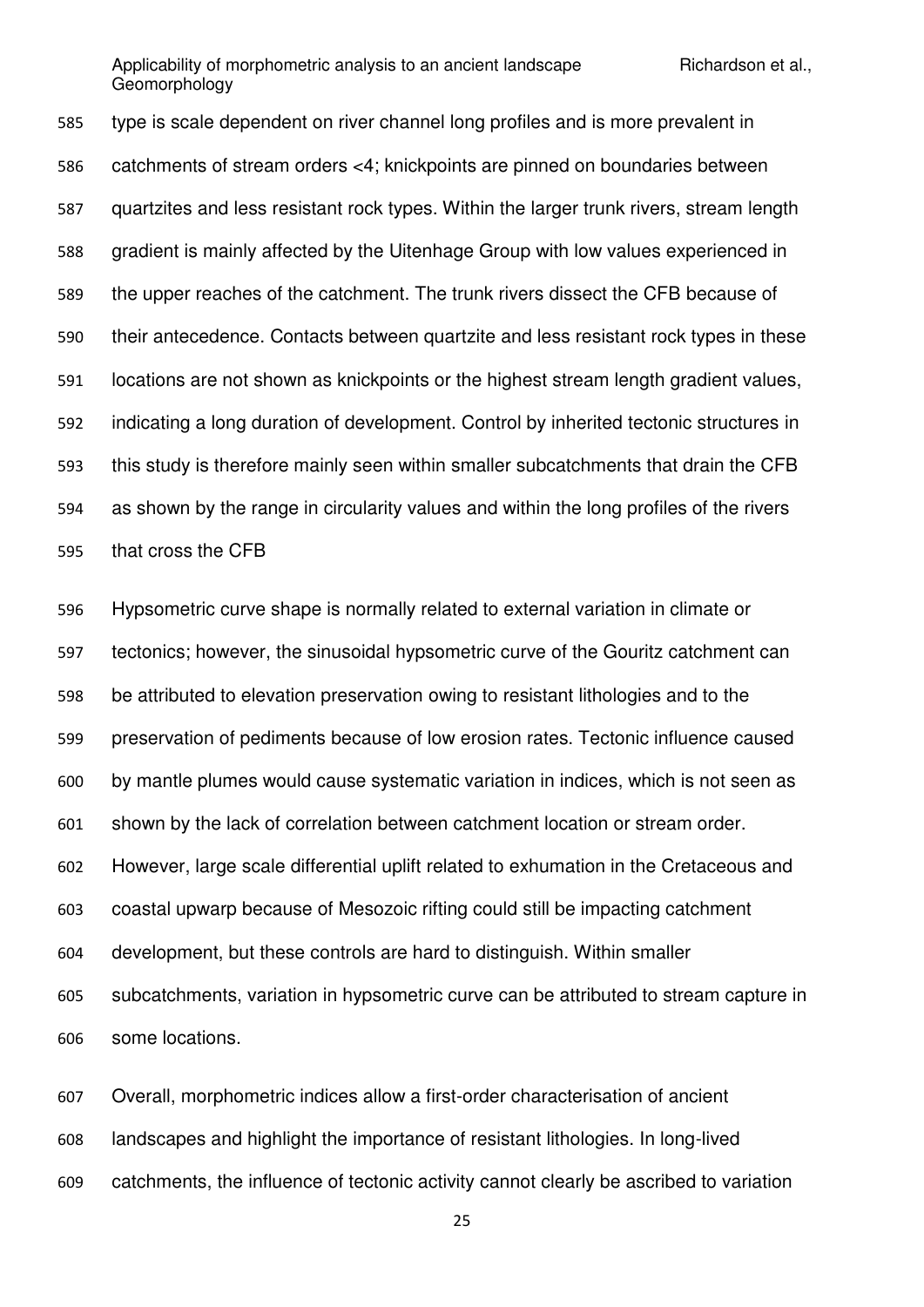type is scale dependent on river channel long profiles and is more prevalent in catchments of stream orders <4; knickpoints are pinned on boundaries between quartzites and less resistant rock types. Within the larger trunk rivers, stream length gradient is mainly affected by the Uitenhage Group with low values experienced in the upper reaches of the catchment. The trunk rivers dissect the CFB because of their antecedence. Contacts between quartzite and less resistant rock types in these locations are not shown as knickpoints or the highest stream length gradient values, indicating a long duration of development. Control by inherited tectonic structures in this study is therefore mainly seen within smaller subcatchments that drain the CFB as shown by the range in circularity values and within the long profiles of the rivers that cross the CFB

 Hypsometric curve shape is normally related to external variation in climate or tectonics; however, the sinusoidal hypsometric curve of the Gouritz catchment can be attributed to elevation preservation owing to resistant lithologies and to the preservation of pediments because of low erosion rates. Tectonic influence caused by mantle plumes would cause systematic variation in indices, which is not seen as shown by the lack of correlation between catchment location or stream order. However, large scale differential uplift related to exhumation in the Cretaceous and coastal upwarp because of Mesozoic rifting could still be impacting catchment development, but these controls are hard to distinguish. Within smaller subcatchments, variation in hypsometric curve can be attributed to stream capture in some locations.

 Overall, morphometric indices allow a first-order characterisation of ancient landscapes and highlight the importance of resistant lithologies. In long-lived catchments, the influence of tectonic activity cannot clearly be ascribed to variation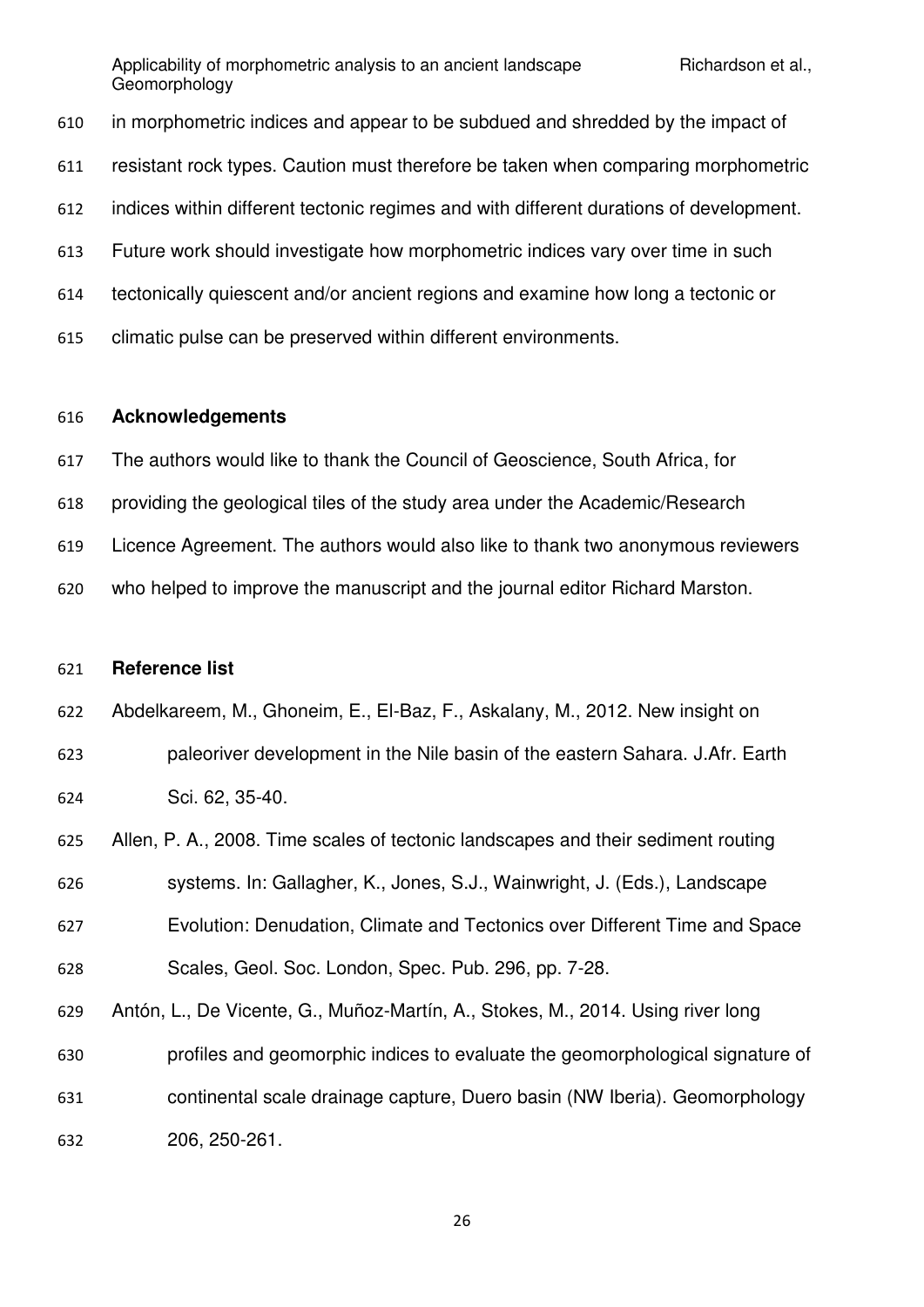in morphometric indices and appear to be subdued and shredded by the impact of resistant rock types. Caution must therefore be taken when comparing morphometric indices within different tectonic regimes and with different durations of development. Future work should investigate how morphometric indices vary over time in such tectonically quiescent and/or ancient regions and examine how long a tectonic or climatic pulse can be preserved within different environments.

#### **Acknowledgements**

The authors would like to thank the Council of Geoscience, South Africa, for

- providing the geological tiles of the study area under the Academic/Research
- Licence Agreement. The authors would also like to thank two anonymous reviewers

who helped to improve the manuscript and the journal editor Richard Marston.

### **Reference list**

Abdelkareem, M., Ghoneim, E., El-Baz, F., Askalany, M., 2012. New insight on

- paleoriver development in the Nile basin of the eastern Sahara. J.Afr. Earth Sci. 62, 35-40.
- Allen, P. A., 2008. Time scales of tectonic landscapes and their sediment routing systems. In: Gallagher, K., Jones, S.J., Wainwright, J. (Eds.), Landscape
- Evolution: Denudation, Climate and Tectonics over Different Time and Space
- Scales, Geol. Soc. London, Spec. Pub. 296, pp. 7-28.
- Antón, L., De Vicente, G., Muñoz-Martín, A., Stokes, M., 2014. Using river long profiles and geomorphic indices to evaluate the geomorphological signature of
- continental scale drainage capture, Duero basin (NW Iberia). Geomorphology

206, 250-261.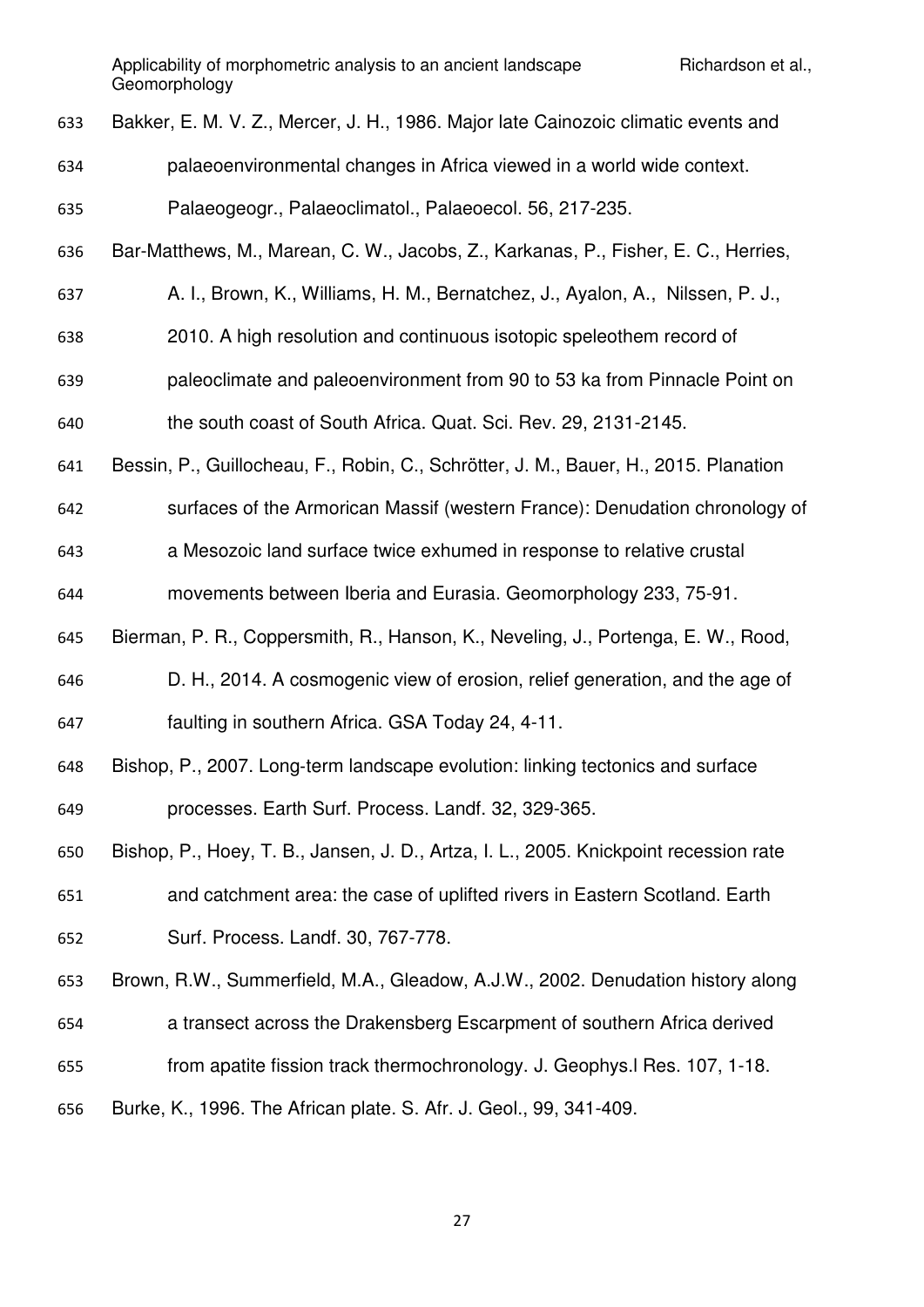Bakker, E. M. V. Z., Mercer, J. H., 1986. Major late Cainozoic climatic events and

- palaeoenvironmental changes in Africa viewed in a world wide context.
- Palaeogeogr., Palaeoclimatol., Palaeoecol. 56, 217-235.
- Bar-Matthews, M., Marean, C. W., Jacobs, Z., Karkanas, P., Fisher, E. C., Herries,
- A. I., Brown, K., Williams, H. M., Bernatchez, J., Ayalon, A., Nilssen, P. J.,
- 2010. A high resolution and continuous isotopic speleothem record of
- paleoclimate and paleoenvironment from 90 to 53 ka from Pinnacle Point on
- the south coast of South Africa. Quat. Sci. Rev. 29, 2131-2145.
- Bessin, P., Guillocheau, F., Robin, C., Schrötter, J. M., Bauer, H., 2015. Planation
- surfaces of the Armorican Massif (western France): Denudation chronology of

a Mesozoic land surface twice exhumed in response to relative crustal

- movements between Iberia and Eurasia. Geomorphology 233, 75-91.
- Bierman, P. R., Coppersmith, R., Hanson, K., Neveling, J., Portenga, E. W., Rood,
- D. H., 2014. A cosmogenic view of erosion, relief generation, and the age of faulting in southern Africa. GSA Today 24, 4-11.
- 648 Bishop, P., 2007. Long-term landscape evolution: linking tectonics and surface processes. Earth Surf. Process. Landf. 32, 329-365.
- Bishop, P., Hoey, T. B., Jansen, J. D., Artza, I. L., 2005. Knickpoint recession rate and catchment area: the case of uplifted rivers in Eastern Scotland. Earth Surf. Process. Landf. 30, 767-778.
- Brown, R.W., Summerfield, M.A., Gleadow, A.J.W., 2002. Denudation history along
- a transect across the Drakensberg Escarpment of southern Africa derived
- from apatite fission track thermochronology. J. Geophys.l Res. 107, 1-18.
- Burke, K., 1996. The African plate. S. Afr. J. Geol., 99, 341-409.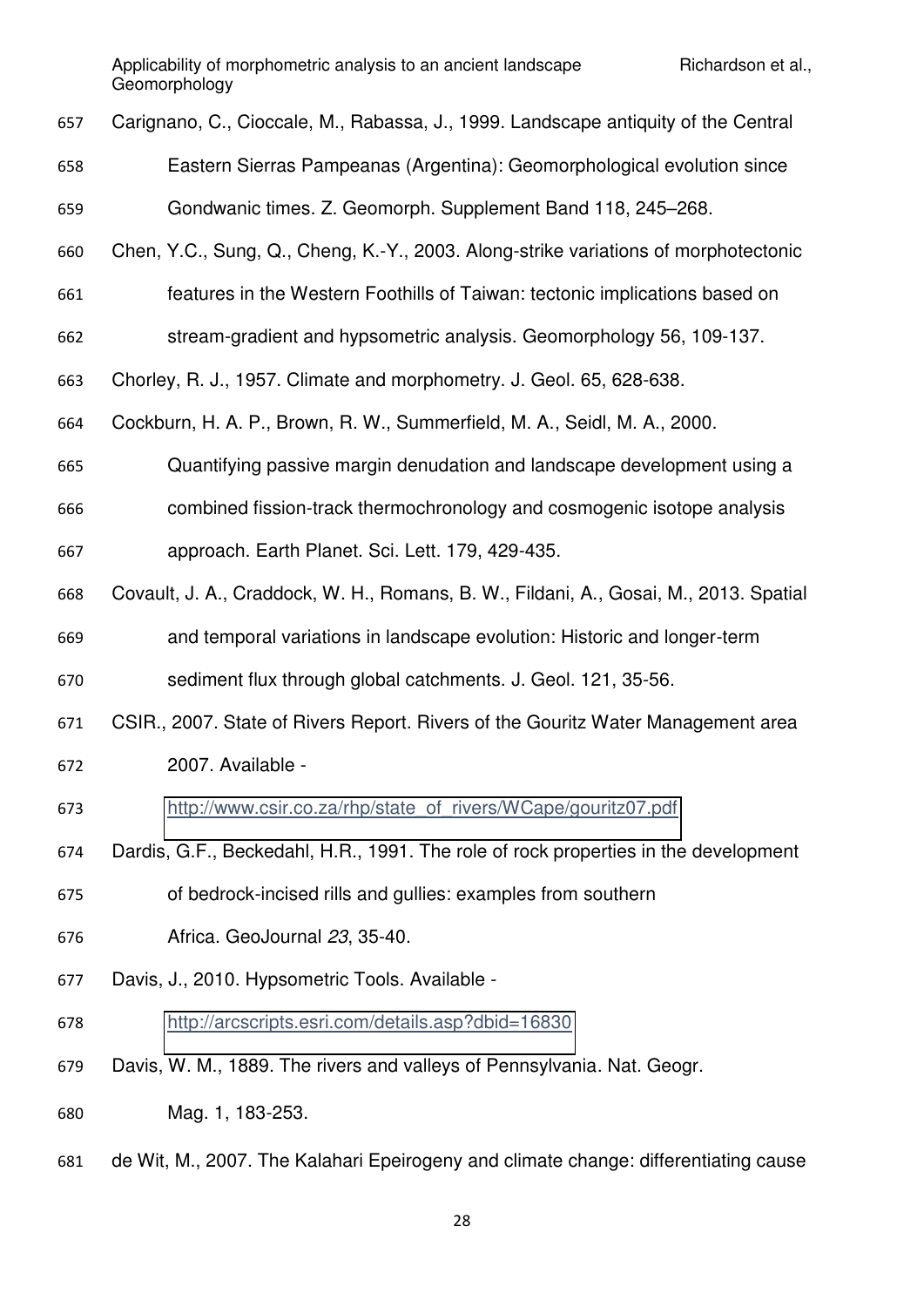- Carignano, C., Cioccale, M., Rabassa, J., 1999. Landscape antiquity of the Central
- Eastern Sierras Pampeanas (Argentina): Geomorphological evolution since
- Gondwanic times. Z. Geomorph. Supplement Band 118, 245–268.
- Chen, Y.C., Sung, Q., Cheng, K.-Y., 2003. Along-strike variations of morphotectonic
- features in the Western Foothills of Taiwan: tectonic implications based on
- stream-gradient and hypsometric analysis. Geomorphology 56, 109-137.
- Chorley, R. J., 1957. Climate and morphometry. J. Geol. 65, 628-638.
- Cockburn, H. A. P., Brown, R. W., Summerfield, M. A., Seidl, M. A., 2000.
- Quantifying passive margin denudation and landscape development using a
- combined fission-track thermochronology and cosmogenic isotope analysis
- approach. Earth Planet. Sci. Lett. 179, 429-435.
- Covault, J. A., Craddock, W. H., Romans, B. W., Fildani, A., Gosai, M., 2013. Spatial and temporal variations in landscape evolution: Historic and longer-term
- sediment flux through global catchments. J. Geol. 121, 35-56.
- CSIR., 2007. State of Rivers Report. Rivers of the Gouritz Water Management area
- 2007. Available -
- [http://www.csir.co.za/rhp/state\\_of\\_rivers/WCape/gouritz07.pdf](http://www.csir.co.za/rhp/state_of_rivers/WCape/gouritz07.pdf)
- Dardis, G.F., Beckedahl, H.R., 1991. The role of rock properties in the development
- of bedrock-incised rills and gullies: examples from southern
- Africa. GeoJournal *23*, 35-40.
- Davis, J., 2010. Hypsometric Tools. Available -
- <http://arcscripts.esri.com/details.asp?dbid=16830>
- Davis, W. M., 1889. The rivers and valleys of Pennsylvania. Nat. Geogr.
- Mag. 1, 183-253.
- de Wit, M., 2007. The Kalahari Epeirogeny and climate change: differentiating cause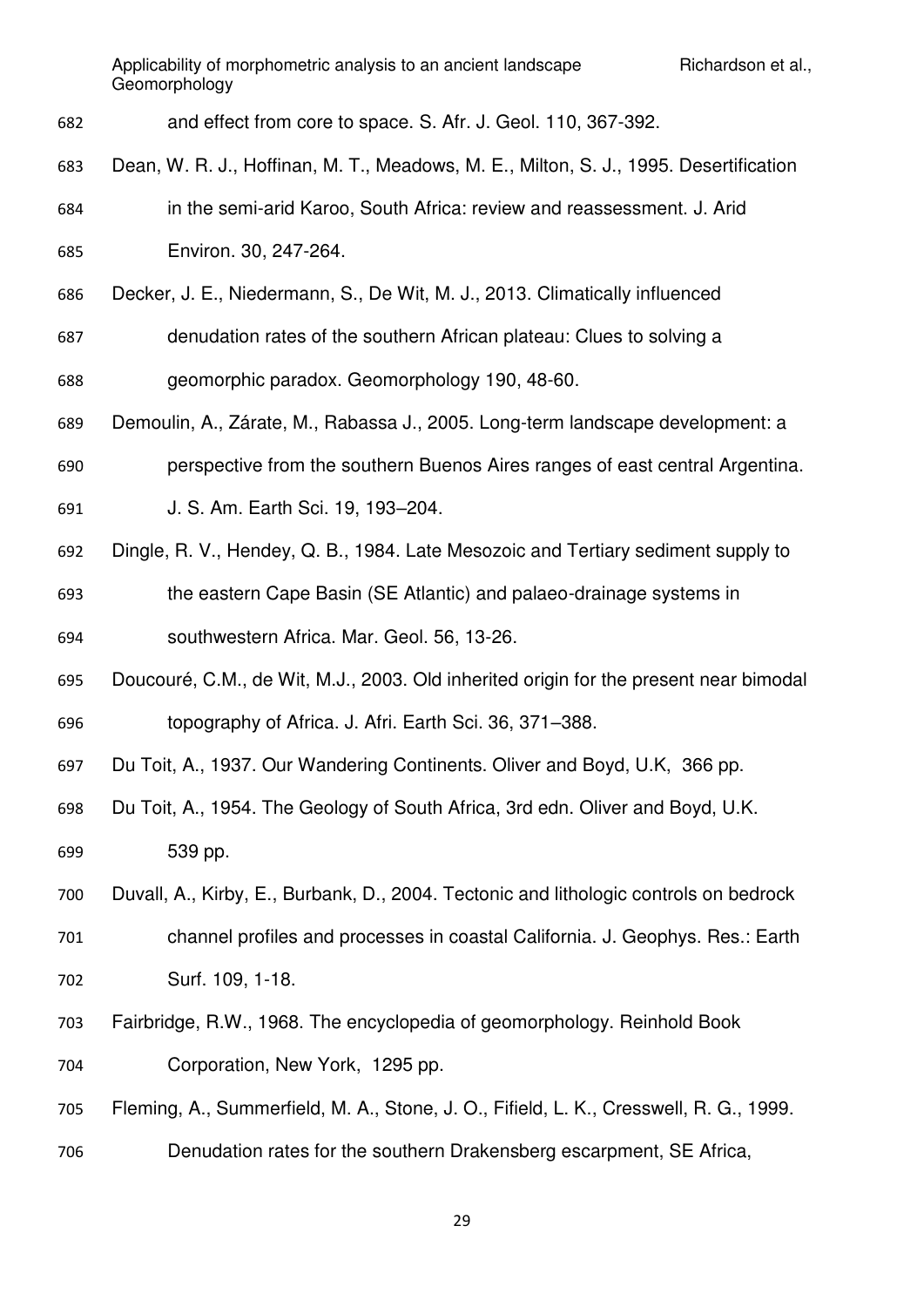- and effect from core to space. S. Afr. J. Geol. 110, 367-392.
- Dean, W. R. J., Hoffinan, M. T., Meadows, M. E., Milton, S. J., 1995. Desertification
- in the semi-arid Karoo, South Africa: review and reassessment. J. Arid Environ. 30, 247-264.
- Decker, J. E., Niedermann, S., De Wit, M. J., 2013. Climatically influenced
- denudation rates of the southern African plateau: Clues to solving a
- geomorphic paradox. Geomorphology 190, 48-60.
- Demoulin, A., Zárate, M., Rabassa J., 2005. Long-term landscape development: a
- perspective from the southern Buenos Aires ranges of east central Argentina.
- J. S. Am. Earth Sci. 19, 193–204.
- Dingle, R. V., Hendey, Q. B., 1984. Late Mesozoic and Tertiary sediment supply to the eastern Cape Basin (SE Atlantic) and palaeo-drainage systems in southwestern Africa. Mar. Geol. 56, 13-26.
- Doucouré, C.M., de Wit, M.J., 2003. Old inherited origin for the present near bimodal topography of Africa. J. Afri. Earth Sci. 36, 371–388.
- Du Toit, A., 1937. Our Wandering Continents. Oliver and Boyd, U.K, 366 pp.
- Du Toit, A., 1954. The Geology of South Africa, 3rd edn. Oliver and Boyd, U.K. 539 pp.
- Duvall, A., Kirby, E., Burbank, D., 2004. Tectonic and lithologic controls on bedrock channel profiles and processes in coastal California. J. Geophys. Res.: Earth
- Surf. 109, 1-18.
- Fairbridge, R.W., 1968. The encyclopedia of geomorphology. Reinhold Book Corporation, New York, 1295 pp.
- Fleming, A., Summerfield, M. A., Stone, J. O., Fifield, L. K., Cresswell, R. G., 1999.
- Denudation rates for the southern Drakensberg escarpment, SE Africa,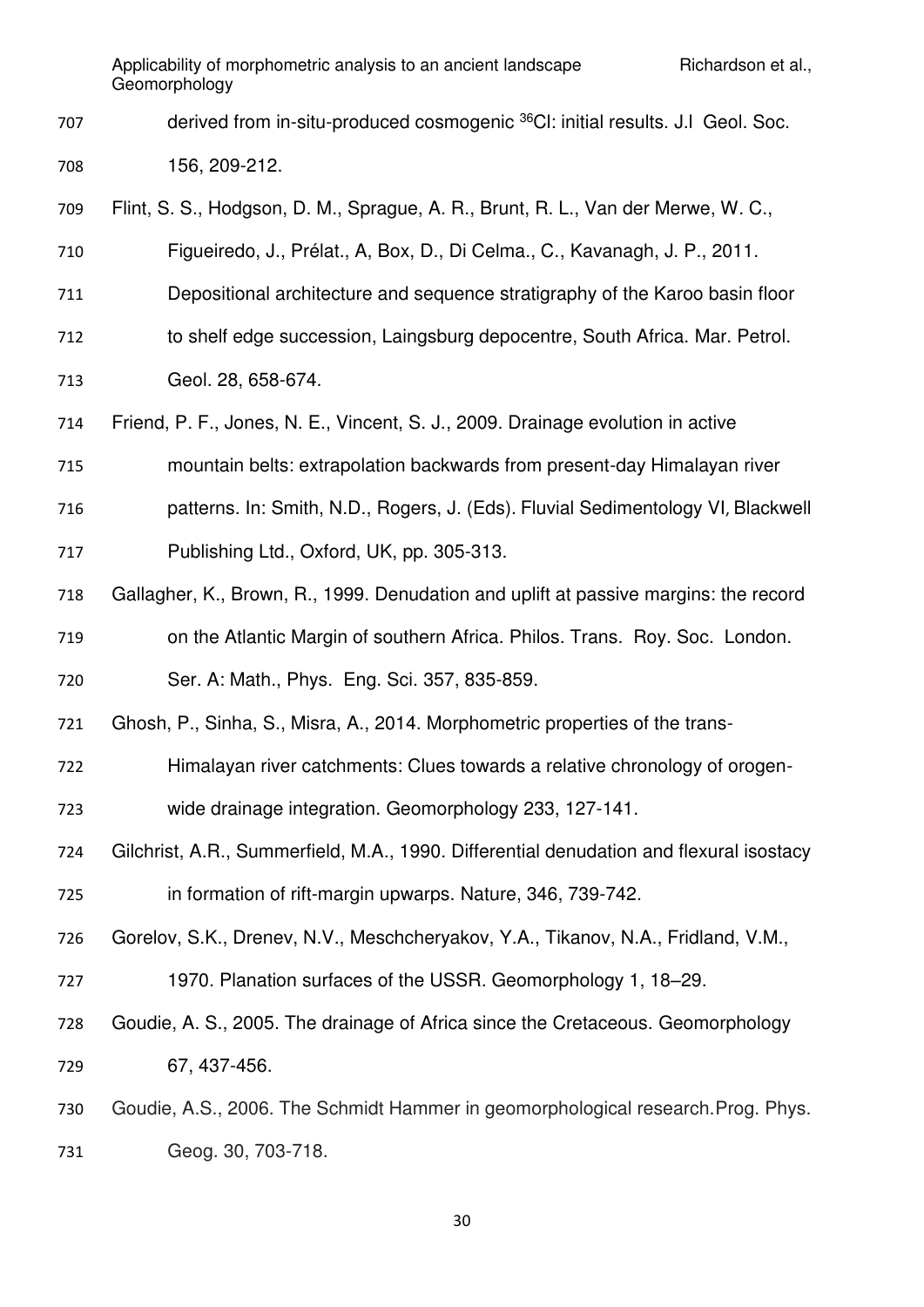707 derived from in-situ-produced cosmogenic <sup>36</sup>CI: initial results. J.l Geol. Soc.

156, 209-212.

Flint, S. S., Hodgson, D. M., Sprague, A. R., Brunt, R. L., Van der Merwe, W. C.,

Figueiredo, J., Prélat., A, Box, D., Di Celma., C., Kavanagh, J. P., 2011.

Depositional architecture and sequence stratigraphy of the Karoo basin floor

to shelf edge succession, Laingsburg depocentre, South Africa. Mar. Petrol.

Geol. 28, 658-674.

Friend, P. F., Jones, N. E., Vincent, S. J., 2009. Drainage evolution in active

mountain belts: extrapolation backwards from present-day Himalayan river

patterns. In: Smith, N.D., Rogers, J. (Eds). Fluvial Sedimentology VI, Blackwell

Publishing Ltd., Oxford, UK, pp. 305-313.

Gallagher, K., Brown, R., 1999. Denudation and uplift at passive margins: the record

on the Atlantic Margin of southern Africa. Philos. Trans. Roy. Soc. London.

Ser. A: Math., Phys. Eng. Sci. 357, 835-859.

Ghosh, P., Sinha, S., Misra, A., 2014. Morphometric properties of the trans-

Himalayan river catchments: Clues towards a relative chronology of orogen-

wide drainage integration. Geomorphology 233, 127-141.

 Gilchrist, A.R., Summerfield, M.A., 1990. Differential denudation and flexural isostacy in formation of rift-margin upwarps. Nature, 346, 739-742.

Gorelov, S.K., Drenev, N.V., Meschcheryakov, Y.A., Tikanov, N.A., Fridland, V.M.,

1970. Planation surfaces of the USSR. Geomorphology 1, 18–29.

 Goudie, A. S., 2005. The drainage of Africa since the Cretaceous. Geomorphology 67, 437-456.

Goudie, A.S., 2006. The Schmidt Hammer in geomorphological research.Prog. Phys.

Geog. 30, 703-718.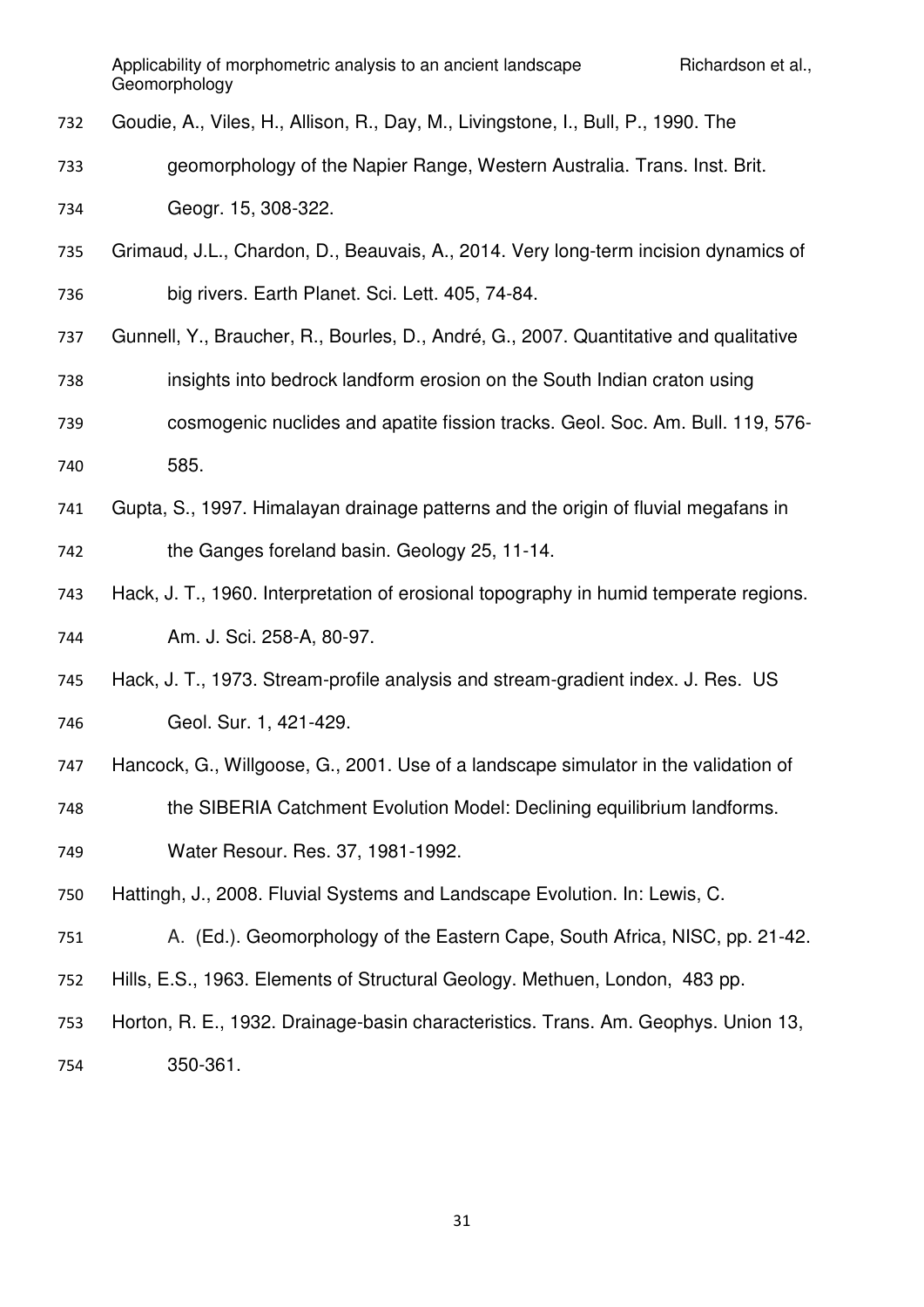- Goudie, A., Viles, H., Allison, R., Day, M., Livingstone, I., Bull, P., 1990. The
- geomorphology of the Napier Range, Western Australia. Trans. Inst. Brit.

Geogr. 15, 308-322.

- Grimaud, J.L., Chardon, D., Beauvais, A., 2014. Very long-term incision dynamics of big rivers. Earth Planet. Sci. Lett. 405, 74-84.
- Gunnell, Y., Braucher, R., Bourles, D., André, G., 2007. Quantitative and qualitative
- insights into bedrock landform erosion on the South Indian craton using
- cosmogenic nuclides and apatite fission tracks. Geol. Soc. Am. Bull. 119, 576- 585.
- Gupta, S., 1997. Himalayan drainage patterns and the origin of fluvial megafans in the Ganges foreland basin. Geology 25, 11-14.
- Hack, J. T., 1960. Interpretation of erosional topography in humid temperate regions. Am. J. Sci. 258-A, 80-97.
- Hack, J. T., 1973. Stream-profile analysis and stream-gradient index. J. Res. US Geol. Sur. 1, 421-429.
- Hancock, G., Willgoose, G., 2001. Use of a landscape simulator in the validation of
- the SIBERIA Catchment Evolution Model: Declining equilibrium landforms.
- Water Resour. Res. 37, 1981-1992.
- Hattingh, J., 2008. Fluvial Systems and Landscape Evolution. In: Lewis, C.
- A. (Ed.). Geomorphology of the Eastern Cape, South Africa, NISC, pp. 21-42.
- Hills, E.S., 1963. Elements of Structural Geology. Methuen, London, 483 pp.
- Horton, R. E., 1932. Drainage-basin characteristics. Trans. Am. Geophys. Union 13,
- 350-361.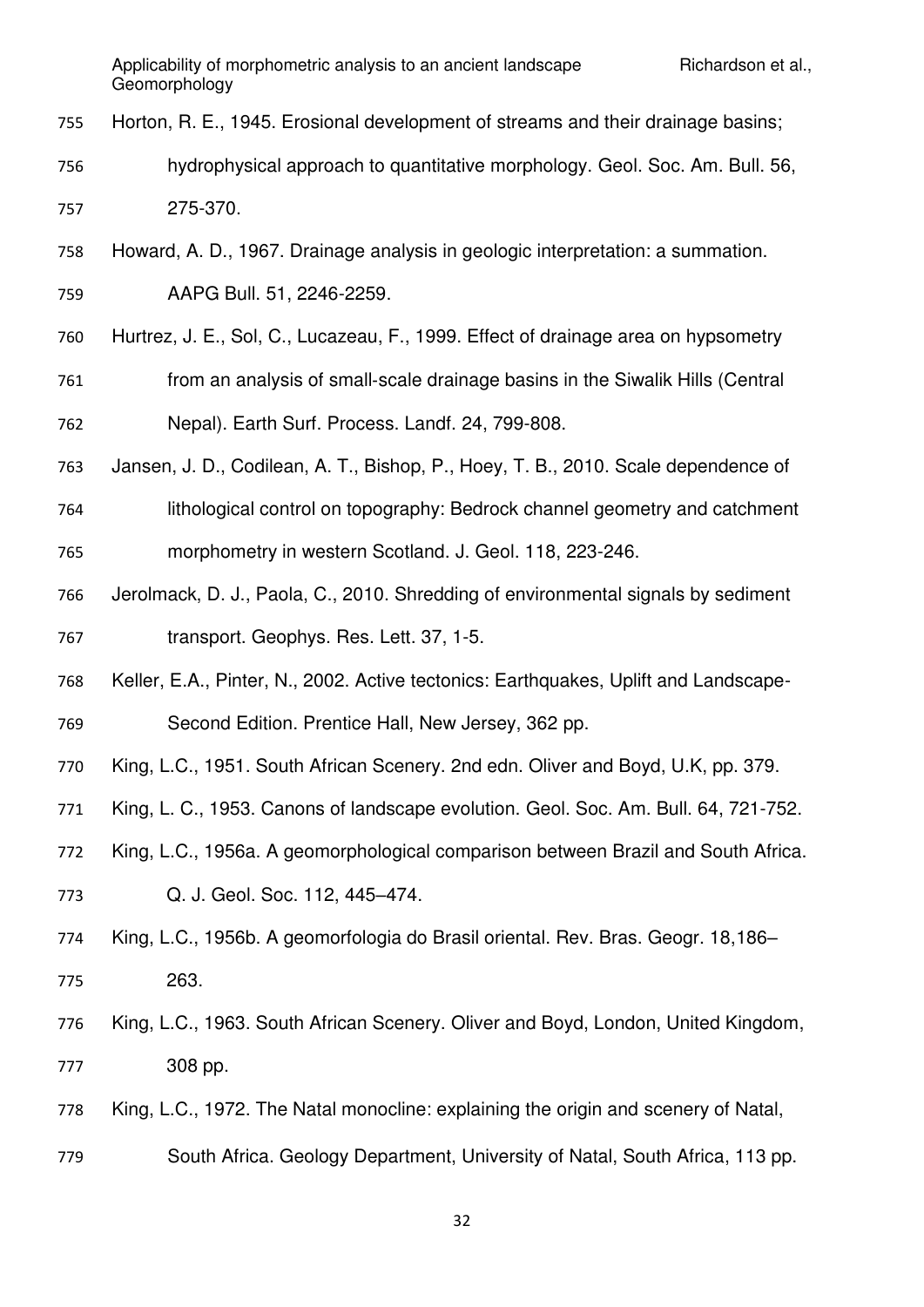- Horton, R. E., 1945. Erosional development of streams and their drainage basins;
- hydrophysical approach to quantitative morphology. Geol. Soc. Am. Bull. 56, 275-370.
- Howard, A. D., 1967. Drainage analysis in geologic interpretation: a summation.
- AAPG Bull. 51, 2246-2259.
- Hurtrez, J. E., Sol, C., Lucazeau, F., 1999. Effect of drainage area on hypsometry
- 761 from an analysis of small-scale drainage basins in the Siwalik Hills (Central Nepal). Earth Surf. Process. Landf. 24, 799-808.
- Jansen, J. D., Codilean, A. T., Bishop, P., Hoey, T. B., 2010. Scale dependence of
- lithological control on topography: Bedrock channel geometry and catchment morphometry in western Scotland. J. Geol. 118, 223-246.
- Jerolmack, D. J., Paola, C., 2010. Shredding of environmental signals by sediment transport. Geophys. Res. Lett. 37, 1-5.
- Keller, E.A., Pinter, N., 2002. Active tectonics: Earthquakes, Uplift and Landscape-Second Edition. Prentice Hall, New Jersey, 362 pp.
- King, L.C., 1951. South African Scenery. 2nd edn. Oliver and Boyd, U.K, pp. 379.
- King, L. C., 1953. Canons of landscape evolution. Geol. Soc. Am. Bull. 64, 721-752.
- King, L.C., 1956a. A geomorphological comparison between Brazil and South Africa.
- Q. J. Geol. Soc. 112, 445–474.
- King, L.C., 1956b. A geomorfologia do Brasil oriental. Rev. Bras. Geogr. 18,186– 263.
- King, L.C., 1963. South African Scenery. Oliver and Boyd, London, United Kingdom, 308 pp.
- King, L.C., 1972. The Natal monocline: explaining the origin and scenery of Natal,
- South Africa. Geology Department, University of Natal, South Africa, 113 pp.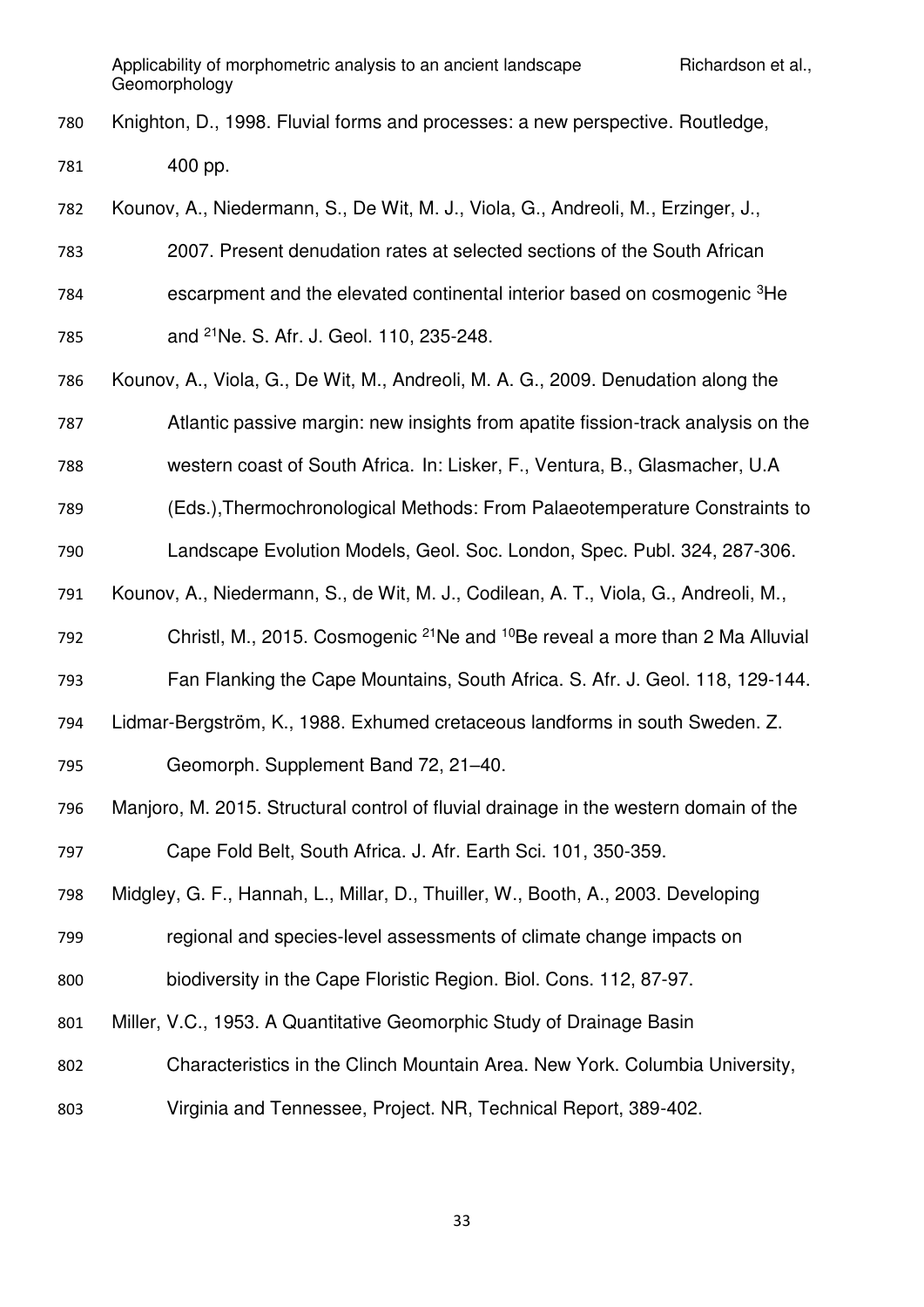Knighton, D., 1998. Fluvial forms and processes: a new perspective. Routledge, 400 pp.

Kounov, A., Niedermann, S., De Wit, M. J., Viola, G., Andreoli, M., Erzinger, J.,

- 2007. Present denudation rates at selected sections of the South African escarpment and the elevated continental interior based on cosmogenic <sup>3</sup>He 785 and <sup>21</sup>Ne. S. Afr. J. Geol. 110, 235-248.
- Kounov, A., Viola, G., De Wit, M., Andreoli, M. A. G., 2009. Denudation along the
- Atlantic passive margin: new insights from apatite fission-track analysis on the
- western coast of South Africa. In: Lisker, F., Ventura, B., Glasmacher, U.A
- (Eds.),Thermochronological Methods: From Palaeotemperature Constraints to

Landscape Evolution Models, Geol. Soc. London, Spec. Publ. 324, 287-306.

Kounov, A., Niedermann, S., de Wit, M. J., Codilean, A. T., Viola, G., Andreoli, M.,

792 Christl, M., 2015. Cosmogenic <sup>21</sup>Ne and <sup>10</sup>Be reveal a more than 2 Ma Alluvial

Fan Flanking the Cape Mountains, South Africa. S. Afr. J. Geol. 118, 129-144.

Lidmar-Bergström, K., 1988. Exhumed cretaceous landforms in south Sweden. Z.

Geomorph. Supplement Band 72, 21–40.

 Manjoro, M. 2015. Structural control of fluvial drainage in the western domain of the Cape Fold Belt, South Africa. J. Afr. Earth Sci. 101, 350-359.

Midgley, G. F., Hannah, L., Millar, D., Thuiller, W., Booth, A., 2003. Developing

regional and species-level assessments of climate change impacts on

```
800 biodiversity in the Cape Floristic Region. Biol. Cons. 112, 87-97.
```
- Miller, V.C., 1953. A Quantitative Geomorphic Study of Drainage Basin
- Characteristics in the Clinch Mountain Area. New York. Columbia University,
- Virginia and Tennessee, Project. NR, Technical Report, 389-402.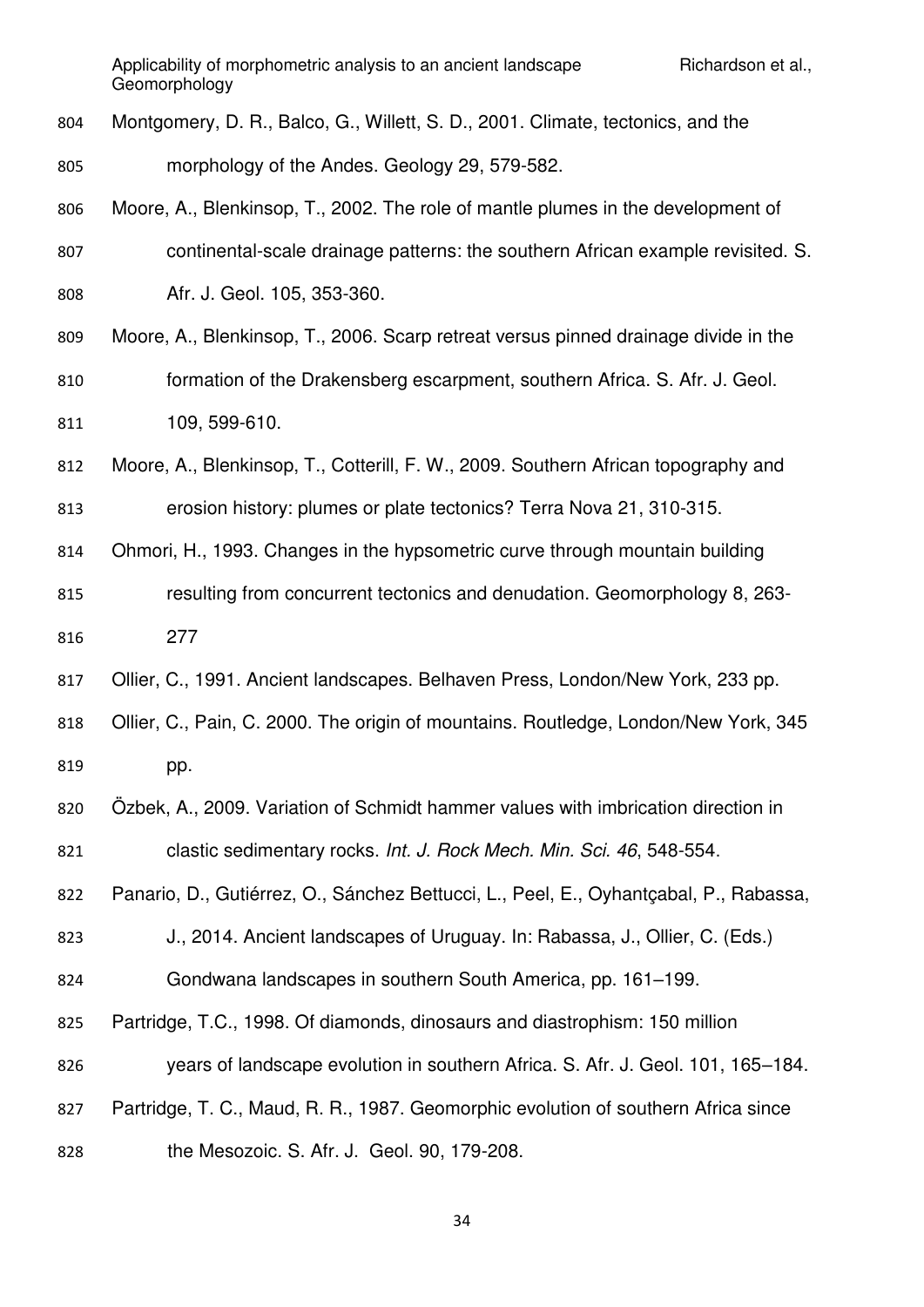- Montgomery, D. R., Balco, G., Willett, S. D., 2001. Climate, tectonics, and the morphology of the Andes. Geology 29, 579-582.
- Moore, A., Blenkinsop, T., 2002. The role of mantle plumes in the development of continental-scale drainage patterns: the southern African example revisited. S. Afr. J. Geol. 105, 353-360.
- Moore, A., Blenkinsop, T., 2006. Scarp retreat versus pinned drainage divide in the formation of the Drakensberg escarpment, southern Africa. S. Afr. J. Geol. 109, 599-610.
- Moore, A., Blenkinsop, T., Cotterill, F. W., 2009. Southern African topography and erosion history: plumes or plate tectonics? Terra Nova 21, 310-315.
- Ohmori, H., 1993. Changes in the hypsometric curve through mountain building
- resulting from concurrent tectonics and denudation. Geomorphology 8, 263- 277
- Ollier, C., 1991. Ancient landscapes. Belhaven Press, London/New York, 233 pp.
- Ollier, C., Pain, C. 2000. The origin of mountains. Routledge, London/New York, 345 819 pp.
- Özbek, A., 2009. Variation of Schmidt hammer values with imbrication direction in clastic sedimentary rocks. *Int. J. Rock Mech. Min. Sci. 46*, 548-554.
- Panario, D., Gutiérrez, O., Sánchez Bettucci, L., Peel, E., Oyhantçabal, P., Rabassa,
- J., 2014. Ancient landscapes of Uruguay. In: Rabassa, J., Ollier, C. (Eds.)
- Gondwana landscapes in southern South America, pp. 161–199.
- Partridge, T.C., 1998. Of diamonds, dinosaurs and diastrophism: 150 million
- years of landscape evolution in southern Africa. S. Afr. J. Geol. 101, 165–184.
- Partridge, T. C., Maud, R. R., 1987. Geomorphic evolution of southern Africa since
- the Mesozoic. S. Afr. J. Geol. 90, 179-208.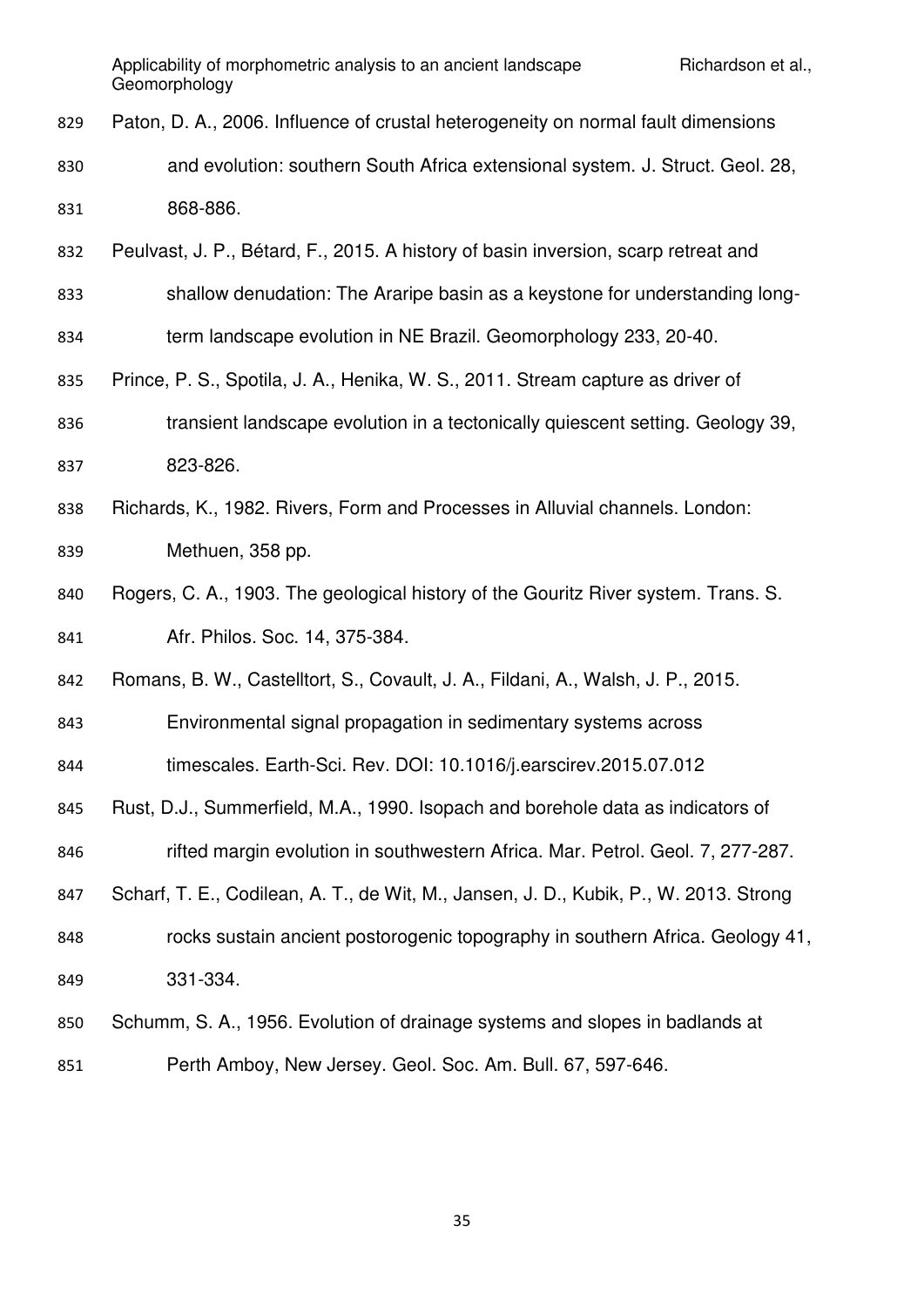- Paton, D. A., 2006. Influence of crustal heterogeneity on normal fault dimensions
- and evolution: southern South Africa extensional system. J. Struct. Geol. 28, 868-886.
- Peulvast, J. P., Bétard, F., 2015. A history of basin inversion, scarp retreat and
- shallow denudation: The Araripe basin as a keystone for understanding long-
- term landscape evolution in NE Brazil. Geomorphology 233, 20-40.
- Prince, P. S., Spotila, J. A., Henika, W. S., 2011. Stream capture as driver of
- transient landscape evolution in a tectonically quiescent setting. Geology 39, 823-826.
- Richards, K., 1982. Rivers, Form and Processes in Alluvial channels. London:
- Methuen, 358 pp.
- Rogers, C. A., 1903. The geological history of the Gouritz River system. Trans. S. Afr. Philos. Soc. 14, 375-384.
- Romans, B. W., Castelltort, S., Covault, J. A., Fildani, A., Walsh, J. P., 2015.
- Environmental signal propagation in sedimentary systems across
- timescales. Earth-Sci. Rev. DOI: 10.1016/j.earscirev.2015.07.012
- Rust, D.J., Summerfield, M.A., 1990. Isopach and borehole data as indicators of
- 846 rifted margin evolution in southwestern Africa. Mar. Petrol. Geol. 7, 277-287.
- Scharf, T. E., Codilean, A. T., de Wit, M., Jansen, J. D., Kubik, P., W. 2013. Strong
- rocks sustain ancient postorogenic topography in southern Africa. Geology 41, 331-334.
- Schumm, S. A., 1956. Evolution of drainage systems and slopes in badlands at
- Perth Amboy, New Jersey. Geol. Soc. Am. Bull. 67, 597-646.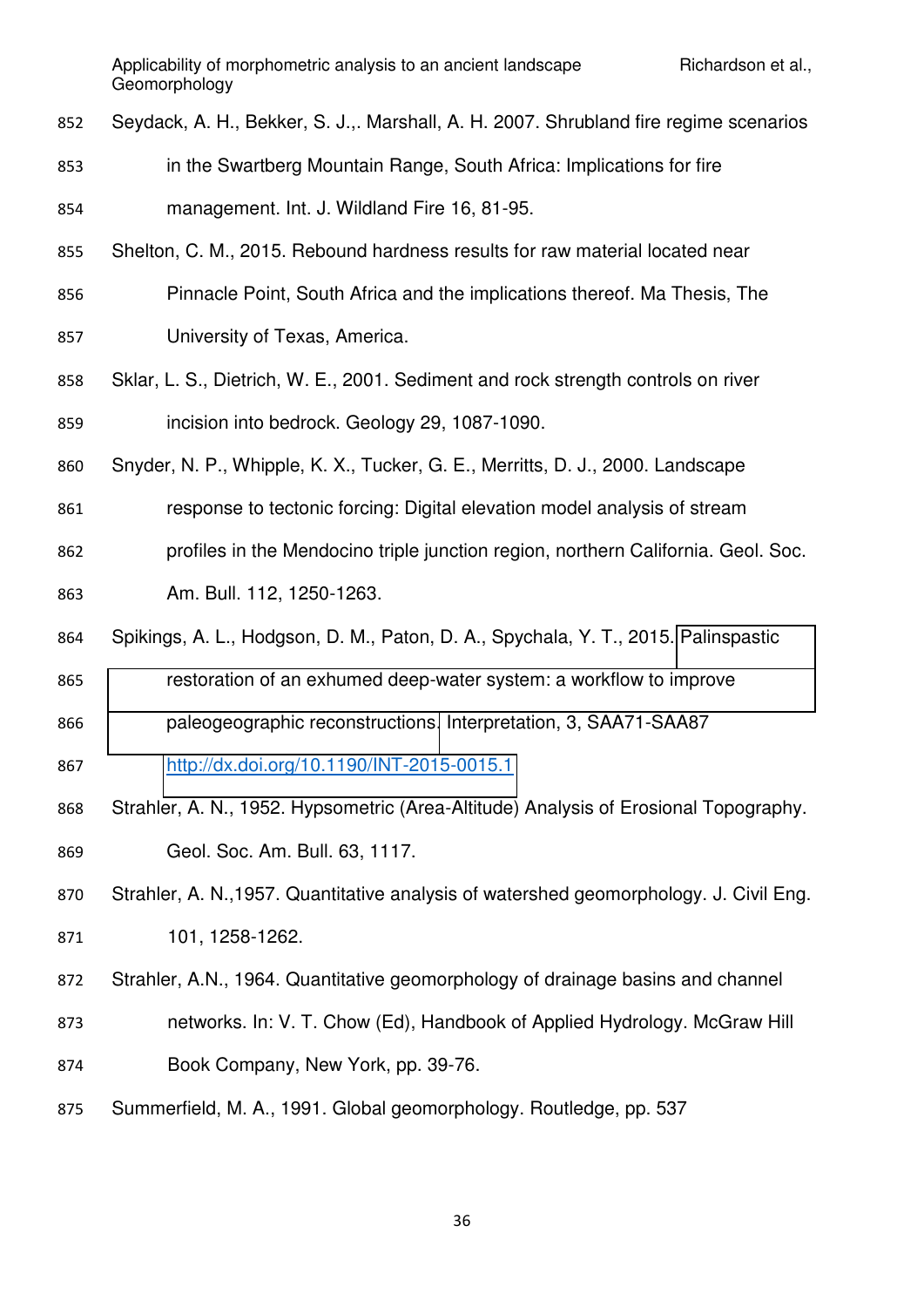- Seydack, A. H., Bekker, S. J.,. Marshall, A. H. 2007. Shrubland fire regime scenarios
- in the Swartberg Mountain Range, South Africa: Implications for fire
- management. Int. J. Wildland Fire 16, 81-95.
- Shelton, C. M., 2015. Rebound hardness results for raw material located near
- Pinnacle Point, South Africa and the implications thereof. Ma Thesis, The
- University of Texas, America.
- Sklar, L. S., Dietrich, W. E., 2001. Sediment and rock strength controls on river incision into bedrock. Geology 29, 1087-1090.
- Snyder, N. P., Whipple, K. X., Tucker, G. E., Merritts, D. J., 2000. Landscape
- response to tectonic forcing: Digital elevation model analysis of stream
- profiles in the Mendocino triple junction region, northern California. Geol. Soc.
- Am. Bull. 112, 1250-1263.
- Spikings, A. L., Hodgson, D. M., Paton, D. A., Spychala, Y. T., 2015. [Palinspastic](http://eprints.whiterose.ac.uk/87196/)
- [restoration of an exhumed deep-water system: a workflow to improve](http://eprints.whiterose.ac.uk/87196/)
- [paleogeographic reconstructions.](http://eprints.whiterose.ac.uk/87196/) Interpretation, 3, SAA71-SAA87
- <http://dx.doi.org/10.1190/INT-2015-0015.1>
- Strahler, A. N., 1952. Hypsometric (Area-Altitude) Analysis of Erosional Topography.
- Geol. Soc. Am. Bull. 63, 1117.
- Strahler, A. N.,1957. Quantitative analysis of watershed geomorphology. J. Civil Eng. 101, 1258-1262.
- Strahler, A.N., 1964. Quantitative geomorphology of drainage basins and channel
- networks. In: V. T. Chow (Ed), Handbook of Applied Hydrology. McGraw Hill
- Book Company, New York, pp. 39-76.
- Summerfield, M. A., 1991. Global geomorphology. Routledge, pp. 537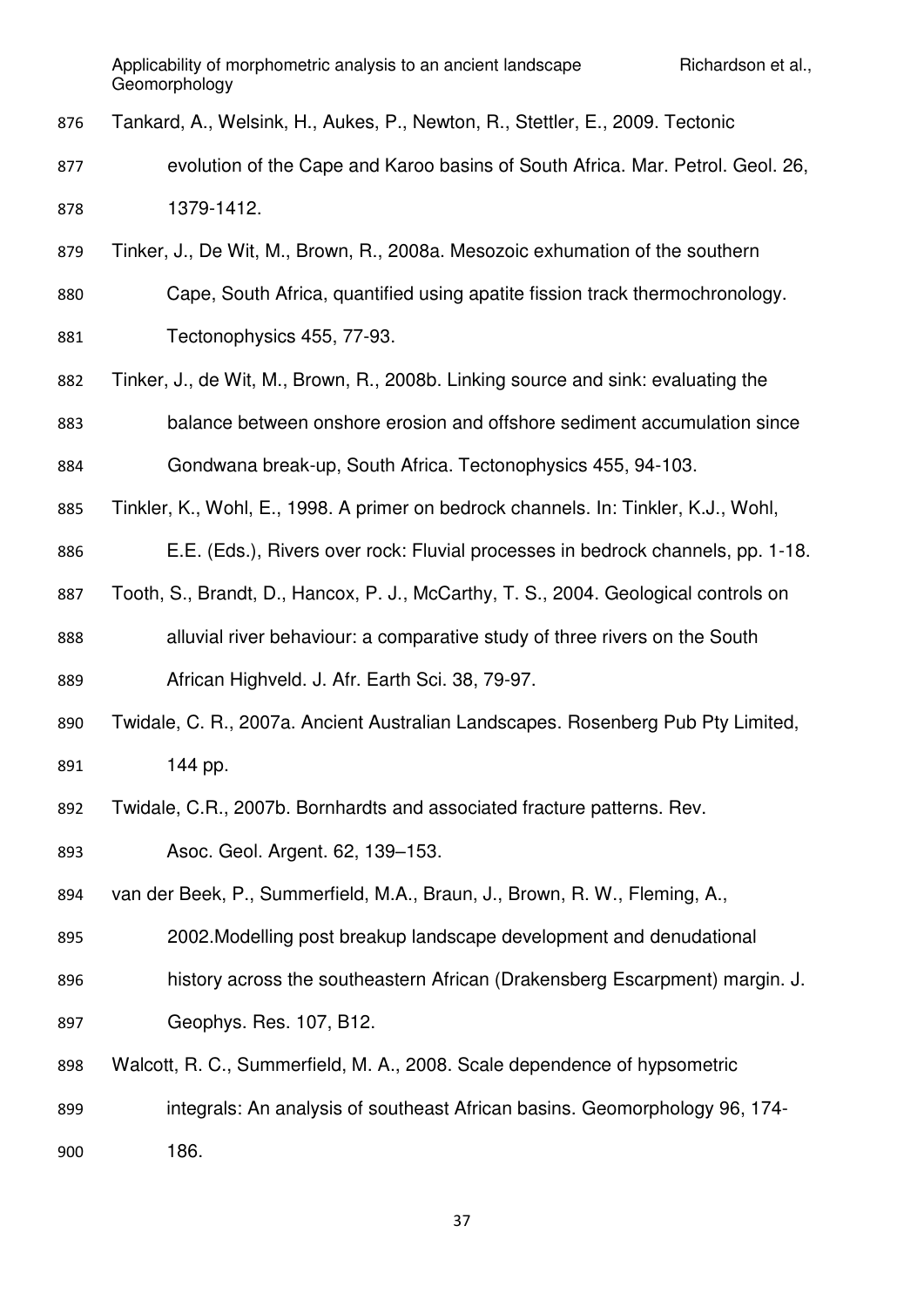- Tankard, A., Welsink, H., Aukes, P., Newton, R., Stettler, E., 2009. Tectonic
- evolution of the Cape and Karoo basins of South Africa. Mar. Petrol. Geol. 26, 1379-1412.
- Tinker, J., De Wit, M., Brown, R., 2008a. Mesozoic exhumation of the southern
- Cape, South Africa, quantified using apatite fission track thermochronology.
- Tectonophysics 455, 77-93.
- Tinker, J., de Wit, M., Brown, R., 2008b. Linking source and sink: evaluating the balance between onshore erosion and offshore sediment accumulation since Gondwana break-up, South Africa. Tectonophysics 455, 94-103.
- Tinkler, K., Wohl, E., 1998. A primer on bedrock channels. In: Tinkler, K.J., Wohl,
- E.E. (Eds.), Rivers over rock: Fluvial processes in bedrock channels, pp. 1-18.
- Tooth, S., Brandt, D., Hancox, P. J., McCarthy, T. S., 2004. Geological controls on alluvial river behaviour: a comparative study of three rivers on the South African Highveld. J. Afr. Earth Sci. 38, 79-97.
- Twidale, C. R., 2007a. Ancient Australian Landscapes. Rosenberg Pub Pty Limited, **144 pp.**
- Twidale, C.R., 2007b. Bornhardts and associated fracture patterns. Rev.
- Asoc. Geol. Argent. 62, 139–153.
- van der Beek, P., Summerfield, M.A., Braun, J., Brown, R. W., Fleming, A.,
- 2002.Modelling post breakup landscape development and denudational
- history across the southeastern African (Drakensberg Escarpment) margin. J.
- Geophys. Res. 107, B12.
- Walcott, R. C., Summerfield, M. A., 2008. Scale dependence of hypsometric
- integrals: An analysis of southeast African basins. Geomorphology 96, 174-
- 186.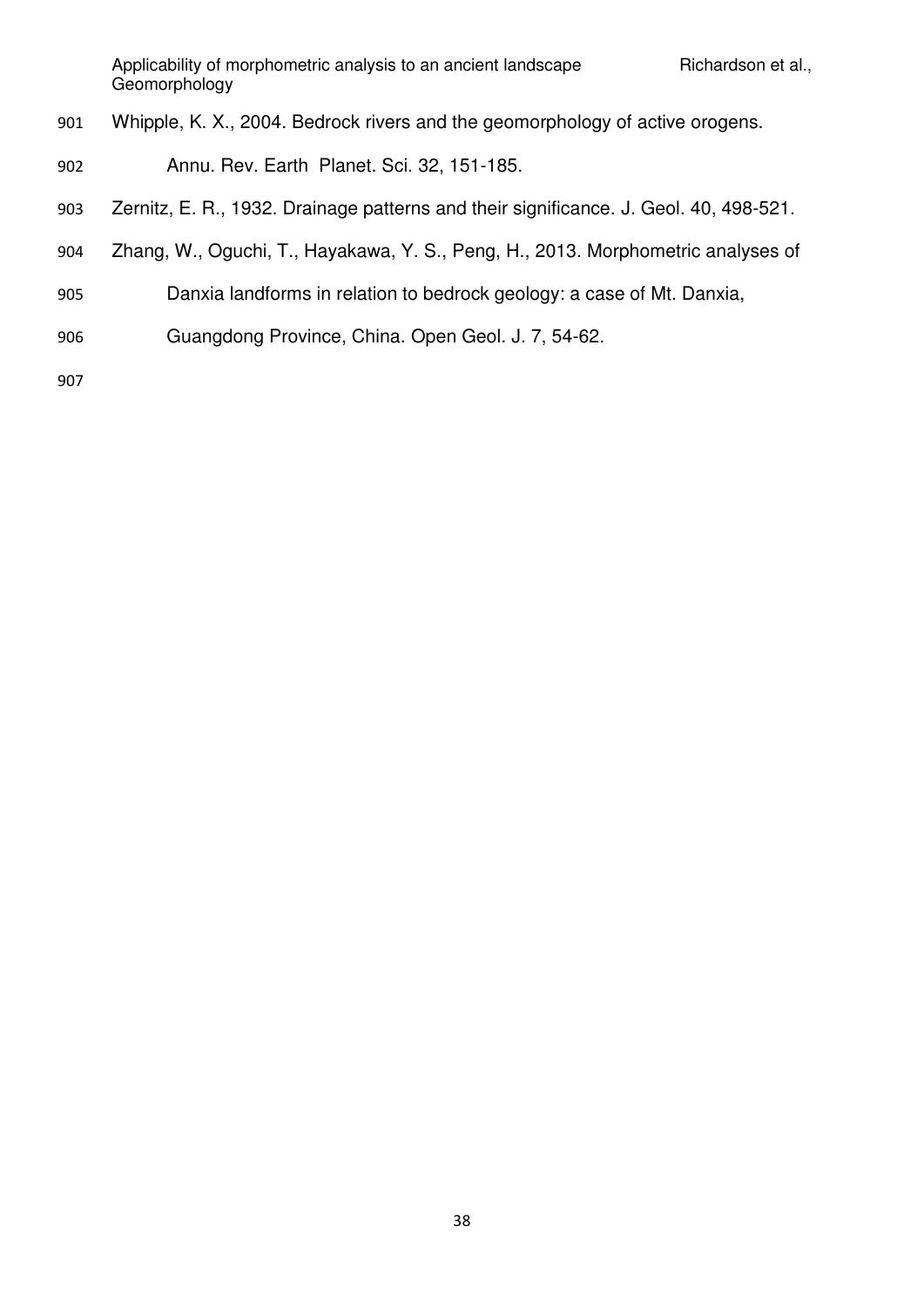- Whipple, K. X., 2004. Bedrock rivers and the geomorphology of active orogens.
- Annu. Rev. Earth Planet. Sci. 32, 151-185.
- Zernitz, E. R., 1932. Drainage patterns and their significance. J. Geol. 40, 498-521.
- Zhang, W., Oguchi, T., Hayakawa, Y. S., Peng, H., 2013. Morphometric analyses of
- Danxia landforms in relation to bedrock geology: a case of Mt. Danxia,
- Guangdong Province, China. Open Geol. J. 7, 54-62.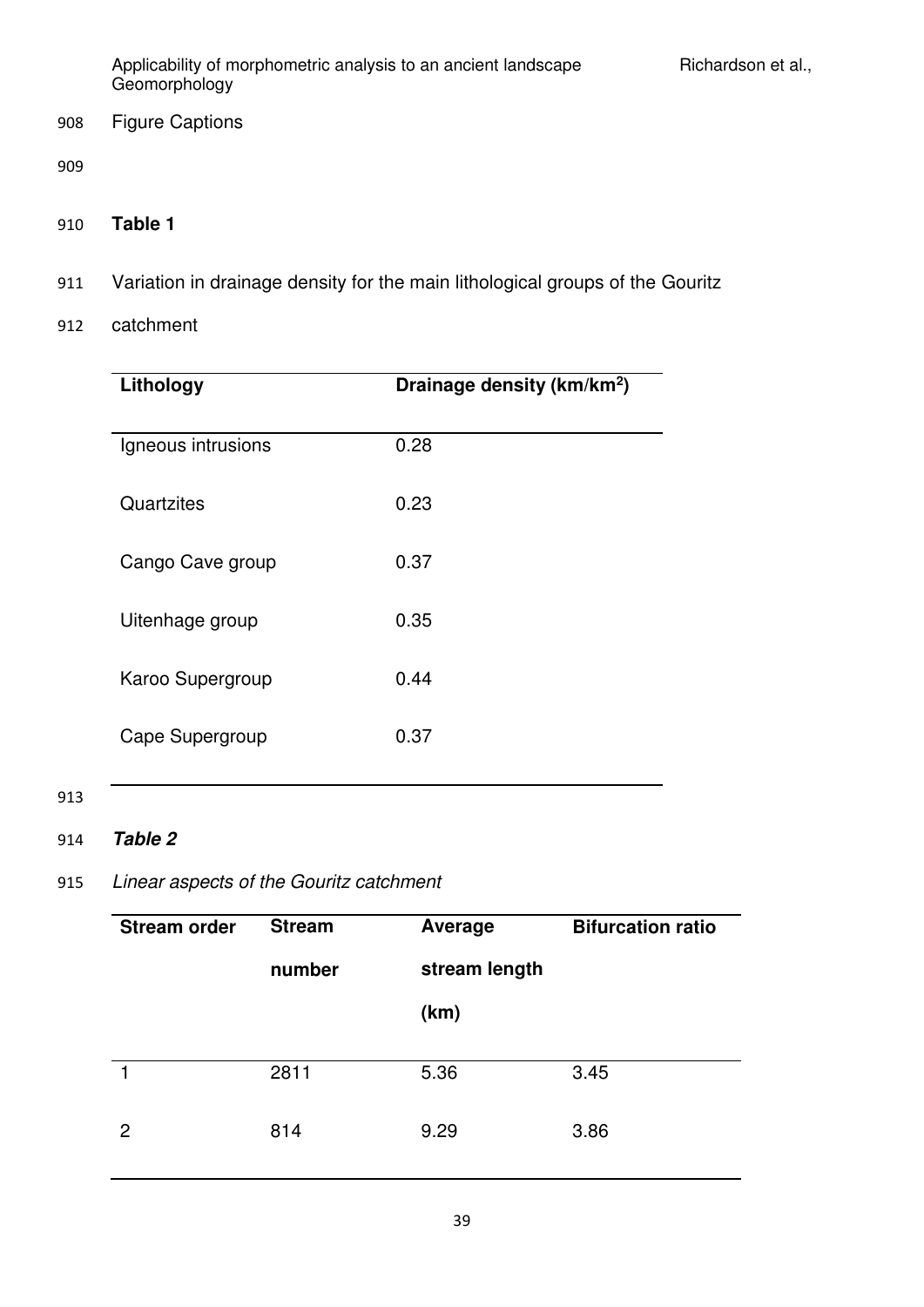908 Figure Captions

909

- 910 **Table 1**
- 911 Variation in drainage density for the main lithological groups of the Gouritz
- 912 catchment

| Lithology          | Drainage density (km/km <sup>2</sup> ) |
|--------------------|----------------------------------------|
| Igneous intrusions | 0.28                                   |
| Quartzites         | 0.23                                   |
| Cango Cave group   | 0.37                                   |
| Uitenhage group    | 0.35                                   |
| Karoo Supergroup   | 0.44                                   |
| Cape Supergroup    | 0.37                                   |

# 913

## 914 *Table 2*

# 915 *Linear aspects of the Gouritz catchment*

| <b>Stream order</b> | <b>Stream</b> | Average       | <b>Bifurcation ratio</b> |
|---------------------|---------------|---------------|--------------------------|
|                     | number        | stream length |                          |
|                     |               | (km)          |                          |
|                     |               |               |                          |
|                     | 2811          | 5.36          | 3.45                     |
| 2                   | 814           | 9.29          | 3.86                     |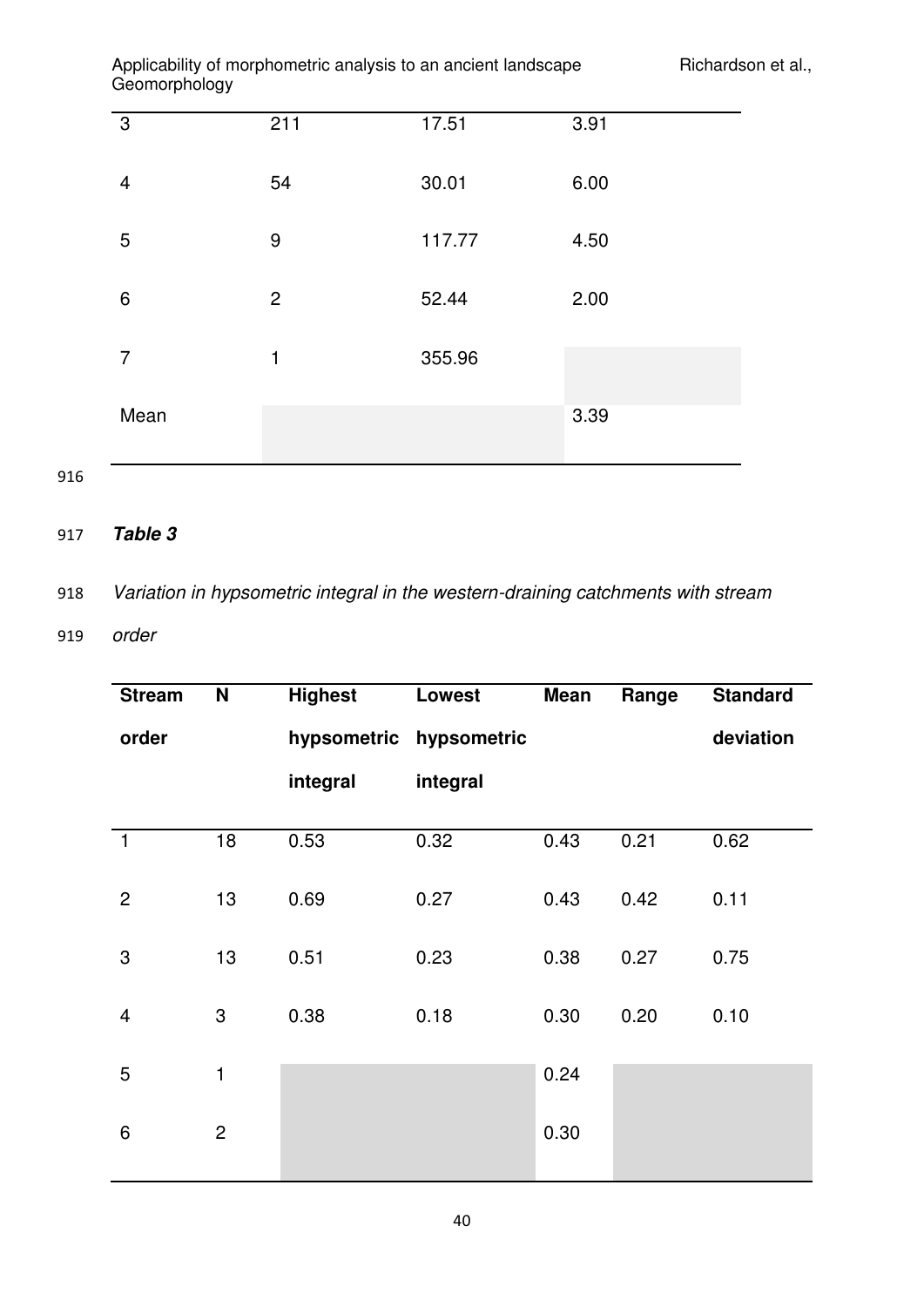| $ -$           |                  |        |      |
|----------------|------------------|--------|------|
| $\mathbf{3}$   | 211              | 17.51  | 3.91 |
| $\overline{4}$ | 54               | 30.01  | 6.00 |
| 5              | $\boldsymbol{9}$ | 117.77 | 4.50 |
| 6              | $\overline{2}$   | 52.44  | 2.00 |
| 7              | 1                | 355.96 |      |
| Mean           |                  |        | 3.39 |

916

# 917 *Table 3*

918 *Variation in hypsometric integral in the western-draining catchments with stream* 

919 *order* 

| <b>Stream</b>            | $\mathbf N$    | <b>Highest</b> | Lowest                  | <b>Mean</b> | Range | <b>Standard</b> |
|--------------------------|----------------|----------------|-------------------------|-------------|-------|-----------------|
| order                    |                |                | hypsometric hypsometric |             |       | deviation       |
|                          |                | integral       | integral                |             |       |                 |
|                          |                |                |                         |             |       |                 |
| $\mathbf{1}$             | 18             | 0.53           | 0.32                    | 0.43        | 0.21  | 0.62            |
| $\overline{2}$           | 13             | 0.69           | 0.27                    | 0.43        | 0.42  | 0.11            |
| 3                        | 13             | 0.51           | 0.23                    | 0.38        | 0.27  | 0.75            |
| $\overline{\mathcal{A}}$ | 3              | 0.38           | 0.18                    | 0.30        | 0.20  | 0.10            |
| 5                        | $\mathbf{1}$   |                |                         | 0.24        |       |                 |
| 6                        | $\overline{c}$ |                |                         | 0.30        |       |                 |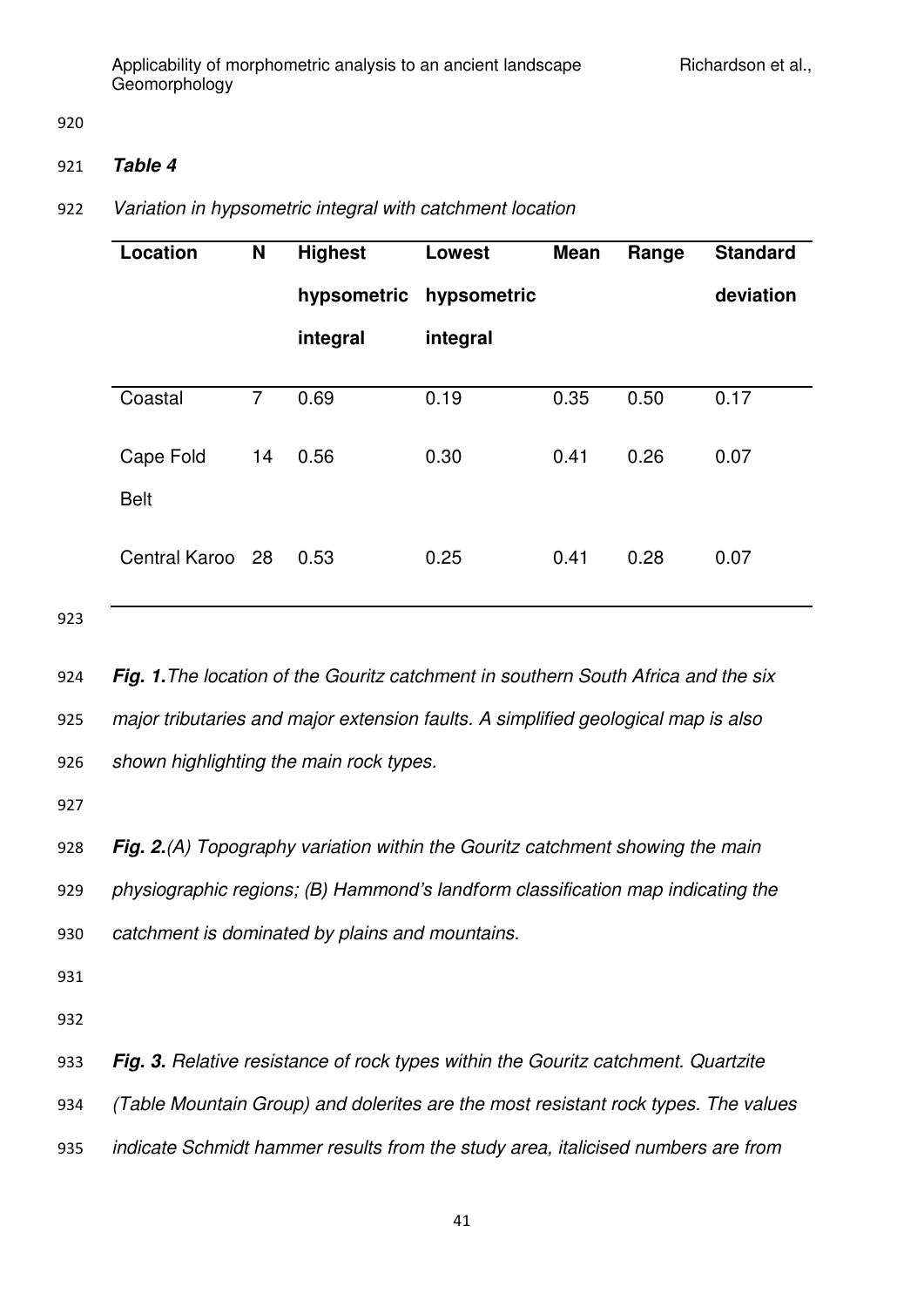920

## 921 *Table 4*

## 922 *Variation in hypsometric integral with catchment location*

| Location         | N              | <b>Highest</b> | <b>Lowest</b> | <b>Mean</b> | Range | <b>Standard</b> |
|------------------|----------------|----------------|---------------|-------------|-------|-----------------|
|                  |                | hypsometric    | hypsometric   |             |       | deviation       |
|                  |                | integral       | integral      |             |       |                 |
|                  |                |                |               |             |       |                 |
| Coastal          | $\overline{7}$ | 0.69           | 0.19          | 0.35        | 0.50  | 0.17            |
|                  |                |                |               |             |       |                 |
| Cape Fold        | 14             | 0.56           | 0.30          | 0.41        | 0.26  | 0.07            |
|                  |                |                |               |             |       |                 |
| <b>Belt</b>      |                |                |               |             |       |                 |
|                  |                |                |               |             |       |                 |
| Central Karoo 28 |                | 0.53           | 0.25          | 0.41        | 0.28  | 0.07            |
|                  |                |                |               |             |       |                 |
|                  |                |                |               |             |       |                 |

923

924 *Fig. 1.The location of the Gouritz catchment in southern South Africa and the six*  925 *major tributaries and major extension faults. A simplified geological map is also*  926 *shown highlighting the main rock types.* 

927

928 *Fig. 2.(A) Topography variation within the Gouritz catchment showing the main*  929 *physiographic regions; (B) Hammond's landform classification map indicating the*  930 *catchment is dominated by plains and mountains.* 

931

932

933 *Fig. 3. Relative resistance of rock types within the Gouritz catchment. Quartzite* 

934 *(Table Mountain Group) and dolerites are the most resistant rock types. The values* 

935 *indicate Schmidt hammer results from the study area, italicised numbers are from*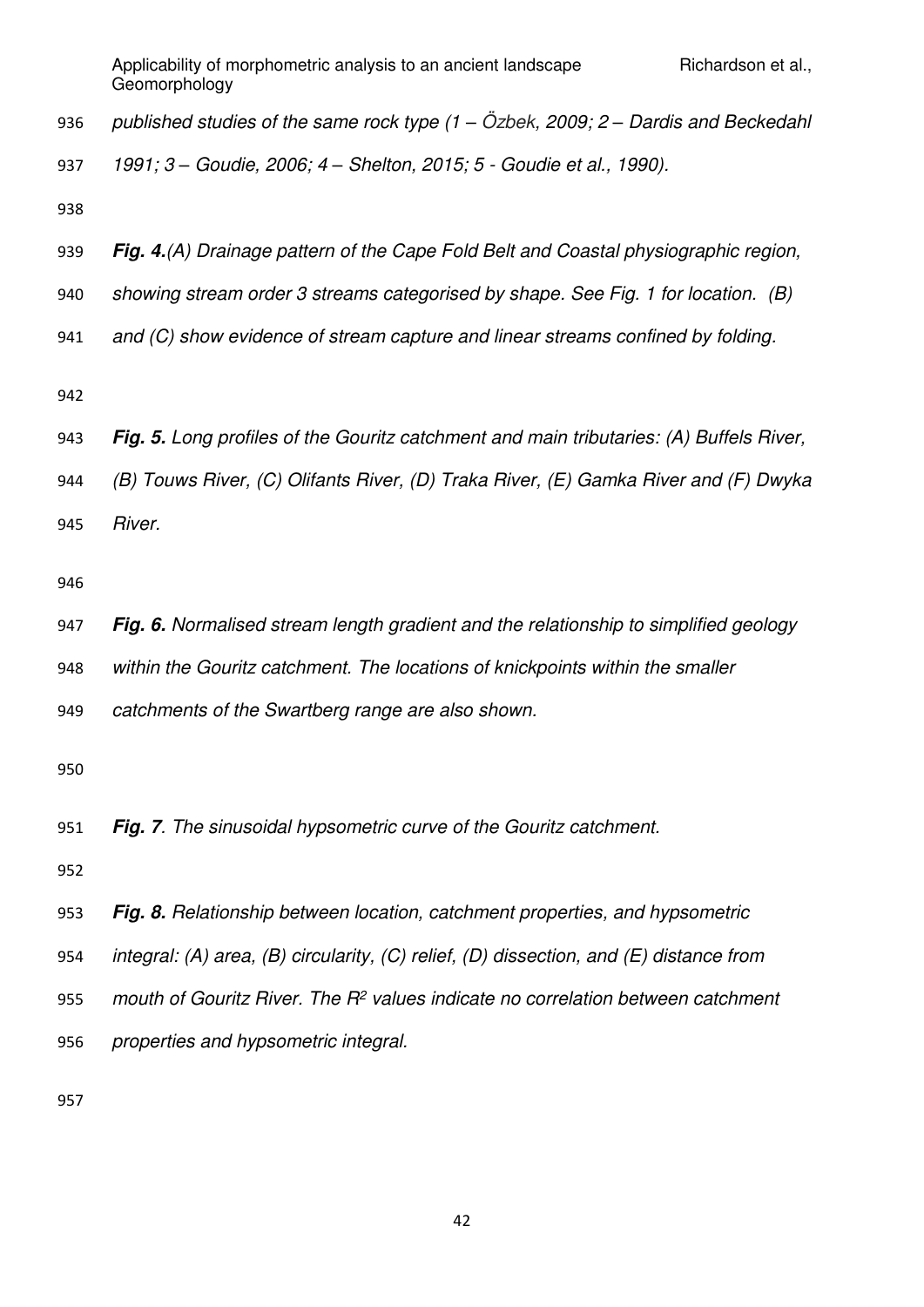*published studies of the same rock type (1 – Özbek, 2009; 2 – Dardis and Beckedahl* 

*1991; 3 – Goudie, 2006; 4 – Shelton, 2015; 5 - Goudie et al., 1990).* 

- *Fig. 4.(A) Drainage pattern of the Cape Fold Belt and Coastal physiographic region,*
- *showing stream order 3 streams categorised by shape. See Fig. 1 for location. (B)*
- *and (C) show evidence of stream capture and linear streams confined by folding.*

- *Fig. 5. Long profiles of the Gouritz catchment and main tributaries: (A) Buffels River,*
- *(B) Touws River, (C) Olifants River, (D) Traka River, (E) Gamka River and (F) Dwyka*
- *River.*

- *Fig. 6. Normalised stream length gradient and the relationship to simplified geology*
- *within the Gouritz catchment. The locations of knickpoints within the smaller*
- *catchments of the Swartberg range are also shown.*

*Fig. 7. The sinusoidal hypsometric curve of the Gouritz catchment.* 

- *Fig. 8. Relationship between location, catchment properties, and hypsometric*
- *integral: (A) area, (B) circularity, (C) relief, (D) dissection, and (E) distance from*
- *mouth of Gouritz River. The R<sup>2</sup> values indicate no correlation between catchment*
- *properties and hypsometric integral.*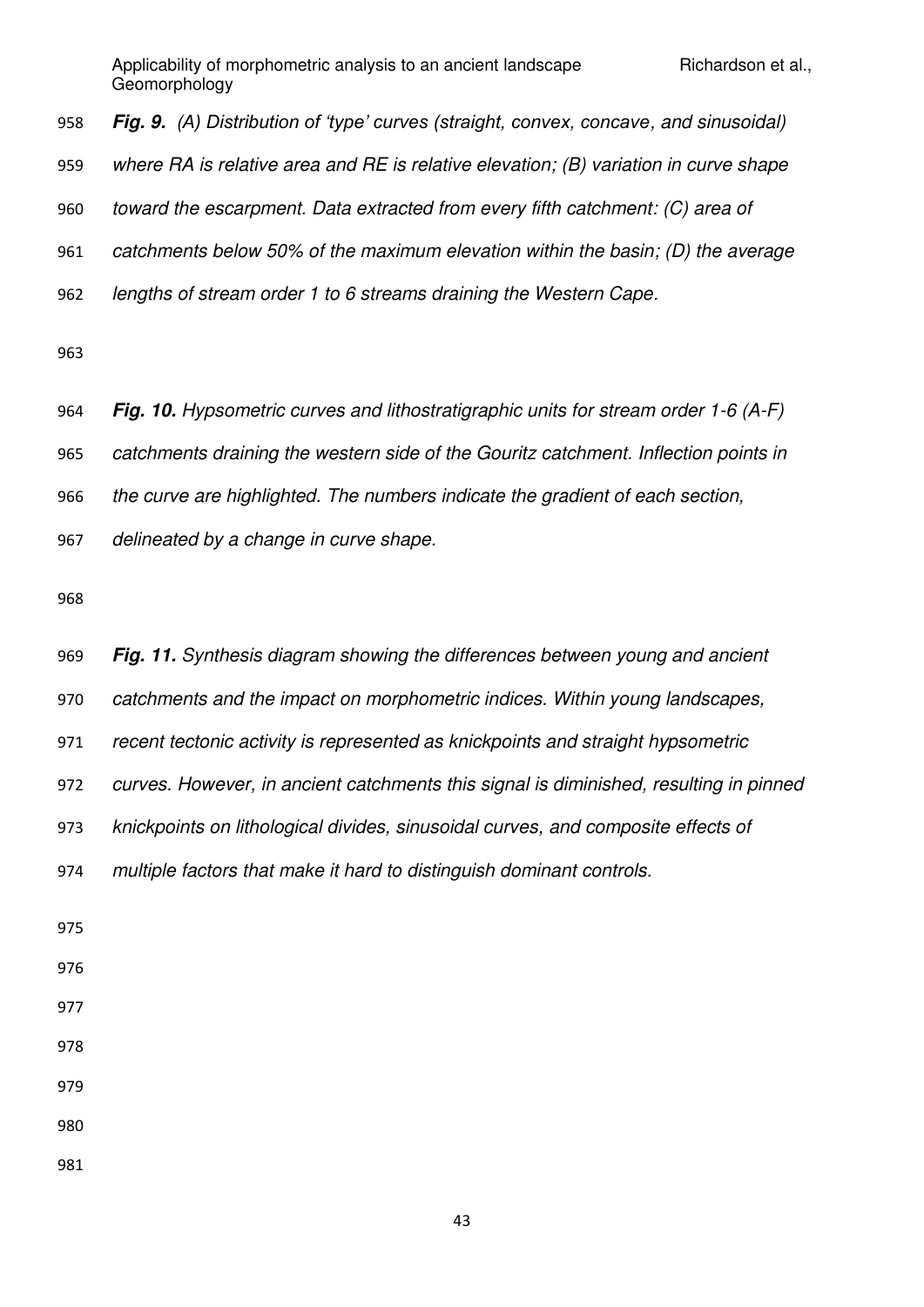*Fig. 9. (A) Distribution of 'type' curves (straight, convex, concave, and sinusoidal) where RA is relative area and RE is relative elevation; (B) variation in curve shape toward the escarpment. Data extracted from every fifth catchment: (C) area of catchments below 50% of the maximum elevation within the basin; (D) the average lengths of stream order 1 to 6 streams draining the Western Cape.* 

*Fig. 10. Hypsometric curves and lithostratigraphic units for stream order 1-6 (A-F)* 

*catchments draining the western side of the Gouritz catchment. Inflection points in* 

*the curve are highlighted. The numbers indicate the gradient of each section,* 

*delineated by a change in curve shape.* 

| <b>Fig. 11.</b> Synthesis diagram showing the differences between young and ancient   |
|---------------------------------------------------------------------------------------|
| catchments and the impact on morphometric indices. Within young landscapes,           |
| recent tectonic activity is represented as knickpoints and straight hypsometric       |
| curves. However, in ancient catchments this signal is diminished, resulting in pinned |
| knickpoints on lithological divides, sinusoidal curves, and composite effects of      |
| multiple factors that make it hard to distinguish dominant controls.                  |
|                                                                                       |
|                                                                                       |
|                                                                                       |
|                                                                                       |
|                                                                                       |
|                                                                                       |
|                                                                                       |
|                                                                                       |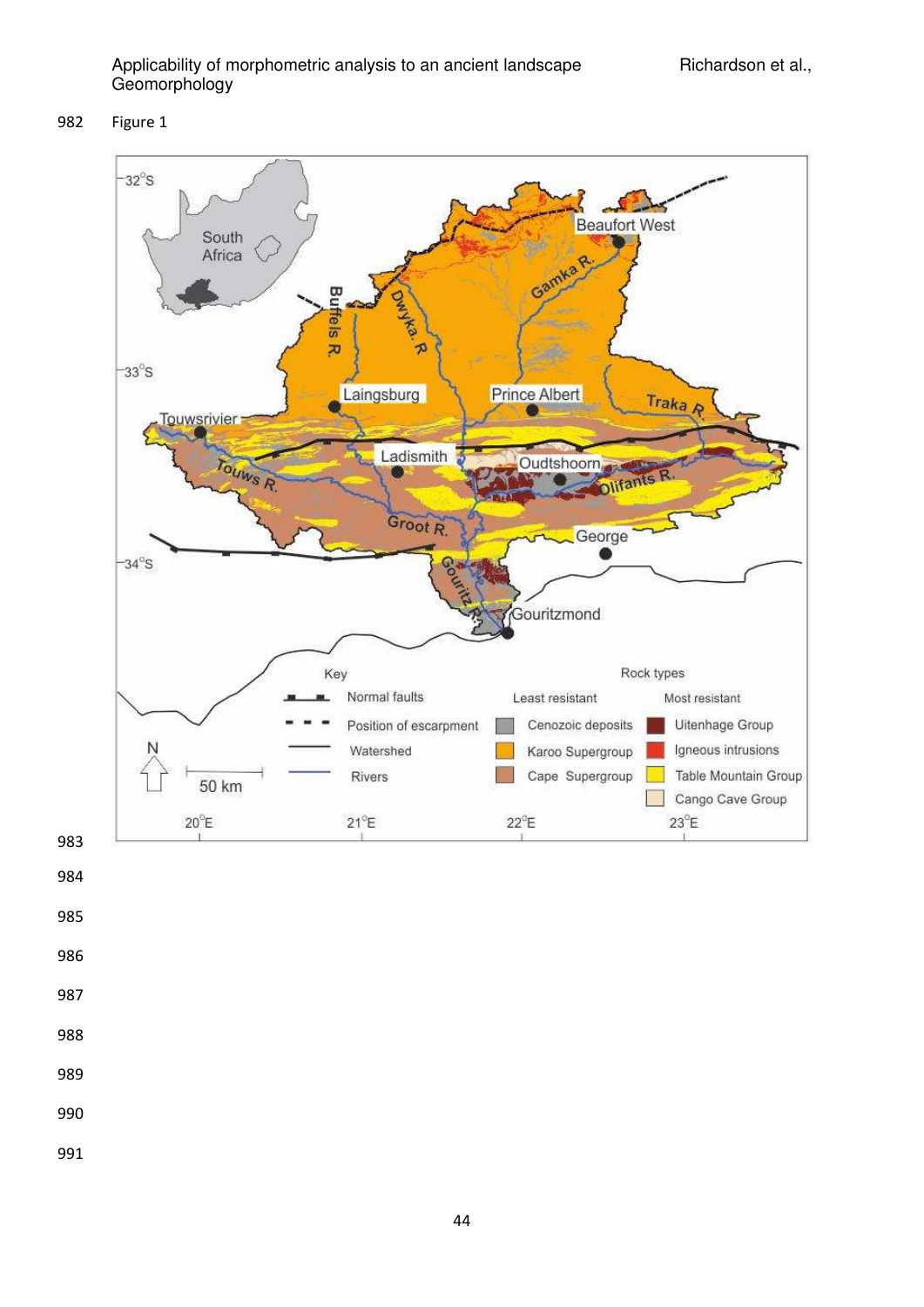Figure 1



- 
- 
- 
- 
- 
- 
- 
- 
-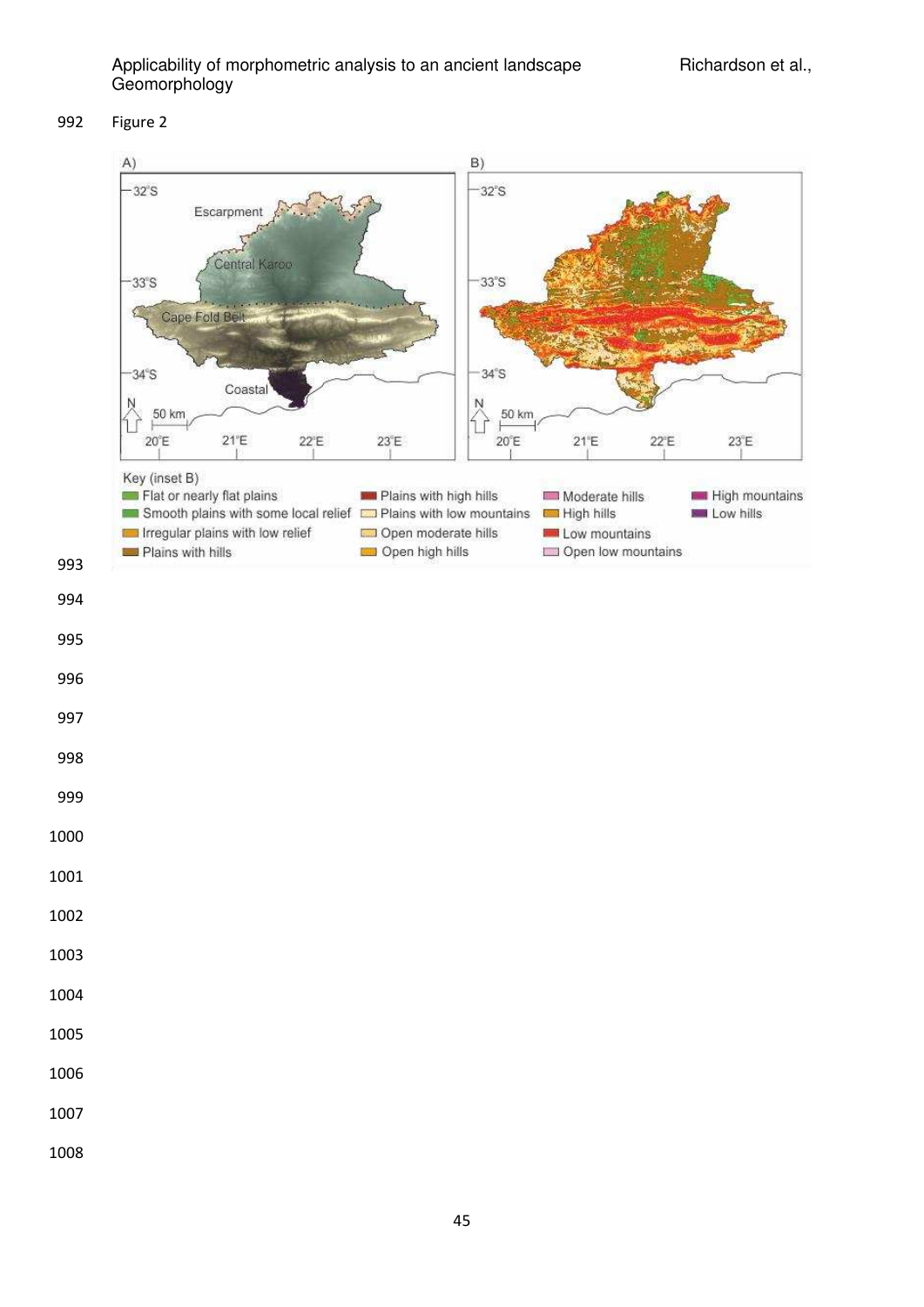### Figure 2

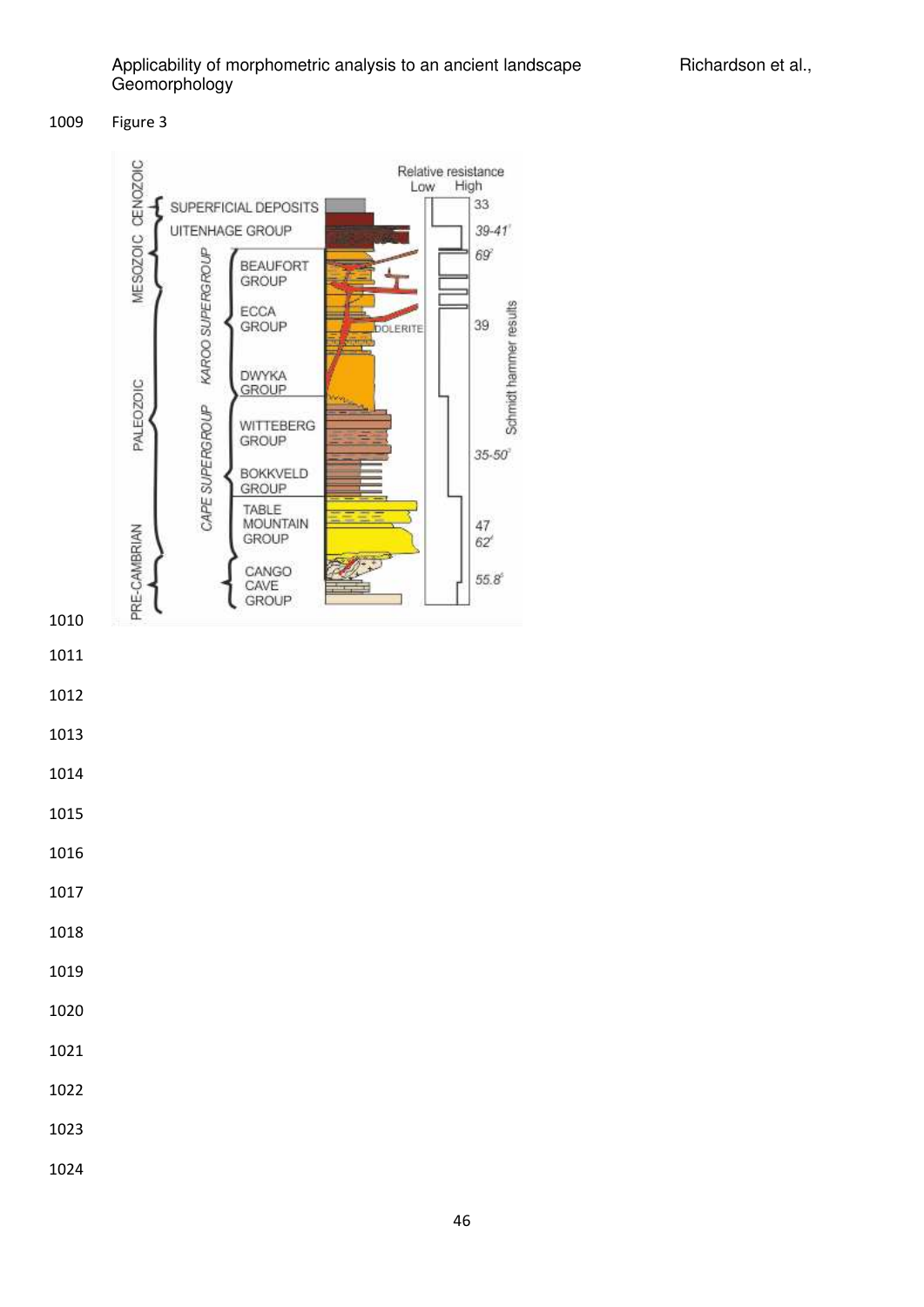

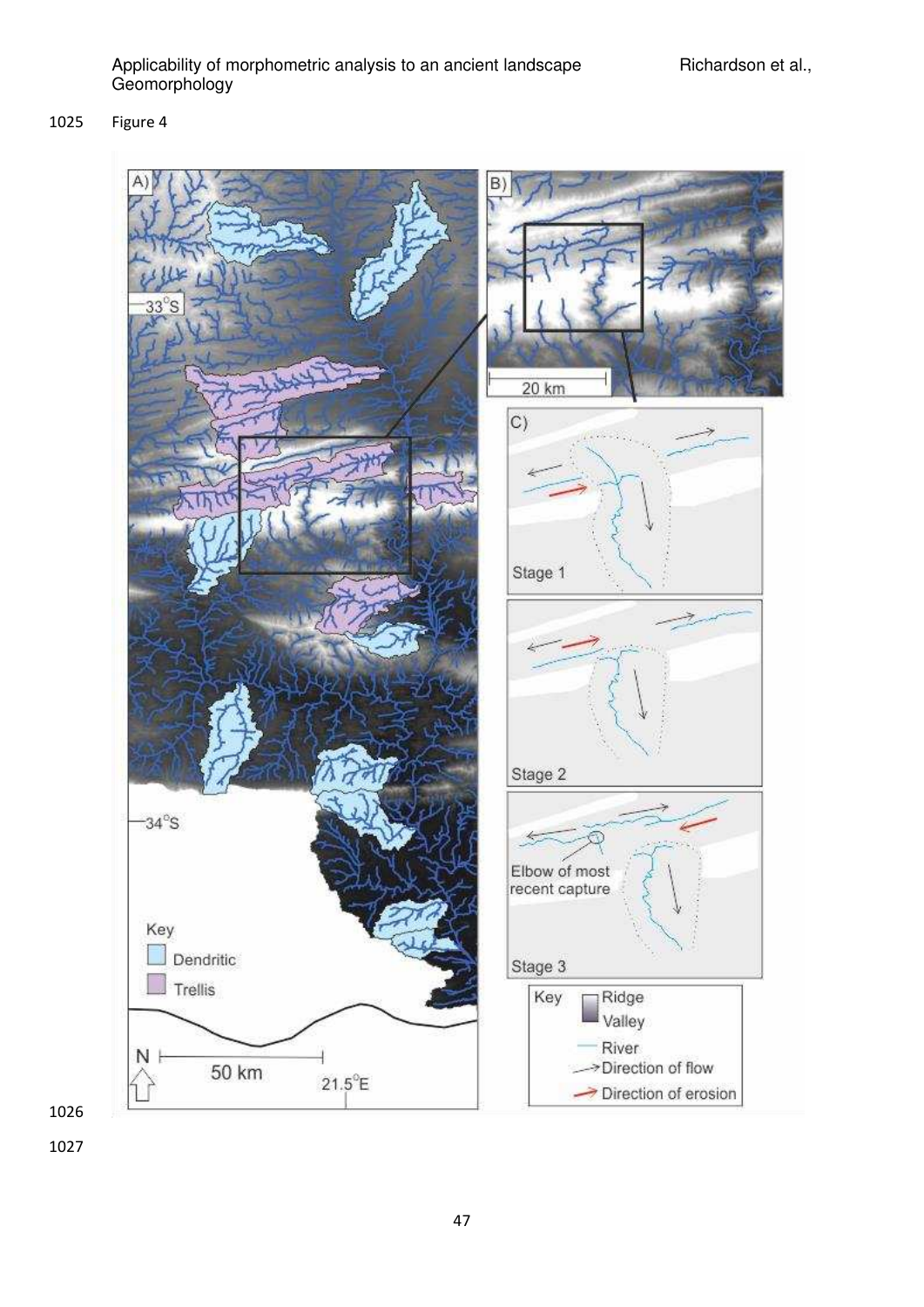Figure 4

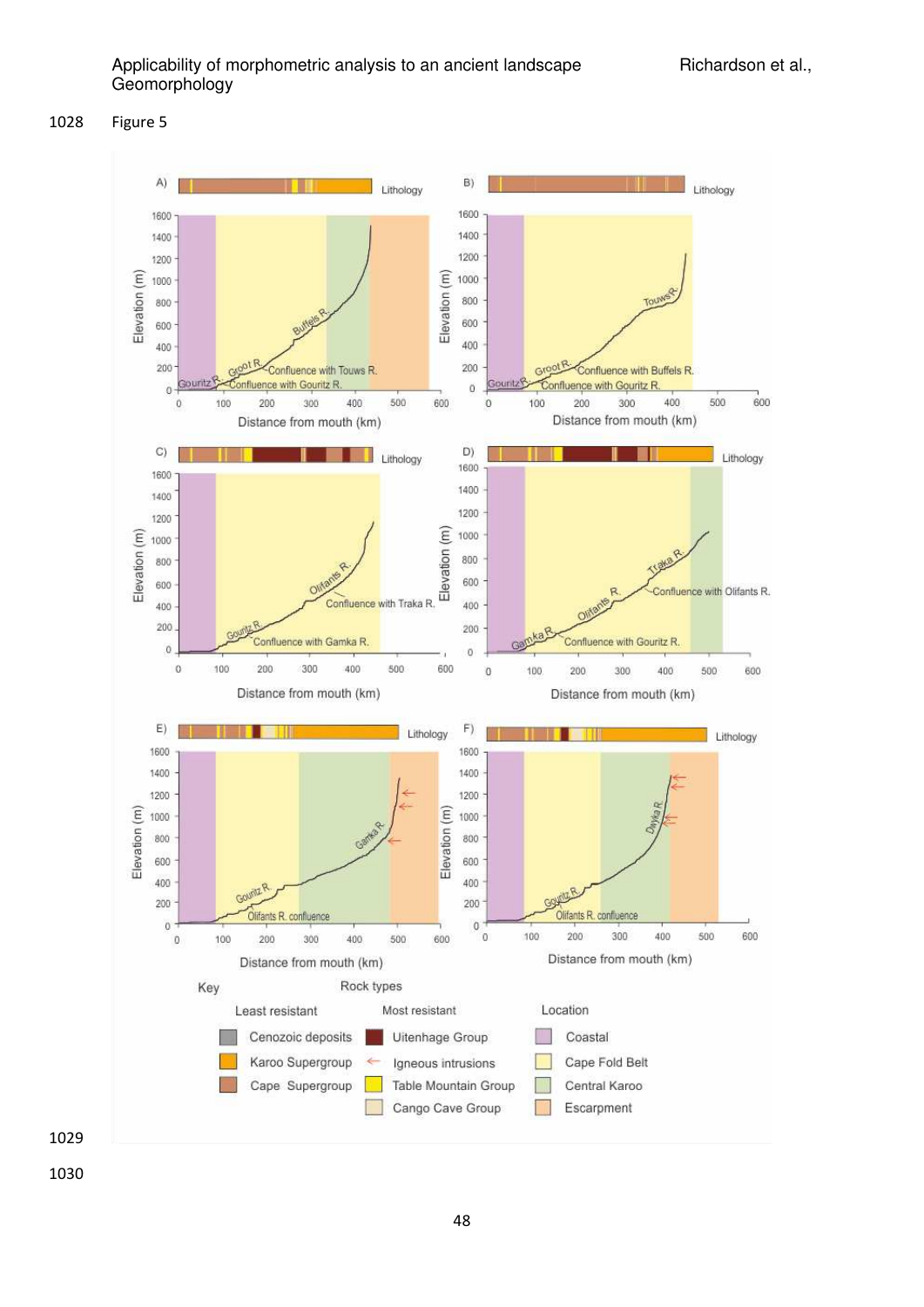

Figure 5

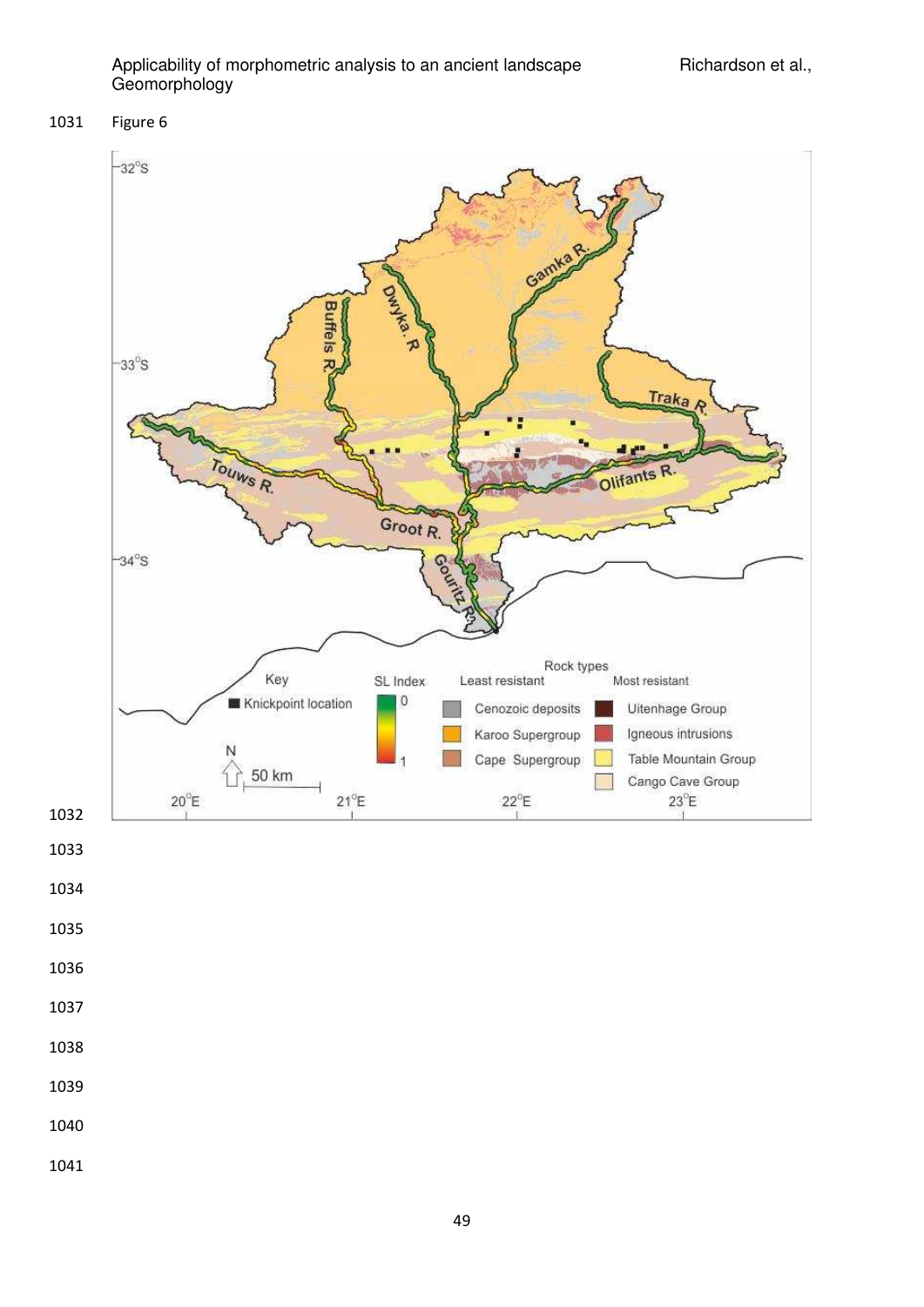### Figure 6



- 
- 
- 
- 
- 
- 
- 
- 
- 
- 
- 
-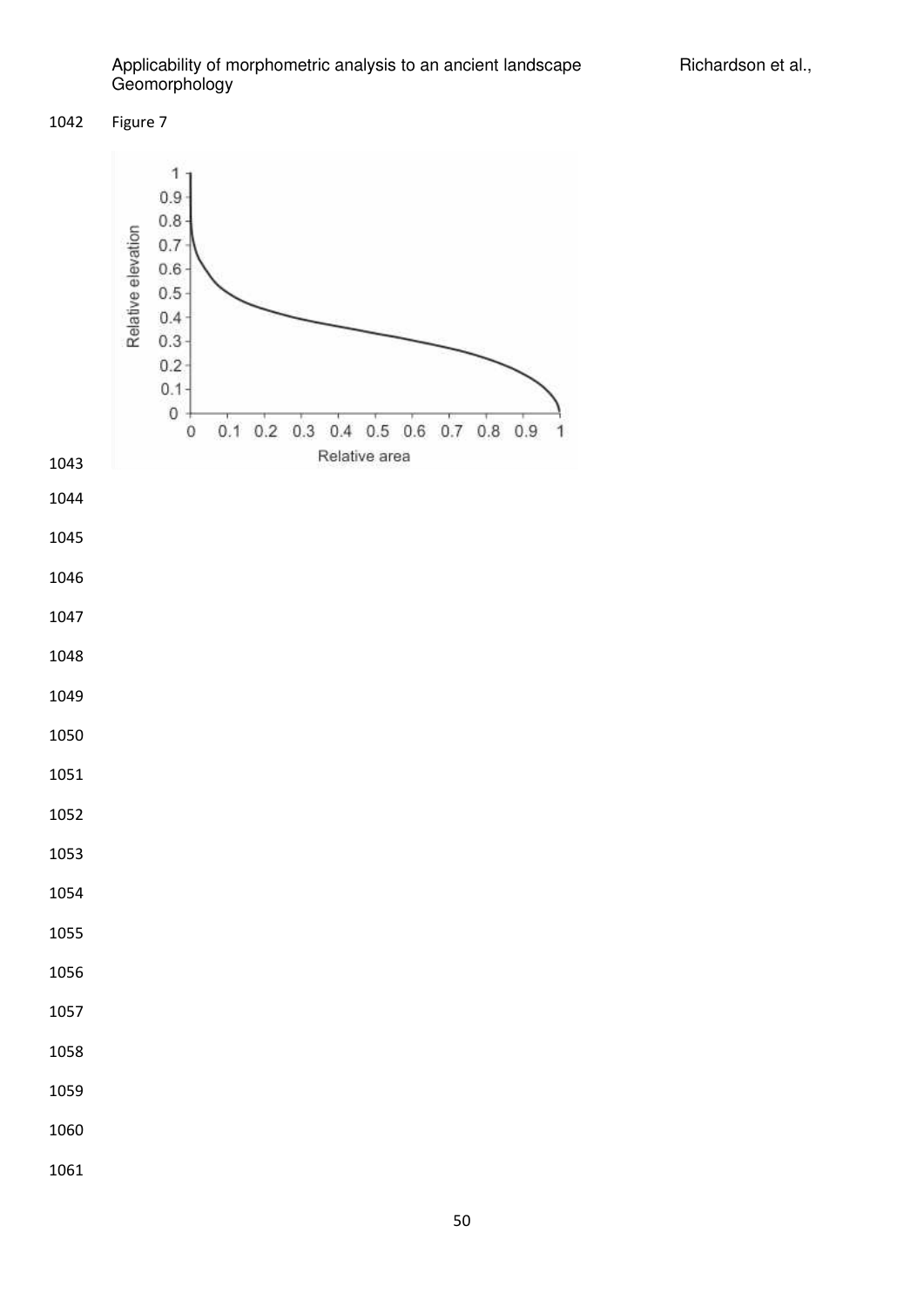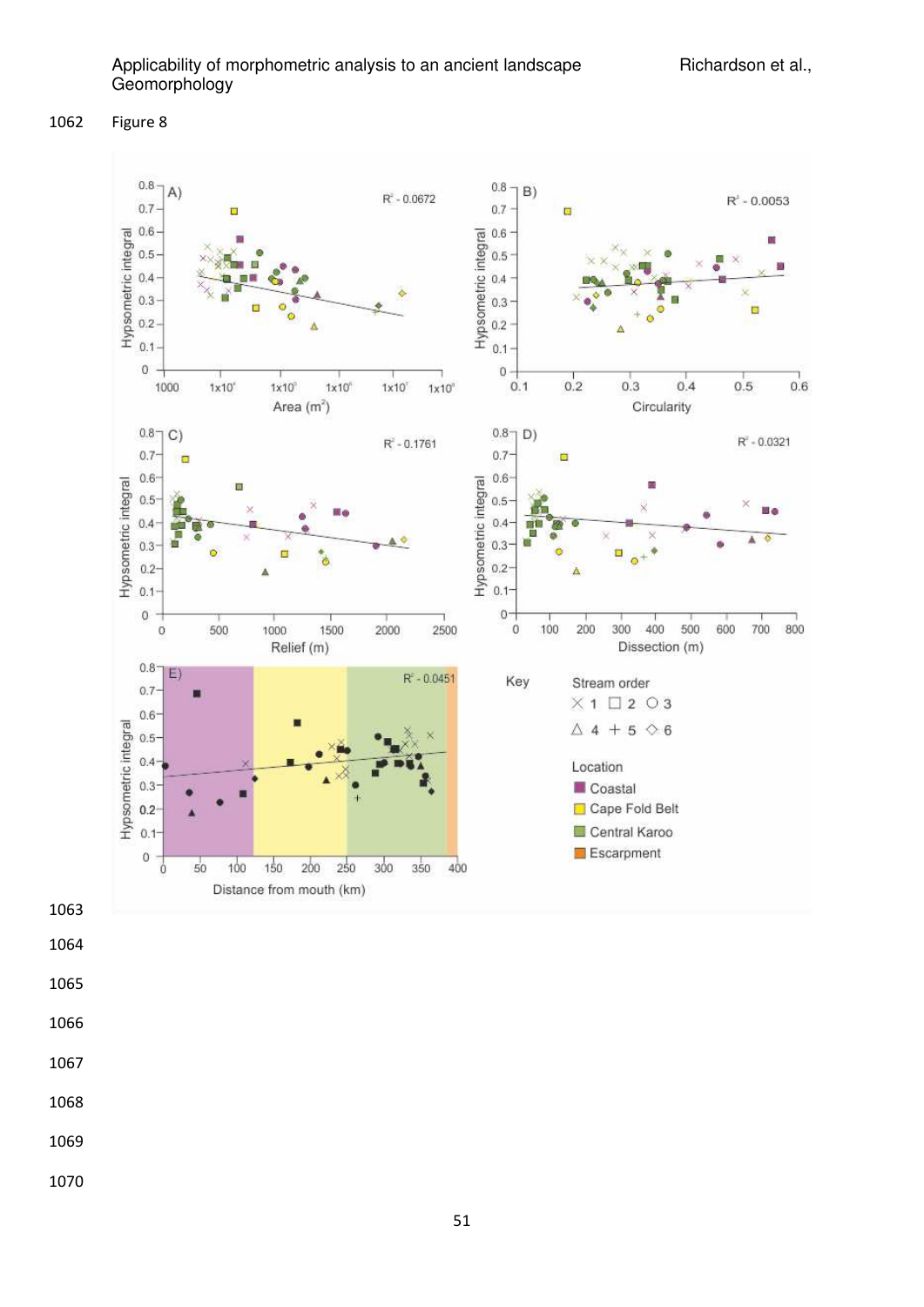Figure 8

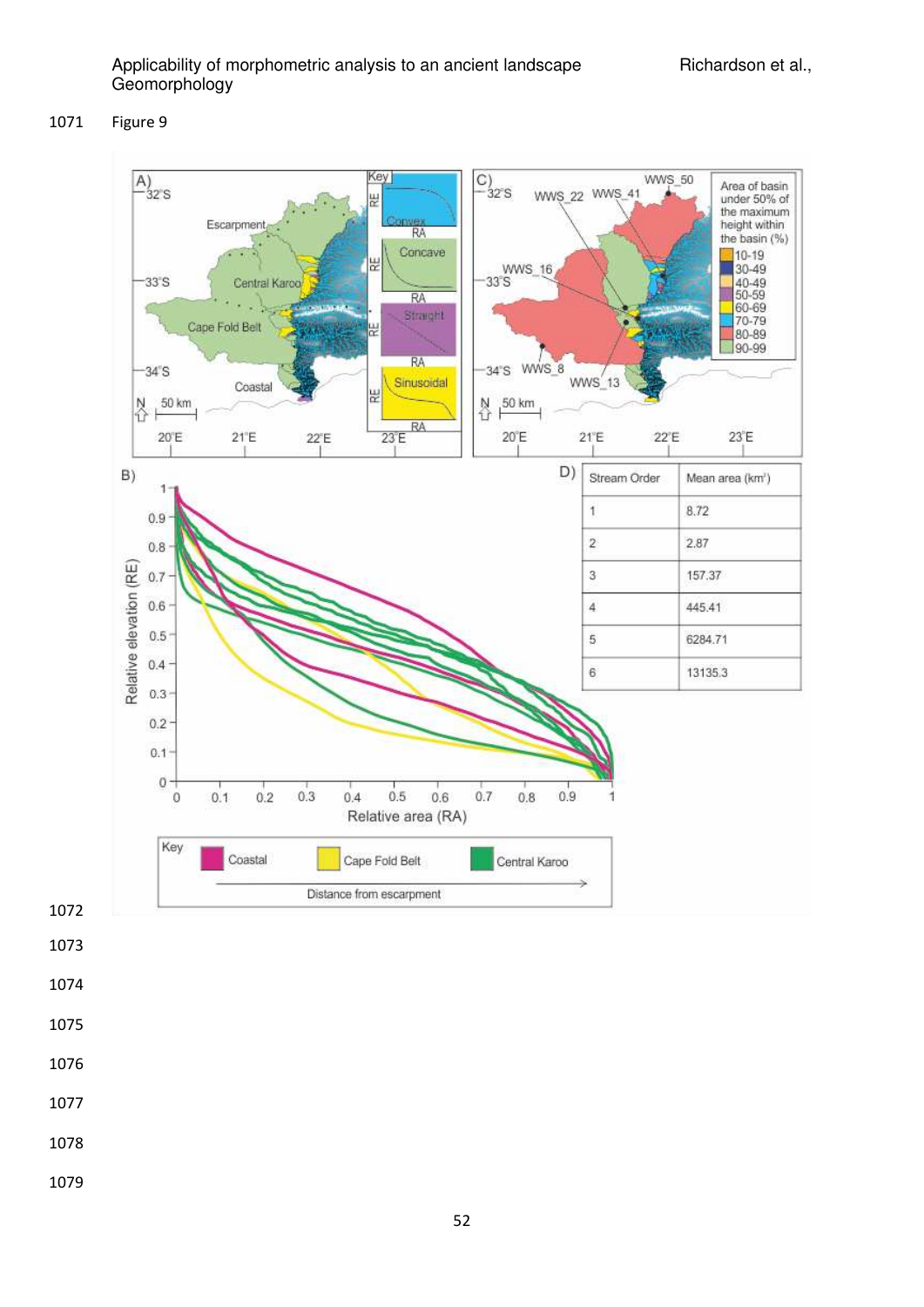### Figure 9



- 
-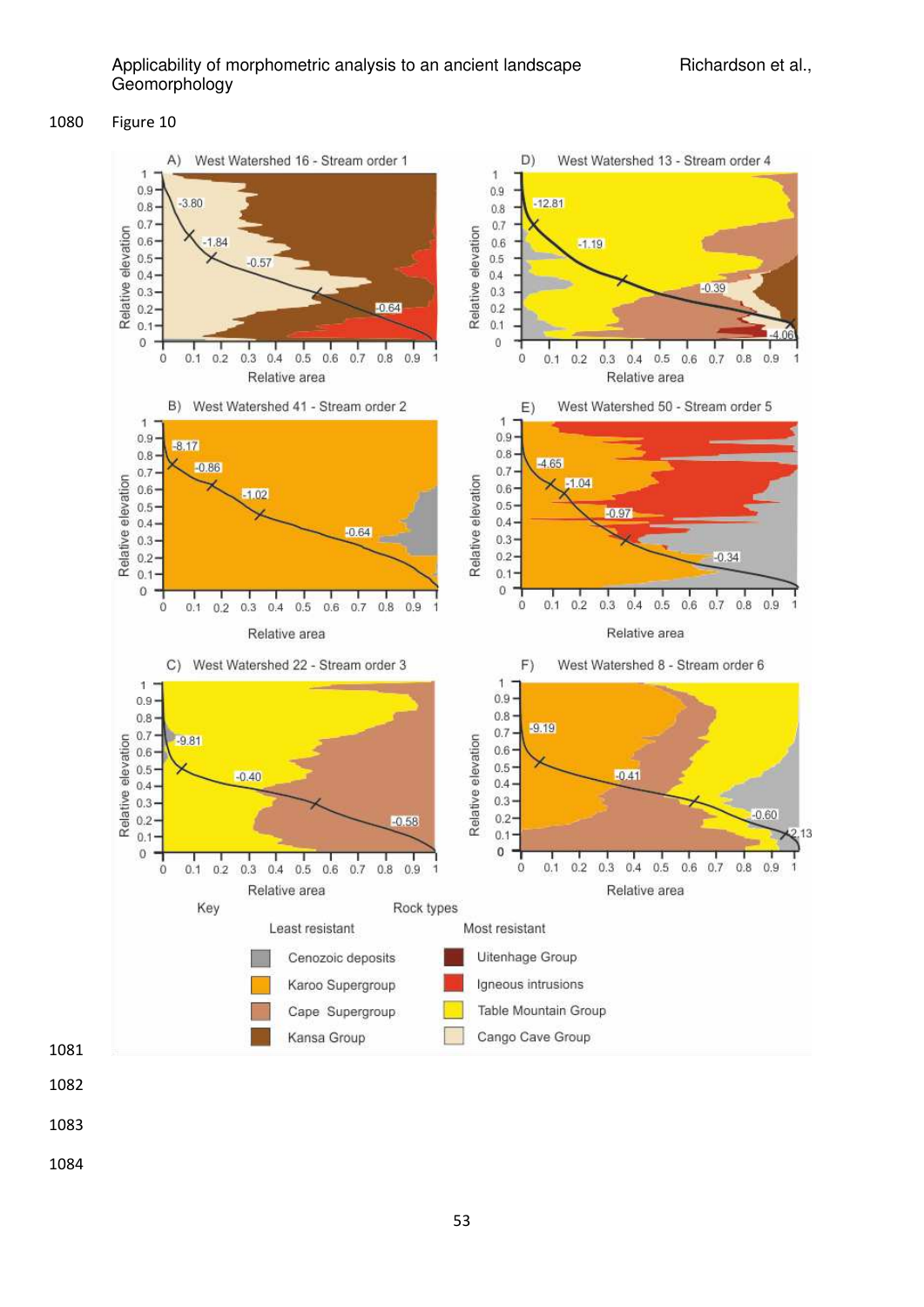

#### Figure 10